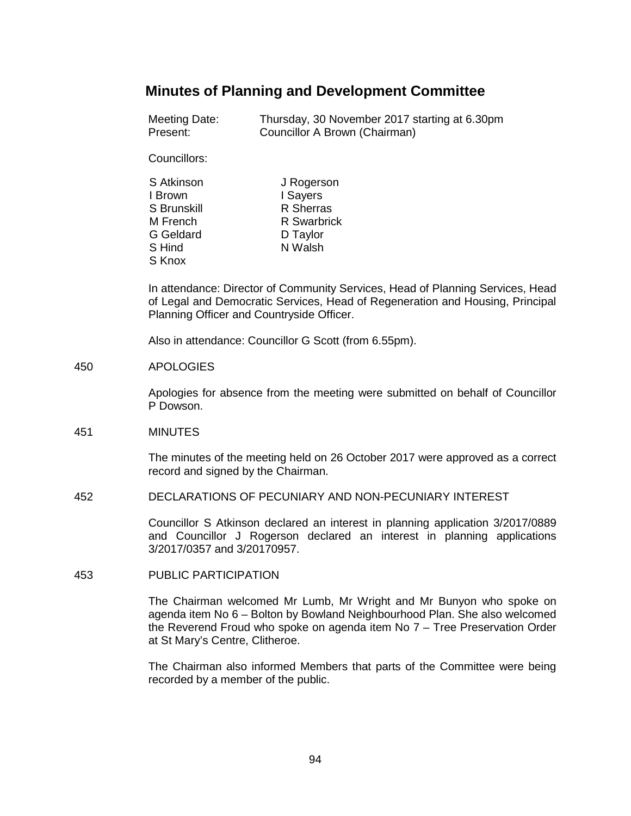# **Minutes of Planning and Development Committee**

Meeting Date: Thursday, 30 November 2017 starting at 6.30pm Present: Councillor A Brown (Chairman)

Councillors:

| S Atkinson       | J Rogerson         |
|------------------|--------------------|
| I Brown          | I Sayers           |
| S Brunskill      | R Sherras          |
| M French         | <b>R</b> Swarbrick |
| <b>G</b> Geldard | D Taylor           |
| S Hind           | N Walsh            |
| S Knox           |                    |

In attendance: Director of Community Services, Head of Planning Services, Head of Legal and Democratic Services, Head of Regeneration and Housing, Principal Planning Officer and Countryside Officer.

Also in attendance: Councillor G Scott (from 6.55pm).

### 450 APOLOGIES

Apologies for absence from the meeting were submitted on behalf of Councillor P Dowson.

## 451 MINUTES

The minutes of the meeting held on 26 October 2017 were approved as a correct record and signed by the Chairman.

#### 452 DECLARATIONS OF PECUNIARY AND NON-PECUNIARY INTEREST

Councillor S Atkinson declared an interest in planning application 3/2017/0889 and Councillor J Rogerson declared an interest in planning applications 3/2017/0357 and 3/20170957.

## 453 PUBLIC PARTICIPATION

The Chairman welcomed Mr Lumb, Mr Wright and Mr Bunyon who spoke on agenda item No 6 – Bolton by Bowland Neighbourhood Plan. She also welcomed the Reverend Froud who spoke on agenda item No 7 – Tree Preservation Order at St Mary's Centre, Clitheroe.

The Chairman also informed Members that parts of the Committee were being recorded by a member of the public.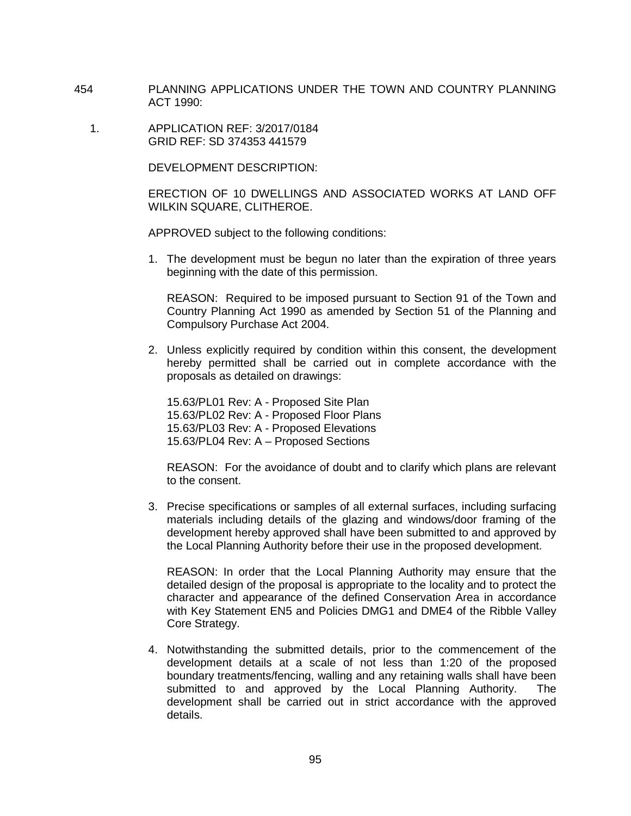- 454 PLANNING APPLICATIONS UNDER THE TOWN AND COUNTRY PLANNING ACT 1990:
	- 1. APPLICATION REF: 3/2017/0184 GRID REF: SD 374353 441579

DEVELOPMENT DESCRIPTION:

ERECTION OF 10 DWELLINGS AND ASSOCIATED WORKS AT LAND OFF WILKIN SQUARE, CLITHEROE.

APPROVED subject to the following conditions:

1. The development must be begun no later than the expiration of three years beginning with the date of this permission.

REASON: Required to be imposed pursuant to Section 91 of the Town and Country Planning Act 1990 as amended by Section 51 of the Planning and Compulsory Purchase Act 2004.

2. Unless explicitly required by condition within this consent, the development hereby permitted shall be carried out in complete accordance with the proposals as detailed on drawings:

15.63/PL01 Rev: A - Proposed Site Plan 15.63/PL02 Rev: A - Proposed Floor Plans 15.63/PL03 Rev: A - Proposed Elevations 15.63/PL04 Rev: A – Proposed Sections

REASON: For the avoidance of doubt and to clarify which plans are relevant to the consent.

3. Precise specifications or samples of all external surfaces, including surfacing materials including details of the glazing and windows/door framing of the development hereby approved shall have been submitted to and approved by the Local Planning Authority before their use in the proposed development.

REASON: In order that the Local Planning Authority may ensure that the detailed design of the proposal is appropriate to the locality and to protect the character and appearance of the defined Conservation Area in accordance with Key Statement EN5 and Policies DMG1 and DME4 of the Ribble Valley Core Strategy.

4. Notwithstanding the submitted details, prior to the commencement of the development details at a scale of not less than 1:20 of the proposed boundary treatments/fencing, walling and any retaining walls shall have been submitted to and approved by the Local Planning Authority. The development shall be carried out in strict accordance with the approved details.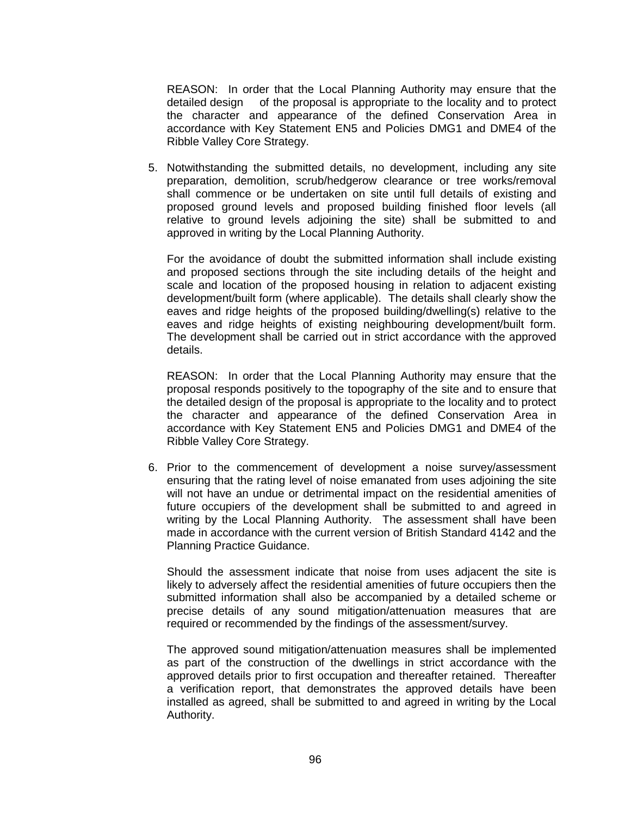REASON: In order that the Local Planning Authority may ensure that the detailed design of the proposal is appropriate to the locality and to protect the character and appearance of the defined Conservation Area in accordance with Key Statement EN5 and Policies DMG1 and DME4 of the Ribble Valley Core Strategy.

5. Notwithstanding the submitted details, no development, including any site preparation, demolition, scrub/hedgerow clearance or tree works/removal shall commence or be undertaken on site until full details of existing and proposed ground levels and proposed building finished floor levels (all relative to ground levels adjoining the site) shall be submitted to and approved in writing by the Local Planning Authority.

For the avoidance of doubt the submitted information shall include existing and proposed sections through the site including details of the height and scale and location of the proposed housing in relation to adjacent existing development/built form (where applicable). The details shall clearly show the eaves and ridge heights of the proposed building/dwelling(s) relative to the eaves and ridge heights of existing neighbouring development/built form. The development shall be carried out in strict accordance with the approved details.

REASON: In order that the Local Planning Authority may ensure that the proposal responds positively to the topography of the site and to ensure that the detailed design of the proposal is appropriate to the locality and to protect the character and appearance of the defined Conservation Area in accordance with Key Statement EN5 and Policies DMG1 and DME4 of the Ribble Valley Core Strategy.

6. Prior to the commencement of development a noise survey/assessment ensuring that the rating level of noise emanated from uses adjoining the site will not have an undue or detrimental impact on the residential amenities of future occupiers of the development shall be submitted to and agreed in writing by the Local Planning Authority. The assessment shall have been made in accordance with the current version of British Standard 4142 and the Planning Practice Guidance.

Should the assessment indicate that noise from uses adjacent the site is likely to adversely affect the residential amenities of future occupiers then the submitted information shall also be accompanied by a detailed scheme or precise details of any sound mitigation/attenuation measures that are required or recommended by the findings of the assessment/survey.

The approved sound mitigation/attenuation measures shall be implemented as part of the construction of the dwellings in strict accordance with the approved details prior to first occupation and thereafter retained. Thereafter a verification report, that demonstrates the approved details have been installed as agreed, shall be submitted to and agreed in writing by the Local Authority.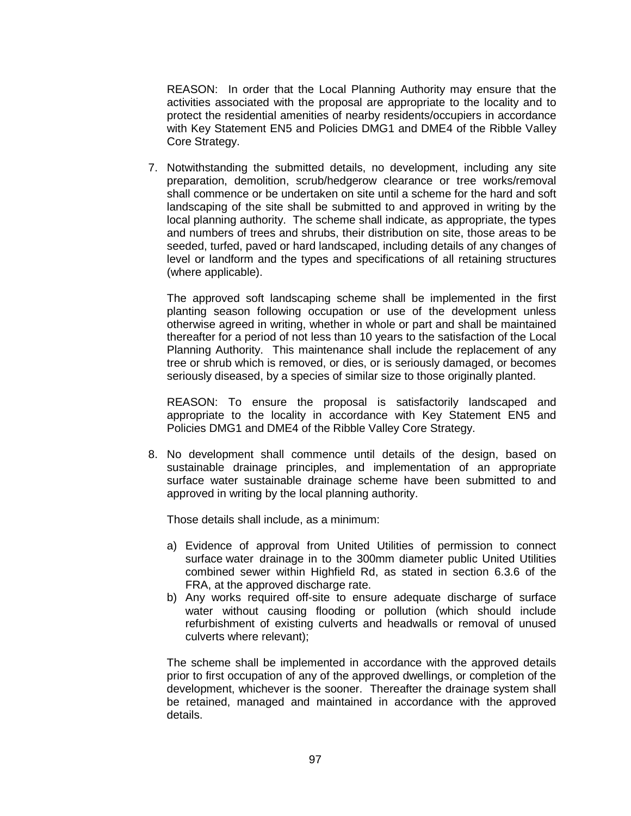REASON: In order that the Local Planning Authority may ensure that the activities associated with the proposal are appropriate to the locality and to protect the residential amenities of nearby residents/occupiers in accordance with Key Statement EN5 and Policies DMG1 and DME4 of the Ribble Valley Core Strategy.

7. Notwithstanding the submitted details, no development, including any site preparation, demolition, scrub/hedgerow clearance or tree works/removal shall commence or be undertaken on site until a scheme for the hard and soft landscaping of the site shall be submitted to and approved in writing by the local planning authority. The scheme shall indicate, as appropriate, the types and numbers of trees and shrubs, their distribution on site, those areas to be seeded, turfed, paved or hard landscaped, including details of any changes of level or landform and the types and specifications of all retaining structures (where applicable).

The approved soft landscaping scheme shall be implemented in the first planting season following occupation or use of the development unless otherwise agreed in writing, whether in whole or part and shall be maintained thereafter for a period of not less than 10 years to the satisfaction of the Local Planning Authority. This maintenance shall include the replacement of any tree or shrub which is removed, or dies, or is seriously damaged, or becomes seriously diseased, by a species of similar size to those originally planted.

REASON: To ensure the proposal is satisfactorily landscaped and appropriate to the locality in accordance with Key Statement EN5 and Policies DMG1 and DME4 of the Ribble Valley Core Strategy.

8. No development shall commence until details of the design, based on sustainable drainage principles, and implementation of an appropriate surface water sustainable drainage scheme have been submitted to and approved in writing by the local planning authority.

Those details shall include, as a minimum:

- a) Evidence of approval from United Utilities of permission to connect surface water drainage in to the 300mm diameter public United Utilities combined sewer within Highfield Rd, as stated in section 6.3.6 of the FRA, at the approved discharge rate.
- b) Any works required off-site to ensure adequate discharge of surface water without causing flooding or pollution (which should include refurbishment of existing culverts and headwalls or removal of unused culverts where relevant);

The scheme shall be implemented in accordance with the approved details prior to first occupation of any of the approved dwellings, or completion of the development, whichever is the sooner. Thereafter the drainage system shall be retained, managed and maintained in accordance with the approved details.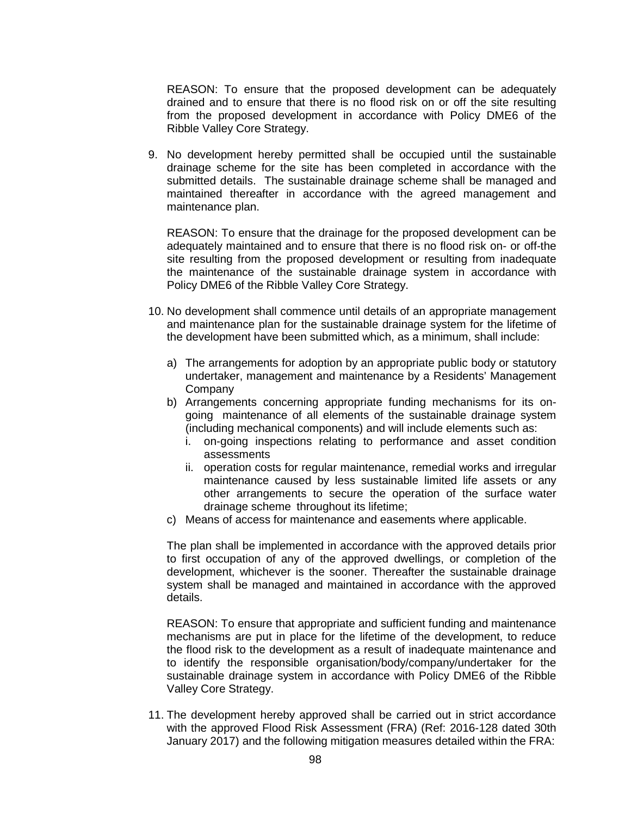REASON: To ensure that the proposed development can be adequately drained and to ensure that there is no flood risk on or off the site resulting from the proposed development in accordance with Policy DME6 of the Ribble Valley Core Strategy.

9. No development hereby permitted shall be occupied until the sustainable drainage scheme for the site has been completed in accordance with the submitted details. The sustainable drainage scheme shall be managed and maintained thereafter in accordance with the agreed management and maintenance plan.

REASON: To ensure that the drainage for the proposed development can be adequately maintained and to ensure that there is no flood risk on- or off-the site resulting from the proposed development or resulting from inadequate the maintenance of the sustainable drainage system in accordance with Policy DME6 of the Ribble Valley Core Strategy.

- 10. No development shall commence until details of an appropriate management and maintenance plan for the sustainable drainage system for the lifetime of the development have been submitted which, as a minimum, shall include:
	- a) The arrangements for adoption by an appropriate public body or statutory undertaker, management and maintenance by a Residents' Management Company
	- b) Arrangements concerning appropriate funding mechanisms for its ongoing maintenance of all elements of the sustainable drainage system (including mechanical components) and will include elements such as:
		- i. on-going inspections relating to performance and asset condition assessments
		- ii. operation costs for regular maintenance, remedial works and irregular maintenance caused by less sustainable limited life assets or any other arrangements to secure the operation of the surface water drainage scheme throughout its lifetime;
	- c) Means of access for maintenance and easements where applicable.

The plan shall be implemented in accordance with the approved details prior to first occupation of any of the approved dwellings, or completion of the development, whichever is the sooner. Thereafter the sustainable drainage system shall be managed and maintained in accordance with the approved details.

REASON: To ensure that appropriate and sufficient funding and maintenance mechanisms are put in place for the lifetime of the development, to reduce the flood risk to the development as a result of inadequate maintenance and to identify the responsible organisation/body/company/undertaker for the sustainable drainage system in accordance with Policy DME6 of the Ribble Valley Core Strategy.

11. The development hereby approved shall be carried out in strict accordance with the approved Flood Risk Assessment (FRA) (Ref: 2016-128 dated 30th January 2017) and the following mitigation measures detailed within the FRA: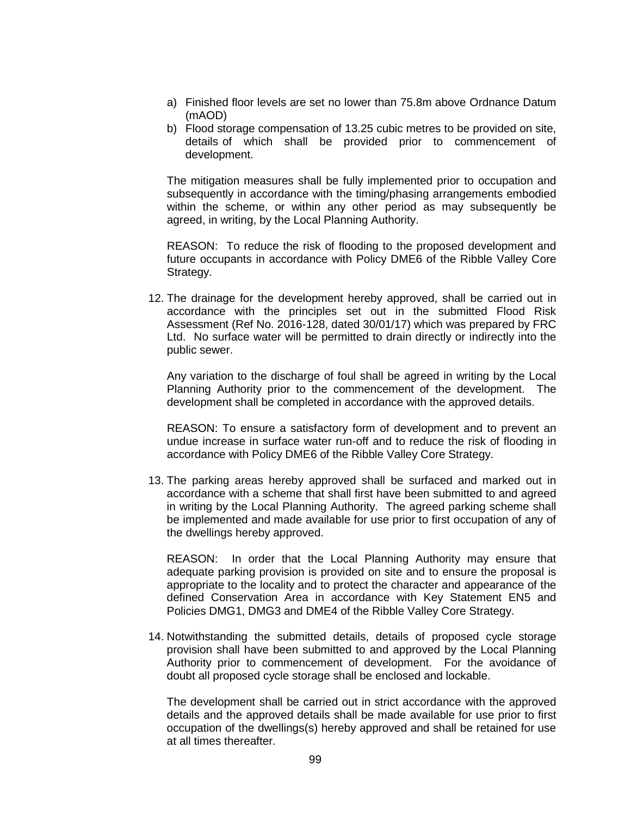- a) Finished floor levels are set no lower than 75.8m above Ordnance Datum (mAOD)
- b) Flood storage compensation of 13.25 cubic metres to be provided on site, details of which shall be provided prior to commencement of development.

The mitigation measures shall be fully implemented prior to occupation and subsequently in accordance with the timing/phasing arrangements embodied within the scheme, or within any other period as may subsequently be agreed, in writing, by the Local Planning Authority.

REASON: To reduce the risk of flooding to the proposed development and future occupants in accordance with Policy DME6 of the Ribble Valley Core Strategy.

12. The drainage for the development hereby approved, shall be carried out in accordance with the principles set out in the submitted Flood Risk Assessment (Ref No. 2016-128, dated 30/01/17) which was prepared by FRC Ltd. No surface water will be permitted to drain directly or indirectly into the public sewer.

Any variation to the discharge of foul shall be agreed in writing by the Local Planning Authority prior to the commencement of the development. The development shall be completed in accordance with the approved details.

REASON: To ensure a satisfactory form of development and to prevent an undue increase in surface water run-off and to reduce the risk of flooding in accordance with Policy DME6 of the Ribble Valley Core Strategy.

13. The parking areas hereby approved shall be surfaced and marked out in accordance with a scheme that shall first have been submitted to and agreed in writing by the Local Planning Authority. The agreed parking scheme shall be implemented and made available for use prior to first occupation of any of the dwellings hereby approved.

REASON: In order that the Local Planning Authority may ensure that adequate parking provision is provided on site and to ensure the proposal is appropriate to the locality and to protect the character and appearance of the defined Conservation Area in accordance with Key Statement EN5 and Policies DMG1, DMG3 and DME4 of the Ribble Valley Core Strategy.

14. Notwithstanding the submitted details, details of proposed cycle storage provision shall have been submitted to and approved by the Local Planning Authority prior to commencement of development. For the avoidance of doubt all proposed cycle storage shall be enclosed and lockable.

The development shall be carried out in strict accordance with the approved details and the approved details shall be made available for use prior to first occupation of the dwellings(s) hereby approved and shall be retained for use at all times thereafter.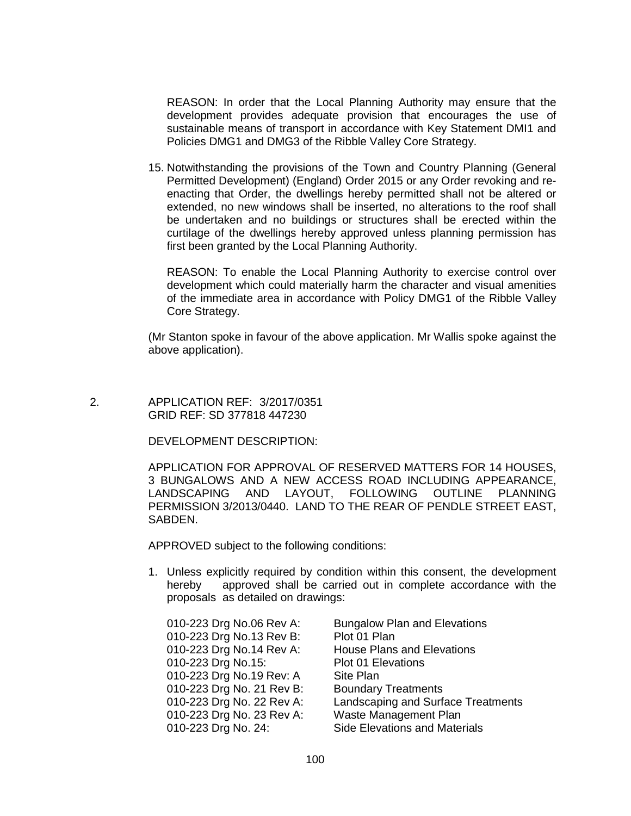REASON: In order that the Local Planning Authority may ensure that the development provides adequate provision that encourages the use of sustainable means of transport in accordance with Key Statement DMI1 and Policies DMG1 and DMG3 of the Ribble Valley Core Strategy.

15. Notwithstanding the provisions of the Town and Country Planning (General Permitted Development) (England) Order 2015 or any Order revoking and reenacting that Order, the dwellings hereby permitted shall not be altered or extended, no new windows shall be inserted, no alterations to the roof shall be undertaken and no buildings or structures shall be erected within the curtilage of the dwellings hereby approved unless planning permission has first been granted by the Local Planning Authority.

REASON: To enable the Local Planning Authority to exercise control over development which could materially harm the character and visual amenities of the immediate area in accordance with Policy DMG1 of the Ribble Valley Core Strategy.

(Mr Stanton spoke in favour of the above application. Mr Wallis spoke against the above application).

## 2. APPLICATION REF: 3/2017/0351 GRID REF: SD 377818 447230

## DEVELOPMENT DESCRIPTION:

APPLICATION FOR APPROVAL OF RESERVED MATTERS FOR 14 HOUSES, 3 BUNGALOWS AND A NEW ACCESS ROAD INCLUDING APPEARANCE, LANDSCAPING AND LAYOUT, FOLLOWING OUTLINE PLANNING PERMISSION 3/2013/0440. LAND TO THE REAR OF PENDLE STREET EAST, SABDEN.

APPROVED subject to the following conditions:

1. Unless explicitly required by condition within this consent, the development hereby approved shall be carried out in complete accordance with the proposals as detailed on drawings: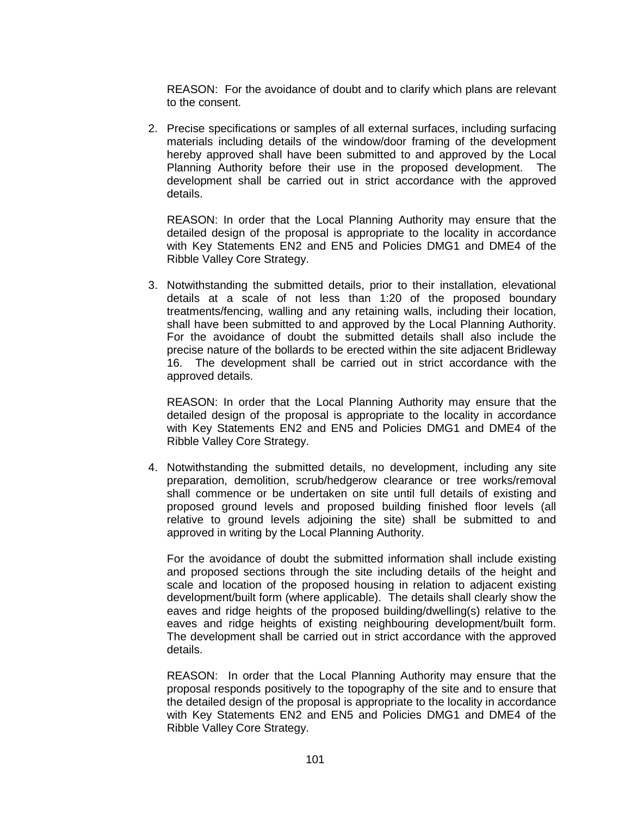REASON: For the avoidance of doubt and to clarify which plans are relevant to the consent.

2. Precise specifications or samples of all external surfaces, including surfacing materials including details of the window/door framing of the development hereby approved shall have been submitted to and approved by the Local Planning Authority before their use in the proposed development. The development shall be carried out in strict accordance with the approved details.

REASON: In order that the Local Planning Authority may ensure that the detailed design of the proposal is appropriate to the locality in accordance with Key Statements EN2 and EN5 and Policies DMG1 and DME4 of the Ribble Valley Core Strategy.

3. Notwithstanding the submitted details, prior to their installation, elevational details at a scale of not less than 1:20 of the proposed boundary treatments/fencing, walling and any retaining walls, including their location, shall have been submitted to and approved by the Local Planning Authority. For the avoidance of doubt the submitted details shall also include the precise nature of the bollards to be erected within the site adjacent Bridleway 16. The development shall be carried out in strict accordance with the approved details.

REASON: In order that the Local Planning Authority may ensure that the detailed design of the proposal is appropriate to the locality in accordance with Key Statements EN2 and EN5 and Policies DMG1 and DME4 of the Ribble Valley Core Strategy.

4. Notwithstanding the submitted details, no development, including any site preparation, demolition, scrub/hedgerow clearance or tree works/removal shall commence or be undertaken on site until full details of existing and proposed ground levels and proposed building finished floor levels (all relative to ground levels adjoining the site) shall be submitted to and approved in writing by the Local Planning Authority.

For the avoidance of doubt the submitted information shall include existing and proposed sections through the site including details of the height and scale and location of the proposed housing in relation to adjacent existing development/built form (where applicable). The details shall clearly show the eaves and ridge heights of the proposed building/dwelling(s) relative to the eaves and ridge heights of existing neighbouring development/built form. The development shall be carried out in strict accordance with the approved details.

REASON: In order that the Local Planning Authority may ensure that the proposal responds positively to the topography of the site and to ensure that the detailed design of the proposal is appropriate to the locality in accordance with Key Statements EN2 and EN5 and Policies DMG1 and DME4 of the Ribble Valley Core Strategy.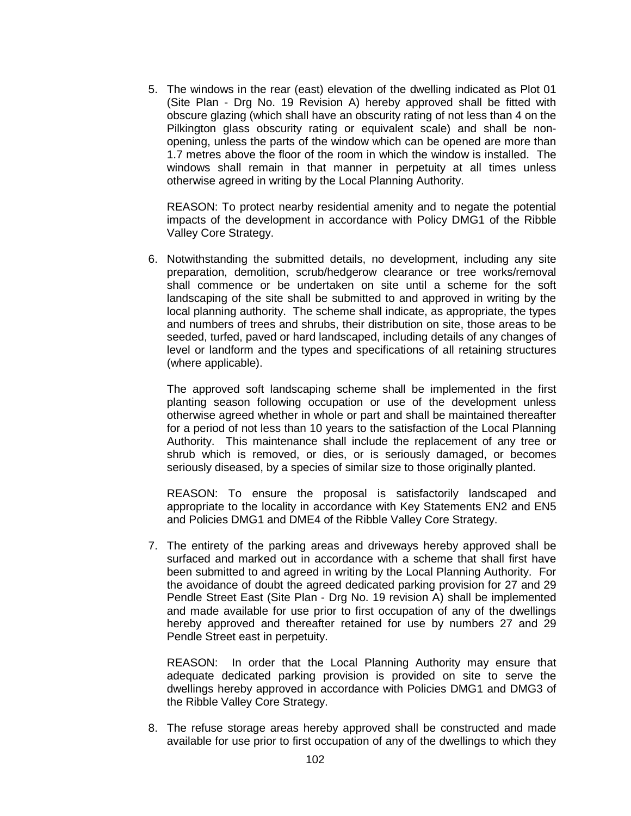5. The windows in the rear (east) elevation of the dwelling indicated as Plot 01 (Site Plan - Drg No. 19 Revision A) hereby approved shall be fitted with obscure glazing (which shall have an obscurity rating of not less than 4 on the Pilkington glass obscurity rating or equivalent scale) and shall be nonopening, unless the parts of the window which can be opened are more than 1.7 metres above the floor of the room in which the window is installed. The windows shall remain in that manner in perpetuity at all times unless otherwise agreed in writing by the Local Planning Authority.

REASON: To protect nearby residential amenity and to negate the potential impacts of the development in accordance with Policy DMG1 of the Ribble Valley Core Strategy.

6. Notwithstanding the submitted details, no development, including any site preparation, demolition, scrub/hedgerow clearance or tree works/removal shall commence or be undertaken on site until a scheme for the soft landscaping of the site shall be submitted to and approved in writing by the local planning authority. The scheme shall indicate, as appropriate, the types and numbers of trees and shrubs, their distribution on site, those areas to be seeded, turfed, paved or hard landscaped, including details of any changes of level or landform and the types and specifications of all retaining structures (where applicable).

The approved soft landscaping scheme shall be implemented in the first planting season following occupation or use of the development unless otherwise agreed whether in whole or part and shall be maintained thereafter for a period of not less than 10 years to the satisfaction of the Local Planning Authority. This maintenance shall include the replacement of any tree or shrub which is removed, or dies, or is seriously damaged, or becomes seriously diseased, by a species of similar size to those originally planted.

REASON: To ensure the proposal is satisfactorily landscaped and appropriate to the locality in accordance with Key Statements EN2 and EN5 and Policies DMG1 and DME4 of the Ribble Valley Core Strategy.

7. The entirety of the parking areas and driveways hereby approved shall be surfaced and marked out in accordance with a scheme that shall first have been submitted to and agreed in writing by the Local Planning Authority. For the avoidance of doubt the agreed dedicated parking provision for 27 and 29 Pendle Street East (Site Plan - Drg No. 19 revision A) shall be implemented and made available for use prior to first occupation of any of the dwellings hereby approved and thereafter retained for use by numbers 27 and 29 Pendle Street east in perpetuity.

REASON: In order that the Local Planning Authority may ensure that adequate dedicated parking provision is provided on site to serve the dwellings hereby approved in accordance with Policies DMG1 and DMG3 of the Ribble Valley Core Strategy.

8. The refuse storage areas hereby approved shall be constructed and made available for use prior to first occupation of any of the dwellings to which they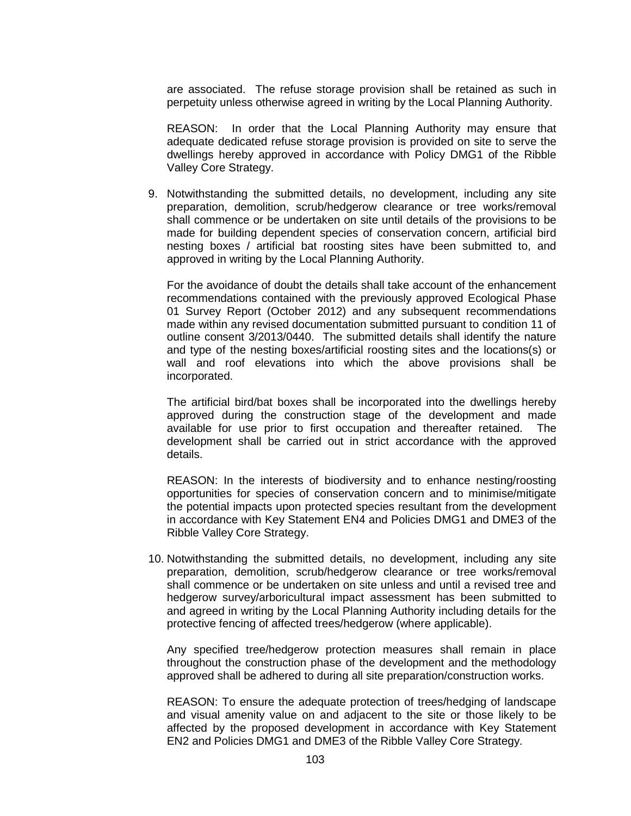are associated. The refuse storage provision shall be retained as such in perpetuity unless otherwise agreed in writing by the Local Planning Authority.

REASON: In order that the Local Planning Authority may ensure that adequate dedicated refuse storage provision is provided on site to serve the dwellings hereby approved in accordance with Policy DMG1 of the Ribble Valley Core Strategy.

9. Notwithstanding the submitted details, no development, including any site preparation, demolition, scrub/hedgerow clearance or tree works/removal shall commence or be undertaken on site until details of the provisions to be made for building dependent species of conservation concern, artificial bird nesting boxes / artificial bat roosting sites have been submitted to, and approved in writing by the Local Planning Authority.

For the avoidance of doubt the details shall take account of the enhancement recommendations contained with the previously approved Ecological Phase 01 Survey Report (October 2012) and any subsequent recommendations made within any revised documentation submitted pursuant to condition 11 of outline consent 3/2013/0440. The submitted details shall identify the nature and type of the nesting boxes/artificial roosting sites and the locations(s) or wall and roof elevations into which the above provisions shall be incorporated.

The artificial bird/bat boxes shall be incorporated into the dwellings hereby approved during the construction stage of the development and made available for use prior to first occupation and thereafter retained. The development shall be carried out in strict accordance with the approved details.

REASON: In the interests of biodiversity and to enhance nesting/roosting opportunities for species of conservation concern and to minimise/mitigate the potential impacts upon protected species resultant from the development in accordance with Key Statement EN4 and Policies DMG1 and DME3 of the Ribble Valley Core Strategy.

10. Notwithstanding the submitted details, no development, including any site preparation, demolition, scrub/hedgerow clearance or tree works/removal shall commence or be undertaken on site unless and until a revised tree and hedgerow survey/arboricultural impact assessment has been submitted to and agreed in writing by the Local Planning Authority including details for the protective fencing of affected trees/hedgerow (where applicable).

Any specified tree/hedgerow protection measures shall remain in place throughout the construction phase of the development and the methodology approved shall be adhered to during all site preparation/construction works.

REASON: To ensure the adequate protection of trees/hedging of landscape and visual amenity value on and adjacent to the site or those likely to be affected by the proposed development in accordance with Key Statement EN2 and Policies DMG1 and DME3 of the Ribble Valley Core Strategy.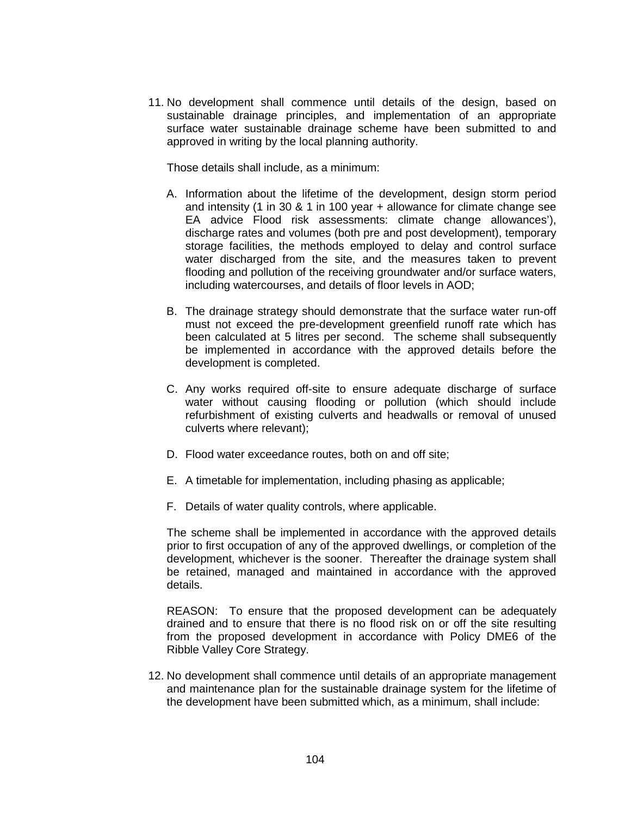11. No development shall commence until details of the design, based on sustainable drainage principles, and implementation of an appropriate surface water sustainable drainage scheme have been submitted to and approved in writing by the local planning authority.

Those details shall include, as a minimum:

- A. Information about the lifetime of the development, design storm period and intensity (1 in 30 & 1 in 100 year + allowance for climate change see EA advice Flood risk assessments: climate change allowances'), discharge rates and volumes (both pre and post development), temporary storage facilities, the methods employed to delay and control surface water discharged from the site, and the measures taken to prevent flooding and pollution of the receiving groundwater and/or surface waters, including watercourses, and details of floor levels in AOD;
- B. The drainage strategy should demonstrate that the surface water run-off must not exceed the pre-development greenfield runoff rate which has been calculated at 5 litres per second. The scheme shall subsequently be implemented in accordance with the approved details before the development is completed.
- C. Any works required off-site to ensure adequate discharge of surface water without causing flooding or pollution (which should include refurbishment of existing culverts and headwalls or removal of unused culverts where relevant);
- D. Flood water exceedance routes, both on and off site;
- E. A timetable for implementation, including phasing as applicable;
- F. Details of water quality controls, where applicable.

The scheme shall be implemented in accordance with the approved details prior to first occupation of any of the approved dwellings, or completion of the development, whichever is the sooner. Thereafter the drainage system shall be retained, managed and maintained in accordance with the approved details.

REASON: To ensure that the proposed development can be adequately drained and to ensure that there is no flood risk on or off the site resulting from the proposed development in accordance with Policy DME6 of the Ribble Valley Core Strategy.

12. No development shall commence until details of an appropriate management and maintenance plan for the sustainable drainage system for the lifetime of the development have been submitted which, as a minimum, shall include: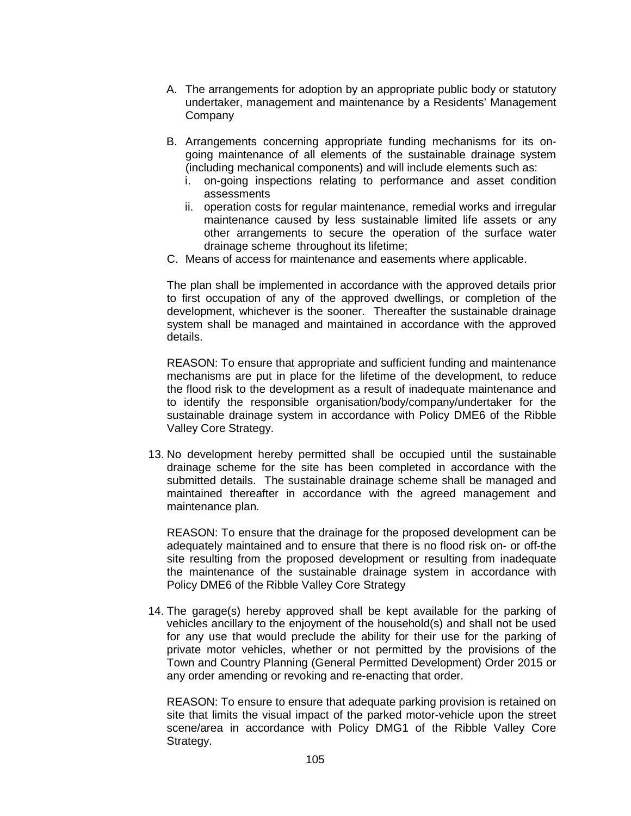- A. The arrangements for adoption by an appropriate public body or statutory undertaker, management and maintenance by a Residents' Management **Company**
- B. Arrangements concerning appropriate funding mechanisms for its ongoing maintenance of all elements of the sustainable drainage system (including mechanical components) and will include elements such as:
	- i. on-going inspections relating to performance and asset condition assessments
	- ii. operation costs for regular maintenance, remedial works and irregular maintenance caused by less sustainable limited life assets or any other arrangements to secure the operation of the surface water drainage scheme throughout its lifetime;
- C. Means of access for maintenance and easements where applicable.

The plan shall be implemented in accordance with the approved details prior to first occupation of any of the approved dwellings, or completion of the development, whichever is the sooner. Thereafter the sustainable drainage system shall be managed and maintained in accordance with the approved details.

REASON: To ensure that appropriate and sufficient funding and maintenance mechanisms are put in place for the lifetime of the development, to reduce the flood risk to the development as a result of inadequate maintenance and to identify the responsible organisation/body/company/undertaker for the sustainable drainage system in accordance with Policy DME6 of the Ribble Valley Core Strategy.

13. No development hereby permitted shall be occupied until the sustainable drainage scheme for the site has been completed in accordance with the submitted details. The sustainable drainage scheme shall be managed and maintained thereafter in accordance with the agreed management and maintenance plan.

REASON: To ensure that the drainage for the proposed development can be adequately maintained and to ensure that there is no flood risk on- or off-the site resulting from the proposed development or resulting from inadequate the maintenance of the sustainable drainage system in accordance with Policy DME6 of the Ribble Valley Core Strategy

14. The garage(s) hereby approved shall be kept available for the parking of vehicles ancillary to the enjoyment of the household(s) and shall not be used for any use that would preclude the ability for their use for the parking of private motor vehicles, whether or not permitted by the provisions of the Town and Country Planning (General Permitted Development) Order 2015 or any order amending or revoking and re-enacting that order.

REASON: To ensure to ensure that adequate parking provision is retained on site that limits the visual impact of the parked motor-vehicle upon the street scene/area in accordance with Policy DMG1 of the Ribble Valley Core Strategy.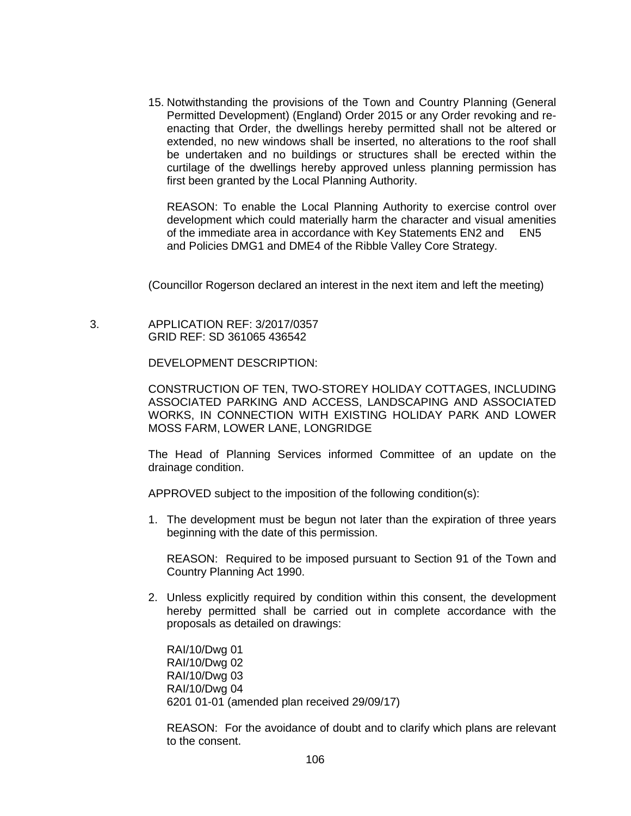15. Notwithstanding the provisions of the Town and Country Planning (General Permitted Development) (England) Order 2015 or any Order revoking and reenacting that Order, the dwellings hereby permitted shall not be altered or extended, no new windows shall be inserted, no alterations to the roof shall be undertaken and no buildings or structures shall be erected within the curtilage of the dwellings hereby approved unless planning permission has first been granted by the Local Planning Authority.

REASON: To enable the Local Planning Authority to exercise control over development which could materially harm the character and visual amenities of the immediate area in accordance with Key Statements EN2 and EN5 and Policies DMG1 and DME4 of the Ribble Valley Core Strategy.

(Councillor Rogerson declared an interest in the next item and left the meeting)

 3. APPLICATION REF: 3/2017/0357 GRID REF: SD 361065 436542

DEVELOPMENT DESCRIPTION:

CONSTRUCTION OF TEN, TWO-STOREY HOLIDAY COTTAGES, INCLUDING ASSOCIATED PARKING AND ACCESS, LANDSCAPING AND ASSOCIATED WORKS, IN CONNECTION WITH EXISTING HOLIDAY PARK AND LOWER MOSS FARM, LOWER LANE, LONGRIDGE

The Head of Planning Services informed Committee of an update on the drainage condition.

APPROVED subject to the imposition of the following condition(s):

1. The development must be begun not later than the expiration of three years beginning with the date of this permission.

REASON: Required to be imposed pursuant to Section 91 of the Town and Country Planning Act 1990.

2. Unless explicitly required by condition within this consent, the development hereby permitted shall be carried out in complete accordance with the proposals as detailed on drawings:

RAI/10/Dwg 01 RAI/10/Dwg 02 RAI/10/Dwg 03 RAI/10/Dwg 04 6201 01-01 (amended plan received 29/09/17)

REASON: For the avoidance of doubt and to clarify which plans are relevant to the consent.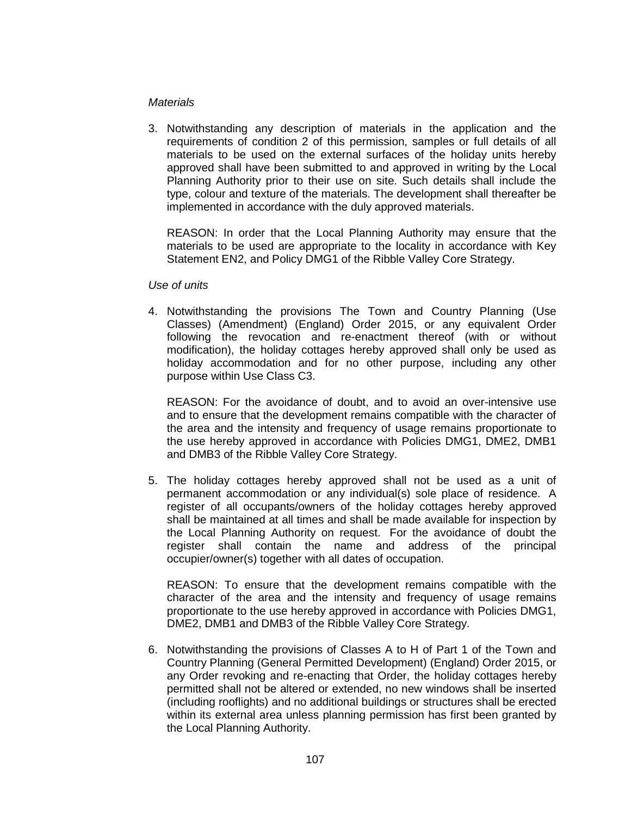## *Materials*

3. Notwithstanding any description of materials in the application and the requirements of condition 2 of this permission, samples or full details of all materials to be used on the external surfaces of the holiday units hereby approved shall have been submitted to and approved in writing by the Local Planning Authority prior to their use on site. Such details shall include the type, colour and texture of the materials. The development shall thereafter be implemented in accordance with the duly approved materials.

REASON: In order that the Local Planning Authority may ensure that the materials to be used are appropriate to the locality in accordance with Key Statement EN2, and Policy DMG1 of the Ribble Valley Core Strategy.

### *Use of units*

4. Notwithstanding the provisions The Town and Country Planning (Use Classes) (Amendment) (England) Order 2015, or any equivalent Order following the revocation and re-enactment thereof (with or without modification), the holiday cottages hereby approved shall only be used as holiday accommodation and for no other purpose, including any other purpose within Use Class C3.

REASON: For the avoidance of doubt, and to avoid an over-intensive use and to ensure that the development remains compatible with the character of the area and the intensity and frequency of usage remains proportionate to the use hereby approved in accordance with Policies DMG1, DME2, DMB1 and DMB3 of the Ribble Valley Core Strategy.

5. The holiday cottages hereby approved shall not be used as a unit of permanent accommodation or any individual(s) sole place of residence. A register of all occupants/owners of the holiday cottages hereby approved shall be maintained at all times and shall be made available for inspection by the Local Planning Authority on request. For the avoidance of doubt the register shall contain the name and address of the principal occupier/owner(s) together with all dates of occupation.

REASON: To ensure that the development remains compatible with the character of the area and the intensity and frequency of usage remains proportionate to the use hereby approved in accordance with Policies DMG1, DME2, DMB1 and DMB3 of the Ribble Valley Core Strategy.

6. Notwithstanding the provisions of Classes A to H of Part 1 of the Town and Country Planning (General Permitted Development) (England) Order 2015, or any Order revoking and re-enacting that Order, the holiday cottages hereby permitted shall not be altered or extended, no new windows shall be inserted (including rooflights) and no additional buildings or structures shall be erected within its external area unless planning permission has first been granted by the Local Planning Authority.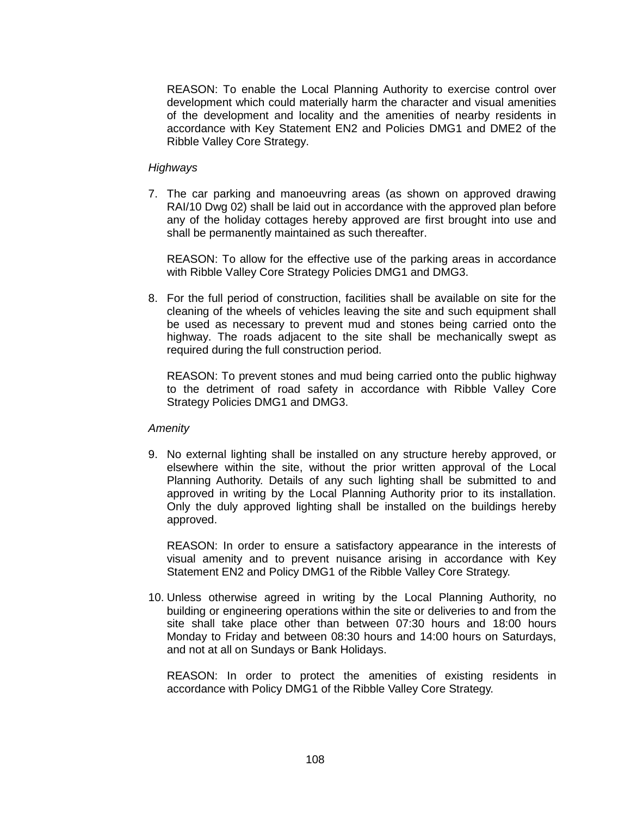REASON: To enable the Local Planning Authority to exercise control over development which could materially harm the character and visual amenities of the development and locality and the amenities of nearby residents in accordance with Key Statement EN2 and Policies DMG1 and DME2 of the Ribble Valley Core Strategy.

# *Highways*

7. The car parking and manoeuvring areas (as shown on approved drawing RAI/10 Dwg 02) shall be laid out in accordance with the approved plan before any of the holiday cottages hereby approved are first brought into use and shall be permanently maintained as such thereafter.

REASON: To allow for the effective use of the parking areas in accordance with Ribble Valley Core Strategy Policies DMG1 and DMG3.

8. For the full period of construction, facilities shall be available on site for the cleaning of the wheels of vehicles leaving the site and such equipment shall be used as necessary to prevent mud and stones being carried onto the highway. The roads adjacent to the site shall be mechanically swept as required during the full construction period.

REASON: To prevent stones and mud being carried onto the public highway to the detriment of road safety in accordance with Ribble Valley Core Strategy Policies DMG1 and DMG3.

## *Amenity*

9. No external lighting shall be installed on any structure hereby approved, or elsewhere within the site, without the prior written approval of the Local Planning Authority. Details of any such lighting shall be submitted to and approved in writing by the Local Planning Authority prior to its installation. Only the duly approved lighting shall be installed on the buildings hereby approved.

REASON: In order to ensure a satisfactory appearance in the interests of visual amenity and to prevent nuisance arising in accordance with Key Statement EN2 and Policy DMG1 of the Ribble Valley Core Strategy.

10. Unless otherwise agreed in writing by the Local Planning Authority, no building or engineering operations within the site or deliveries to and from the site shall take place other than between 07:30 hours and 18:00 hours Monday to Friday and between 08:30 hours and 14:00 hours on Saturdays, and not at all on Sundays or Bank Holidays.

REASON: In order to protect the amenities of existing residents in accordance with Policy DMG1 of the Ribble Valley Core Strategy.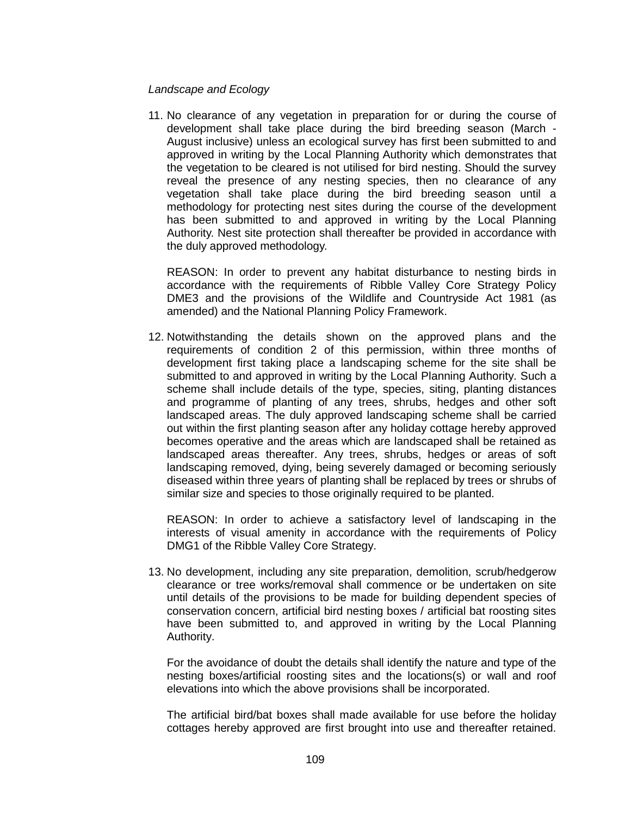## *Landscape and Ecology*

11. No clearance of any vegetation in preparation for or during the course of development shall take place during the bird breeding season (March - August inclusive) unless an ecological survey has first been submitted to and approved in writing by the Local Planning Authority which demonstrates that the vegetation to be cleared is not utilised for bird nesting. Should the survey reveal the presence of any nesting species, then no clearance of any vegetation shall take place during the bird breeding season until a methodology for protecting nest sites during the course of the development has been submitted to and approved in writing by the Local Planning Authority. Nest site protection shall thereafter be provided in accordance with the duly approved methodology.

REASON: In order to prevent any habitat disturbance to nesting birds in accordance with the requirements of Ribble Valley Core Strategy Policy DME3 and the provisions of the Wildlife and Countryside Act 1981 (as amended) and the National Planning Policy Framework.

12. Notwithstanding the details shown on the approved plans and the requirements of condition 2 of this permission, within three months of development first taking place a landscaping scheme for the site shall be submitted to and approved in writing by the Local Planning Authority. Such a scheme shall include details of the type, species, siting, planting distances and programme of planting of any trees, shrubs, hedges and other soft landscaped areas. The duly approved landscaping scheme shall be carried out within the first planting season after any holiday cottage hereby approved becomes operative and the areas which are landscaped shall be retained as landscaped areas thereafter. Any trees, shrubs, hedges or areas of soft landscaping removed, dying, being severely damaged or becoming seriously diseased within three years of planting shall be replaced by trees or shrubs of similar size and species to those originally required to be planted.

REASON: In order to achieve a satisfactory level of landscaping in the interests of visual amenity in accordance with the requirements of Policy DMG1 of the Ribble Valley Core Strategy.

13. No development, including any site preparation, demolition, scrub/hedgerow clearance or tree works/removal shall commence or be undertaken on site until details of the provisions to be made for building dependent species of conservation concern, artificial bird nesting boxes / artificial bat roosting sites have been submitted to, and approved in writing by the Local Planning Authority.

For the avoidance of doubt the details shall identify the nature and type of the nesting boxes/artificial roosting sites and the locations(s) or wall and roof elevations into which the above provisions shall be incorporated.

The artificial bird/bat boxes shall made available for use before the holiday cottages hereby approved are first brought into use and thereafter retained.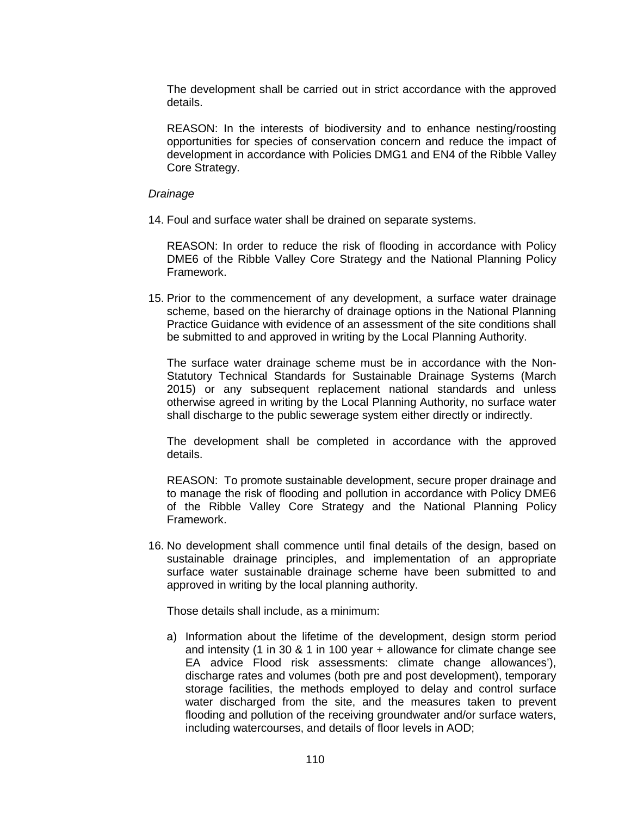The development shall be carried out in strict accordance with the approved details.

REASON: In the interests of biodiversity and to enhance nesting/roosting opportunities for species of conservation concern and reduce the impact of development in accordance with Policies DMG1 and EN4 of the Ribble Valley Core Strategy.

#### *Drainage*

14. Foul and surface water shall be drained on separate systems.

REASON: In order to reduce the risk of flooding in accordance with Policy DME6 of the Ribble Valley Core Strategy and the National Planning Policy Framework.

15. Prior to the commencement of any development, a surface water drainage scheme, based on the hierarchy of drainage options in the National Planning Practice Guidance with evidence of an assessment of the site conditions shall be submitted to and approved in writing by the Local Planning Authority.

The surface water drainage scheme must be in accordance with the Non-Statutory Technical Standards for Sustainable Drainage Systems (March 2015) or any subsequent replacement national standards and unless otherwise agreed in writing by the Local Planning Authority, no surface water shall discharge to the public sewerage system either directly or indirectly.

The development shall be completed in accordance with the approved details.

REASON: To promote sustainable development, secure proper drainage and to manage the risk of flooding and pollution in accordance with Policy DME6 of the Ribble Valley Core Strategy and the National Planning Policy Framework.

16. No development shall commence until final details of the design, based on sustainable drainage principles, and implementation of an appropriate surface water sustainable drainage scheme have been submitted to and approved in writing by the local planning authority.

Those details shall include, as a minimum:

a) Information about the lifetime of the development, design storm period and intensity (1 in 30 & 1 in 100 year + allowance for climate change see EA advice Flood risk assessments: climate change allowances'), discharge rates and volumes (both pre and post development), temporary storage facilities, the methods employed to delay and control surface water discharged from the site, and the measures taken to prevent flooding and pollution of the receiving groundwater and/or surface waters, including watercourses, and details of floor levels in AOD;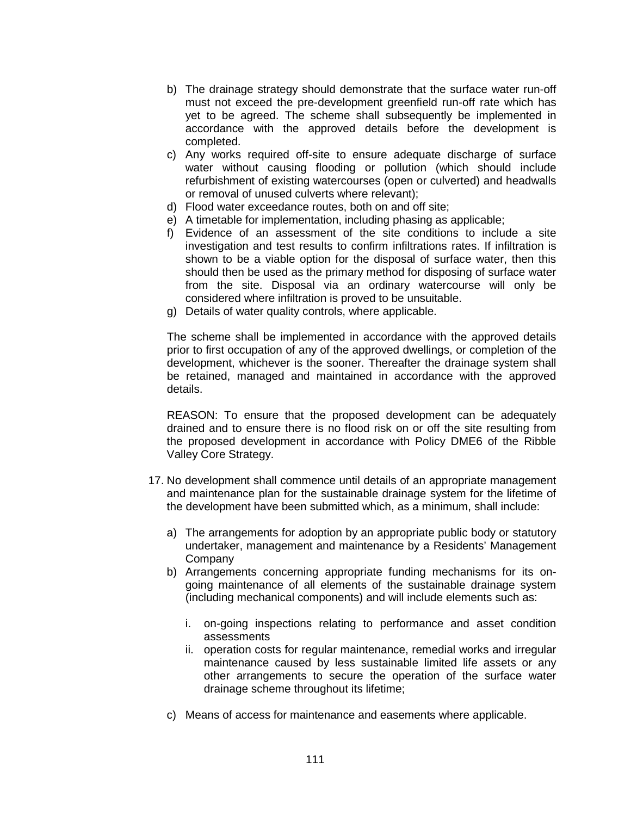- b) The drainage strategy should demonstrate that the surface water run-off must not exceed the pre-development greenfield run-off rate which has yet to be agreed. The scheme shall subsequently be implemented in accordance with the approved details before the development is completed.
- c) Any works required off-site to ensure adequate discharge of surface water without causing flooding or pollution (which should include refurbishment of existing watercourses (open or culverted) and headwalls or removal of unused culverts where relevant);
- d) Flood water exceedance routes, both on and off site;
- e) A timetable for implementation, including phasing as applicable;
- f) Evidence of an assessment of the site conditions to include a site investigation and test results to confirm infiltrations rates. If infiltration is shown to be a viable option for the disposal of surface water, then this should then be used as the primary method for disposing of surface water from the site. Disposal via an ordinary watercourse will only be considered where infiltration is proved to be unsuitable.
- g) Details of water quality controls, where applicable.

The scheme shall be implemented in accordance with the approved details prior to first occupation of any of the approved dwellings, or completion of the development, whichever is the sooner. Thereafter the drainage system shall be retained, managed and maintained in accordance with the approved details.

REASON: To ensure that the proposed development can be adequately drained and to ensure there is no flood risk on or off the site resulting from the proposed development in accordance with Policy DME6 of the Ribble Valley Core Strategy.

- 17. No development shall commence until details of an appropriate management and maintenance plan for the sustainable drainage system for the lifetime of the development have been submitted which, as a minimum, shall include:
	- a) The arrangements for adoption by an appropriate public body or statutory undertaker, management and maintenance by a Residents' Management Company
	- b) Arrangements concerning appropriate funding mechanisms for its ongoing maintenance of all elements of the sustainable drainage system (including mechanical components) and will include elements such as:
		- i. on-going inspections relating to performance and asset condition assessments
		- ii. operation costs for regular maintenance, remedial works and irregular maintenance caused by less sustainable limited life assets or any other arrangements to secure the operation of the surface water drainage scheme throughout its lifetime;
	- c) Means of access for maintenance and easements where applicable.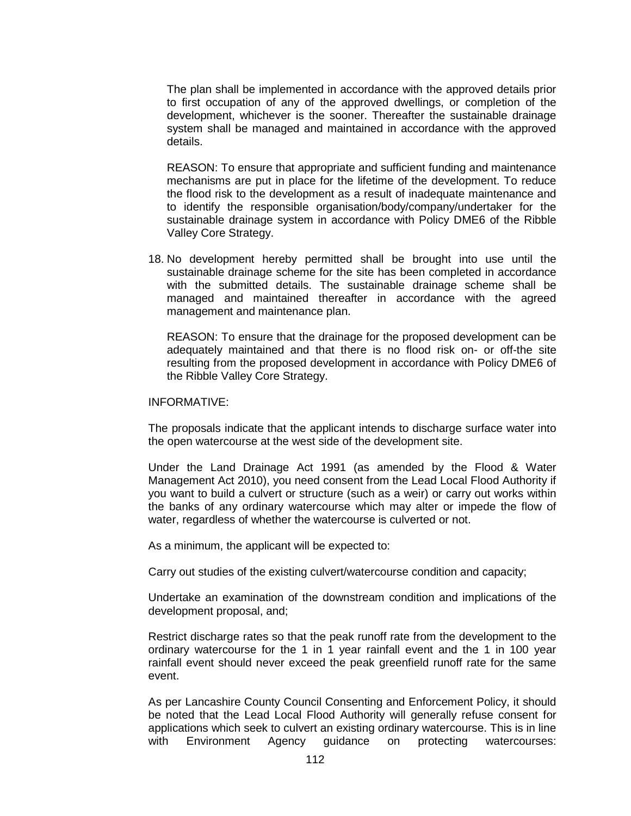The plan shall be implemented in accordance with the approved details prior to first occupation of any of the approved dwellings, or completion of the development, whichever is the sooner. Thereafter the sustainable drainage system shall be managed and maintained in accordance with the approved details.

REASON: To ensure that appropriate and sufficient funding and maintenance mechanisms are put in place for the lifetime of the development. To reduce the flood risk to the development as a result of inadequate maintenance and to identify the responsible organisation/body/company/undertaker for the sustainable drainage system in accordance with Policy DME6 of the Ribble Valley Core Strategy.

18. No development hereby permitted shall be brought into use until the sustainable drainage scheme for the site has been completed in accordance with the submitted details. The sustainable drainage scheme shall be managed and maintained thereafter in accordance with the agreed management and maintenance plan.

REASON: To ensure that the drainage for the proposed development can be adequately maintained and that there is no flood risk on- or off-the site resulting from the proposed development in accordance with Policy DME6 of the Ribble Valley Core Strategy.

#### INFORMATIVE:

The proposals indicate that the applicant intends to discharge surface water into the open watercourse at the west side of the development site.

Under the Land Drainage Act 1991 (as amended by the Flood & Water Management Act 2010), you need consent from the Lead Local Flood Authority if you want to build a culvert or structure (such as a weir) or carry out works within the banks of any ordinary watercourse which may alter or impede the flow of water, regardless of whether the watercourse is culverted or not.

As a minimum, the applicant will be expected to:

Carry out studies of the existing culvert/watercourse condition and capacity;

Undertake an examination of the downstream condition and implications of the development proposal, and;

Restrict discharge rates so that the peak runoff rate from the development to the ordinary watercourse for the 1 in 1 year rainfall event and the 1 in 100 year rainfall event should never exceed the peak greenfield runoff rate for the same event.

As per Lancashire County Council Consenting and Enforcement Policy, it should be noted that the Lead Local Flood Authority will generally refuse consent for applications which seek to culvert an existing ordinary watercourse. This is in line with Environment Agency guidance on protecting watercourses: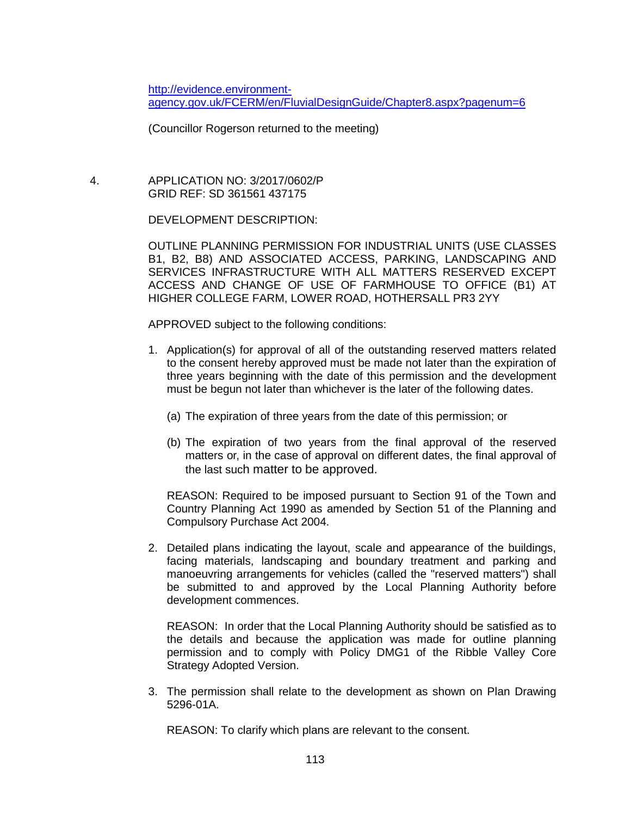[http://evidence.environment](http://evidence.environment-agency.gov.uk/FCERM/en/FluvialDesignGuide/Chapter8.aspx?pagenum=6)[agency.gov.uk/FCERM/en/FluvialDesignGuide/Chapter8.aspx?pagenum=6](http://evidence.environment-agency.gov.uk/FCERM/en/FluvialDesignGuide/Chapter8.aspx?pagenum=6)

(Councillor Rogerson returned to the meeting)

 4. APPLICATION NO: 3/2017/0602/P GRID REF: SD 361561 437175

DEVELOPMENT DESCRIPTION:

OUTLINE PLANNING PERMISSION FOR INDUSTRIAL UNITS (USE CLASSES B1, B2, B8) AND ASSOCIATED ACCESS, PARKING, LANDSCAPING AND SERVICES INFRASTRUCTURE WITH ALL MATTERS RESERVED EXCEPT ACCESS AND CHANGE OF USE OF FARMHOUSE TO OFFICE (B1) AT HIGHER COLLEGE FARM, LOWER ROAD, HOTHERSALL PR3 2YY

APPROVED subject to the following conditions:

- 1. Application(s) for approval of all of the outstanding reserved matters related to the consent hereby approved must be made not later than the expiration of three years beginning with the date of this permission and the development must be begun not later than whichever is the later of the following dates.
	- (a) The expiration of three years from the date of this permission; or
	- (b) The expiration of two years from the final approval of the reserved matters or, in the case of approval on different dates, the final approval of the last such matter to be approved.

REASON: Required to be imposed pursuant to Section 91 of the Town and Country Planning Act 1990 as amended by Section 51 of the Planning and Compulsory Purchase Act 2004.

2. Detailed plans indicating the layout, scale and appearance of the buildings, facing materials, landscaping and boundary treatment and parking and manoeuvring arrangements for vehicles (called the "reserved matters") shall be submitted to and approved by the Local Planning Authority before development commences.

REASON: In order that the Local Planning Authority should be satisfied as to the details and because the application was made for outline planning permission and to comply with Policy DMG1 of the Ribble Valley Core Strategy Adopted Version.

3. The permission shall relate to the development as shown on Plan Drawing 5296-01A.

REASON: To clarify which plans are relevant to the consent.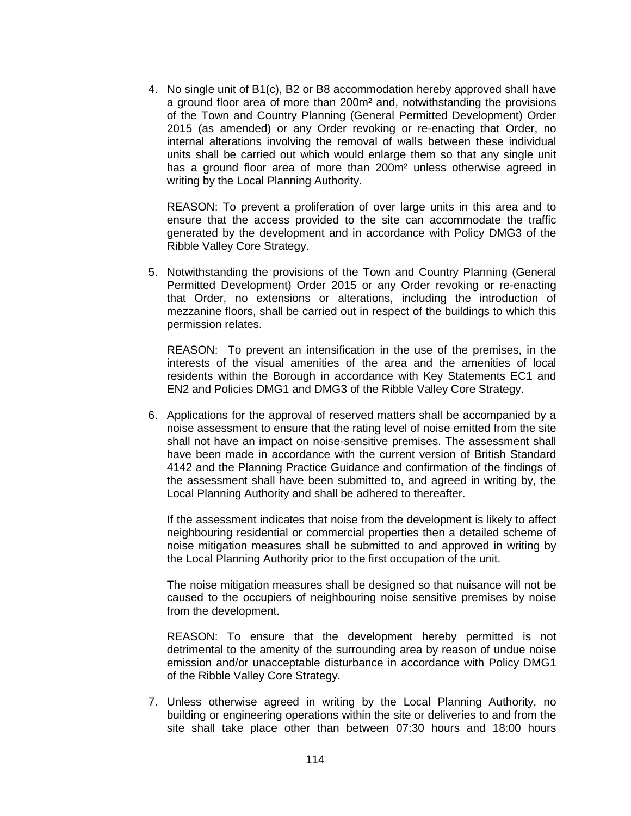4. No single unit of B1(c), B2 or B8 accommodation hereby approved shall have a ground floor area of more than 200m² and, notwithstanding the provisions of the Town and Country Planning (General Permitted Development) Order 2015 (as amended) or any Order revoking or re-enacting that Order, no internal alterations involving the removal of walls between these individual units shall be carried out which would enlarge them so that any single unit has a ground floor area of more than 200m<sup>2</sup> unless otherwise agreed in writing by the Local Planning Authority.

REASON: To prevent a proliferation of over large units in this area and to ensure that the access provided to the site can accommodate the traffic generated by the development and in accordance with Policy DMG3 of the Ribble Valley Core Strategy.

5. Notwithstanding the provisions of the Town and Country Planning (General Permitted Development) Order 2015 or any Order revoking or re-enacting that Order, no extensions or alterations, including the introduction of mezzanine floors, shall be carried out in respect of the buildings to which this permission relates.

REASON: To prevent an intensification in the use of the premises, in the interests of the visual amenities of the area and the amenities of local residents within the Borough in accordance with Key Statements EC1 and EN2 and Policies DMG1 and DMG3 of the Ribble Valley Core Strategy.

6. Applications for the approval of reserved matters shall be accompanied by a noise assessment to ensure that the rating level of noise emitted from the site shall not have an impact on noise-sensitive premises. The assessment shall have been made in accordance with the current version of British Standard 4142 and the Planning Practice Guidance and confirmation of the findings of the assessment shall have been submitted to, and agreed in writing by, the Local Planning Authority and shall be adhered to thereafter.

If the assessment indicates that noise from the development is likely to affect neighbouring residential or commercial properties then a detailed scheme of noise mitigation measures shall be submitted to and approved in writing by the Local Planning Authority prior to the first occupation of the unit.

The noise mitigation measures shall be designed so that nuisance will not be caused to the occupiers of neighbouring noise sensitive premises by noise from the development.

REASON: To ensure that the development hereby permitted is not detrimental to the amenity of the surrounding area by reason of undue noise emission and/or unacceptable disturbance in accordance with Policy DMG1 of the Ribble Valley Core Strategy.

7. Unless otherwise agreed in writing by the Local Planning Authority, no building or engineering operations within the site or deliveries to and from the site shall take place other than between 07:30 hours and 18:00 hours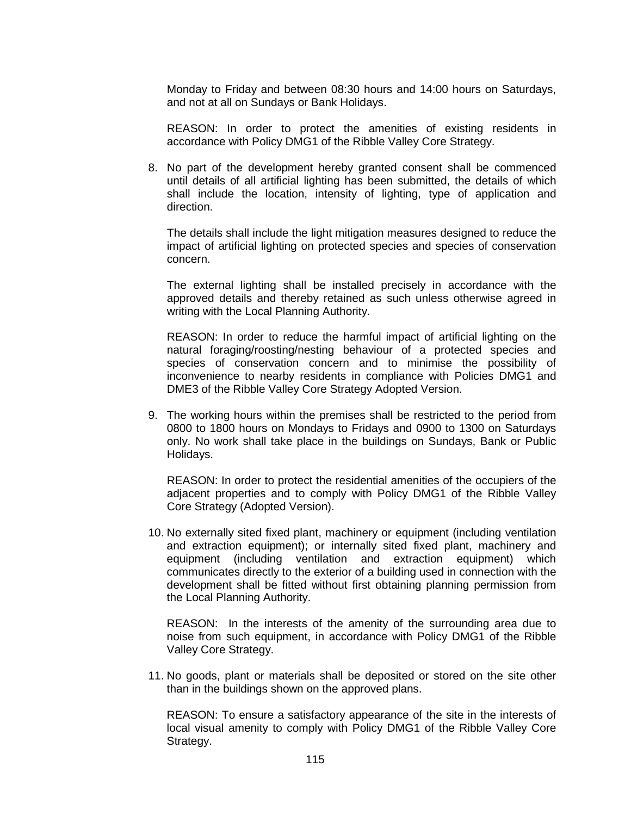Monday to Friday and between 08:30 hours and 14:00 hours on Saturdays, and not at all on Sundays or Bank Holidays.

REASON: In order to protect the amenities of existing residents in accordance with Policy DMG1 of the Ribble Valley Core Strategy.

8. No part of the development hereby granted consent shall be commenced until details of all artificial lighting has been submitted, the details of which shall include the location, intensity of lighting, type of application and direction.

The details shall include the light mitigation measures designed to reduce the impact of artificial lighting on protected species and species of conservation concern.

The external lighting shall be installed precisely in accordance with the approved details and thereby retained as such unless otherwise agreed in writing with the Local Planning Authority.

REASON: In order to reduce the harmful impact of artificial lighting on the natural foraging/roosting/nesting behaviour of a protected species and species of conservation concern and to minimise the possibility of inconvenience to nearby residents in compliance with Policies DMG1 and DME3 of the Ribble Valley Core Strategy Adopted Version.

9. The working hours within the premises shall be restricted to the period from 0800 to 1800 hours on Mondays to Fridays and 0900 to 1300 on Saturdays only. No work shall take place in the buildings on Sundays, Bank or Public Holidays.

REASON: In order to protect the residential amenities of the occupiers of the adjacent properties and to comply with Policy DMG1 of the Ribble Valley Core Strategy (Adopted Version).

10. No externally sited fixed plant, machinery or equipment (including ventilation and extraction equipment); or internally sited fixed plant, machinery and equipment (including ventilation and extraction equipment) which communicates directly to the exterior of a building used in connection with the development shall be fitted without first obtaining planning permission from the Local Planning Authority.

REASON: In the interests of the amenity of the surrounding area due to noise from such equipment, in accordance with Policy DMG1 of the Ribble Valley Core Strategy.

11. No goods, plant or materials shall be deposited or stored on the site other than in the buildings shown on the approved plans.

REASON: To ensure a satisfactory appearance of the site in the interests of local visual amenity to comply with Policy DMG1 of the Ribble Valley Core Strategy.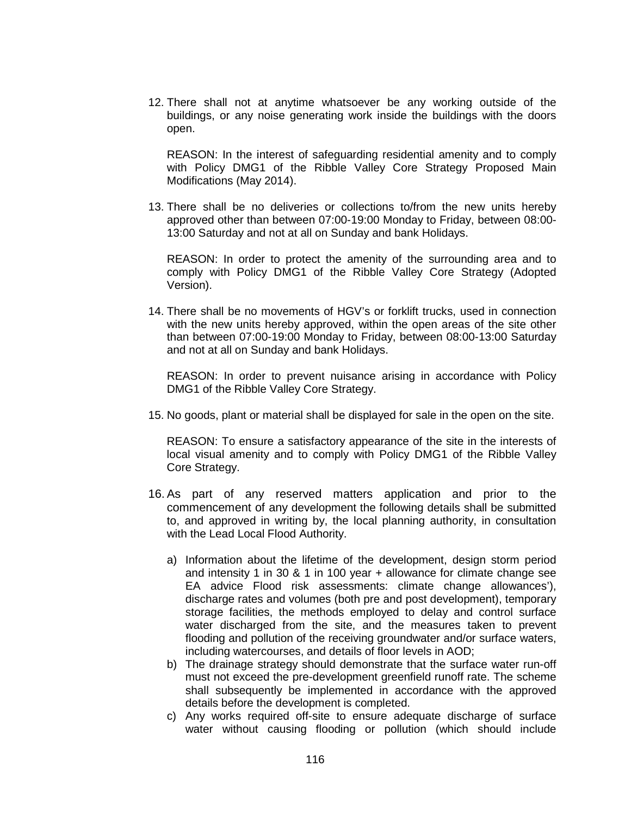12. There shall not at anytime whatsoever be any working outside of the buildings, or any noise generating work inside the buildings with the doors open.

REASON: In the interest of safeguarding residential amenity and to comply with Policy DMG1 of the Ribble Valley Core Strategy Proposed Main Modifications (May 2014).

13. There shall be no deliveries or collections to/from the new units hereby approved other than between 07:00-19:00 Monday to Friday, between 08:00- 13:00 Saturday and not at all on Sunday and bank Holidays.

REASON: In order to protect the amenity of the surrounding area and to comply with Policy DMG1 of the Ribble Valley Core Strategy (Adopted Version).

14. There shall be no movements of HGV's or forklift trucks, used in connection with the new units hereby approved, within the open areas of the site other than between 07:00-19:00 Monday to Friday, between 08:00-13:00 Saturday and not at all on Sunday and bank Holidays.

REASON: In order to prevent nuisance arising in accordance with Policy DMG1 of the Ribble Valley Core Strategy.

15. No goods, plant or material shall be displayed for sale in the open on the site.

REASON: To ensure a satisfactory appearance of the site in the interests of local visual amenity and to comply with Policy DMG1 of the Ribble Valley Core Strategy.

- 16. As part of any reserved matters application and prior to the commencement of any development the following details shall be submitted to, and approved in writing by, the local planning authority, in consultation with the Lead Local Flood Authority.
	- a) Information about the lifetime of the development, design storm period and intensity 1 in 30 & 1 in 100 year + allowance for climate change see EA advice Flood risk assessments: climate change allowances'), discharge rates and volumes (both pre and post development), temporary storage facilities, the methods employed to delay and control surface water discharged from the site, and the measures taken to prevent flooding and pollution of the receiving groundwater and/or surface waters, including watercourses, and details of floor levels in AOD;
	- b) The drainage strategy should demonstrate that the surface water run-off must not exceed the pre-development greenfield runoff rate. The scheme shall subsequently be implemented in accordance with the approved details before the development is completed.
	- c) Any works required off-site to ensure adequate discharge of surface water without causing flooding or pollution (which should include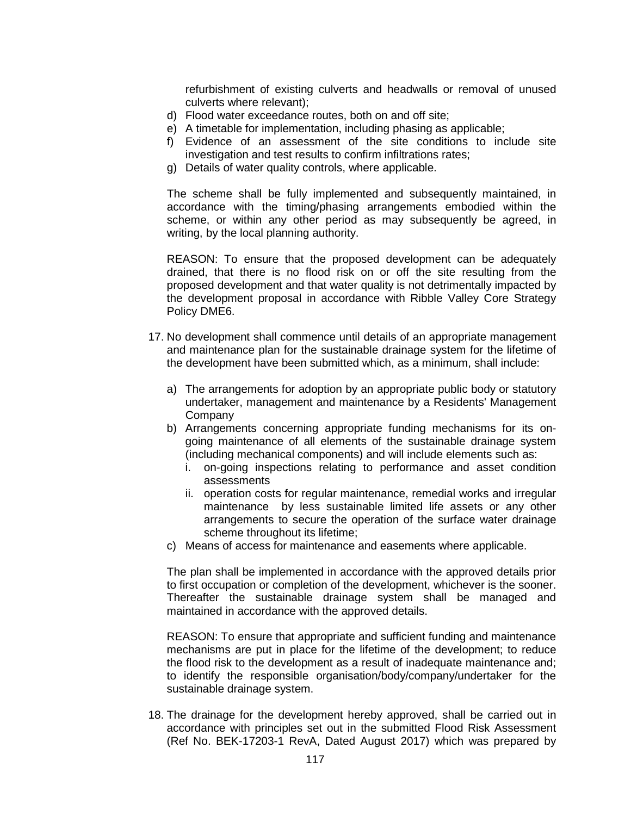refurbishment of existing culverts and headwalls or removal of unused culverts where relevant);

- d) Flood water exceedance routes, both on and off site;
- e) A timetable for implementation, including phasing as applicable;
- f) Evidence of an assessment of the site conditions to include site investigation and test results to confirm infiltrations rates;
- g) Details of water quality controls, where applicable.

The scheme shall be fully implemented and subsequently maintained, in accordance with the timing/phasing arrangements embodied within the scheme, or within any other period as may subsequently be agreed, in writing, by the local planning authority.

REASON: To ensure that the proposed development can be adequately drained, that there is no flood risk on or off the site resulting from the proposed development and that water quality is not detrimentally impacted by the development proposal in accordance with Ribble Valley Core Strategy Policy DME6.

- 17. No development shall commence until details of an appropriate management and maintenance plan for the sustainable drainage system for the lifetime of the development have been submitted which, as a minimum, shall include:
	- a) The arrangements for adoption by an appropriate public body or statutory undertaker, management and maintenance by a Residents' Management Company
	- b) Arrangements concerning appropriate funding mechanisms for its ongoing maintenance of all elements of the sustainable drainage system (including mechanical components) and will include elements such as:
		- i. on-going inspections relating to performance and asset condition assessments
		- ii. operation costs for regular maintenance, remedial works and irregular maintenance by less sustainable limited life assets or any other arrangements to secure the operation of the surface water drainage scheme throughout its lifetime;
	- c) Means of access for maintenance and easements where applicable.

The plan shall be implemented in accordance with the approved details prior to first occupation or completion of the development, whichever is the sooner. Thereafter the sustainable drainage system shall be managed and maintained in accordance with the approved details.

REASON: To ensure that appropriate and sufficient funding and maintenance mechanisms are put in place for the lifetime of the development; to reduce the flood risk to the development as a result of inadequate maintenance and; to identify the responsible organisation/body/company/undertaker for the sustainable drainage system.

18. The drainage for the development hereby approved, shall be carried out in accordance with principles set out in the submitted Flood Risk Assessment (Ref No. BEK-17203-1 RevA, Dated August 2017) which was prepared by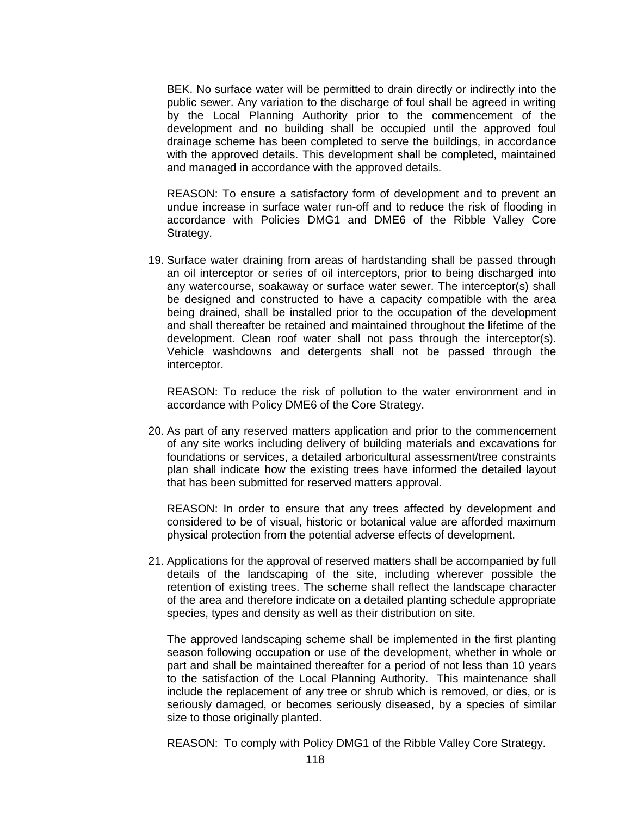BEK. No surface water will be permitted to drain directly or indirectly into the public sewer. Any variation to the discharge of foul shall be agreed in writing by the Local Planning Authority prior to the commencement of the development and no building shall be occupied until the approved foul drainage scheme has been completed to serve the buildings, in accordance with the approved details. This development shall be completed, maintained and managed in accordance with the approved details.

REASON: To ensure a satisfactory form of development and to prevent an undue increase in surface water run-off and to reduce the risk of flooding in accordance with Policies DMG1 and DME6 of the Ribble Valley Core Strategy.

19. Surface water draining from areas of hardstanding shall be passed through an oil interceptor or series of oil interceptors, prior to being discharged into any watercourse, soakaway or surface water sewer. The interceptor(s) shall be designed and constructed to have a capacity compatible with the area being drained, shall be installed prior to the occupation of the development and shall thereafter be retained and maintained throughout the lifetime of the development. Clean roof water shall not pass through the interceptor(s). Vehicle washdowns and detergents shall not be passed through the interceptor.

REASON: To reduce the risk of pollution to the water environment and in accordance with Policy DME6 of the Core Strategy.

20. As part of any reserved matters application and prior to the commencement of any site works including delivery of building materials and excavations for foundations or services, a detailed arboricultural assessment/tree constraints plan shall indicate how the existing trees have informed the detailed layout that has been submitted for reserved matters approval.

REASON: In order to ensure that any trees affected by development and considered to be of visual, historic or botanical value are afforded maximum physical protection from the potential adverse effects of development.

21. Applications for the approval of reserved matters shall be accompanied by full details of the landscaping of the site, including wherever possible the retention of existing trees. The scheme shall reflect the landscape character of the area and therefore indicate on a detailed planting schedule appropriate species, types and density as well as their distribution on site.

The approved landscaping scheme shall be implemented in the first planting season following occupation or use of the development, whether in whole or part and shall be maintained thereafter for a period of not less than 10 years to the satisfaction of the Local Planning Authority. This maintenance shall include the replacement of any tree or shrub which is removed, or dies, or is seriously damaged, or becomes seriously diseased, by a species of similar size to those originally planted.

REASON: To comply with Policy DMG1 of the Ribble Valley Core Strategy.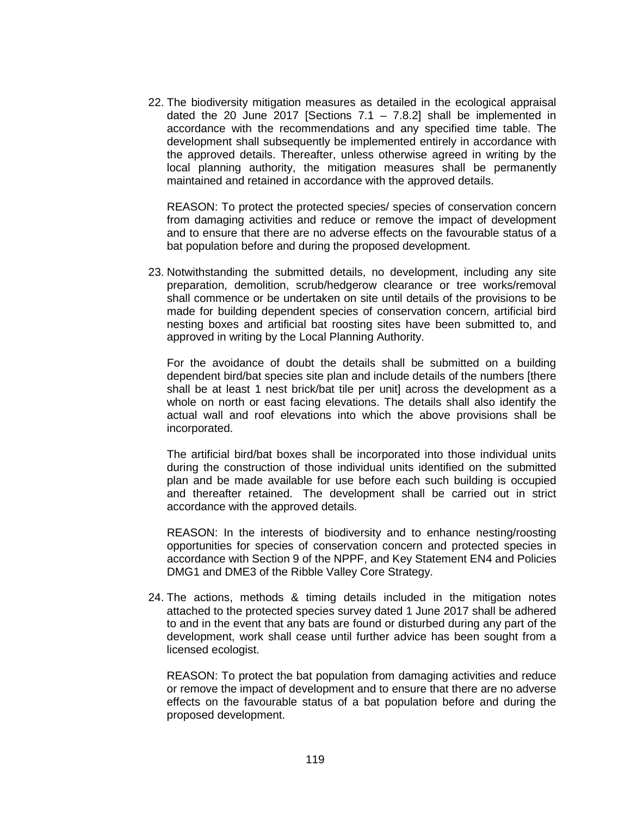22. The biodiversity mitigation measures as detailed in the ecological appraisal dated the 20 June 2017 [Sections  $7.1 - 7.8.2$ ] shall be implemented in accordance with the recommendations and any specified time table. The development shall subsequently be implemented entirely in accordance with the approved details. Thereafter, unless otherwise agreed in writing by the local planning authority, the mitigation measures shall be permanently maintained and retained in accordance with the approved details.

REASON: To protect the protected species/ species of conservation concern from damaging activities and reduce or remove the impact of development and to ensure that there are no adverse effects on the favourable status of a bat population before and during the proposed development.

23. Notwithstanding the submitted details, no development, including any site preparation, demolition, scrub/hedgerow clearance or tree works/removal shall commence or be undertaken on site until details of the provisions to be made for building dependent species of conservation concern, artificial bird nesting boxes and artificial bat roosting sites have been submitted to, and approved in writing by the Local Planning Authority.

For the avoidance of doubt the details shall be submitted on a building dependent bird/bat species site plan and include details of the numbers [there shall be at least 1 nest brick/bat tile per unit] across the development as a whole on north or east facing elevations. The details shall also identify the actual wall and roof elevations into which the above provisions shall be incorporated.

The artificial bird/bat boxes shall be incorporated into those individual units during the construction of those individual units identified on the submitted plan and be made available for use before each such building is occupied and thereafter retained. The development shall be carried out in strict accordance with the approved details.

REASON: In the interests of biodiversity and to enhance nesting/roosting opportunities for species of conservation concern and protected species in accordance with Section 9 of the NPPF, and Key Statement EN4 and Policies DMG1 and DME3 of the Ribble Valley Core Strategy.

24. The actions, methods & timing details included in the mitigation notes attached to the protected species survey dated 1 June 2017 shall be adhered to and in the event that any bats are found or disturbed during any part of the development, work shall cease until further advice has been sought from a licensed ecologist.

REASON: To protect the bat population from damaging activities and reduce or remove the impact of development and to ensure that there are no adverse effects on the favourable status of a bat population before and during the proposed development.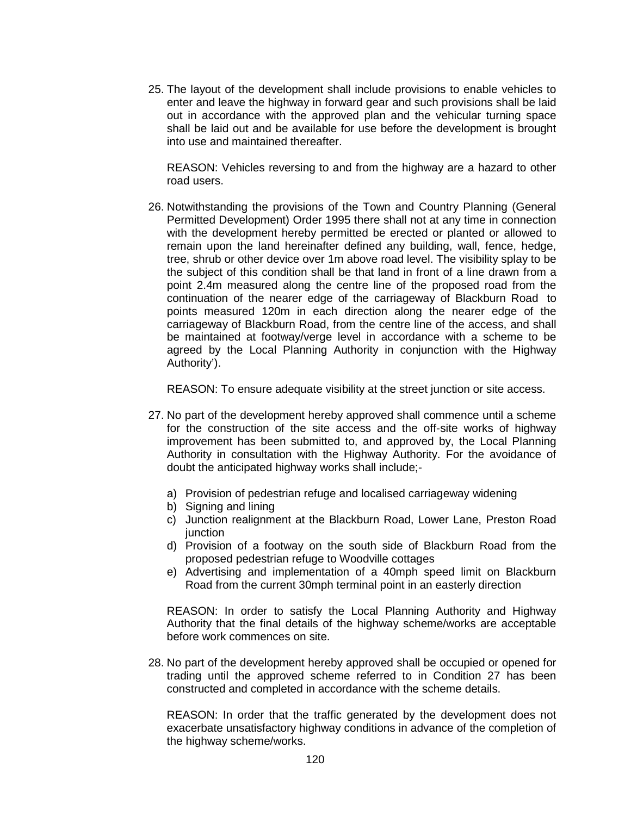25. The layout of the development shall include provisions to enable vehicles to enter and leave the highway in forward gear and such provisions shall be laid out in accordance with the approved plan and the vehicular turning space shall be laid out and be available for use before the development is brought into use and maintained thereafter.

REASON: Vehicles reversing to and from the highway are a hazard to other road users.

26. Notwithstanding the provisions of the Town and Country Planning (General Permitted Development) Order 1995 there shall not at any time in connection with the development hereby permitted be erected or planted or allowed to remain upon the land hereinafter defined any building, wall, fence, hedge, tree, shrub or other device over 1m above road level. The visibility splay to be the subject of this condition shall be that land in front of a line drawn from a point 2.4m measured along the centre line of the proposed road from the continuation of the nearer edge of the carriageway of Blackburn Road to points measured 120m in each direction along the nearer edge of the carriageway of Blackburn Road, from the centre line of the access, and shall be maintained at footway/verge level in accordance with a scheme to be agreed by the Local Planning Authority in conjunction with the Highway Authority').

REASON: To ensure adequate visibility at the street junction or site access.

- 27. No part of the development hereby approved shall commence until a scheme for the construction of the site access and the off-site works of highway improvement has been submitted to, and approved by, the Local Planning Authority in consultation with the Highway Authority. For the avoidance of doubt the anticipated highway works shall include;
	- a) Provision of pedestrian refuge and localised carriageway widening
	- b) Signing and lining
	- c) Junction realignment at the Blackburn Road, Lower Lane, Preston Road iunction
	- d) Provision of a footway on the south side of Blackburn Road from the proposed pedestrian refuge to Woodville cottages
	- e) Advertising and implementation of a 40mph speed limit on Blackburn Road from the current 30mph terminal point in an easterly direction

REASON: In order to satisfy the Local Planning Authority and Highway Authority that the final details of the highway scheme/works are acceptable before work commences on site.

28. No part of the development hereby approved shall be occupied or opened for trading until the approved scheme referred to in Condition 27 has been constructed and completed in accordance with the scheme details.

REASON: In order that the traffic generated by the development does not exacerbate unsatisfactory highway conditions in advance of the completion of the highway scheme/works.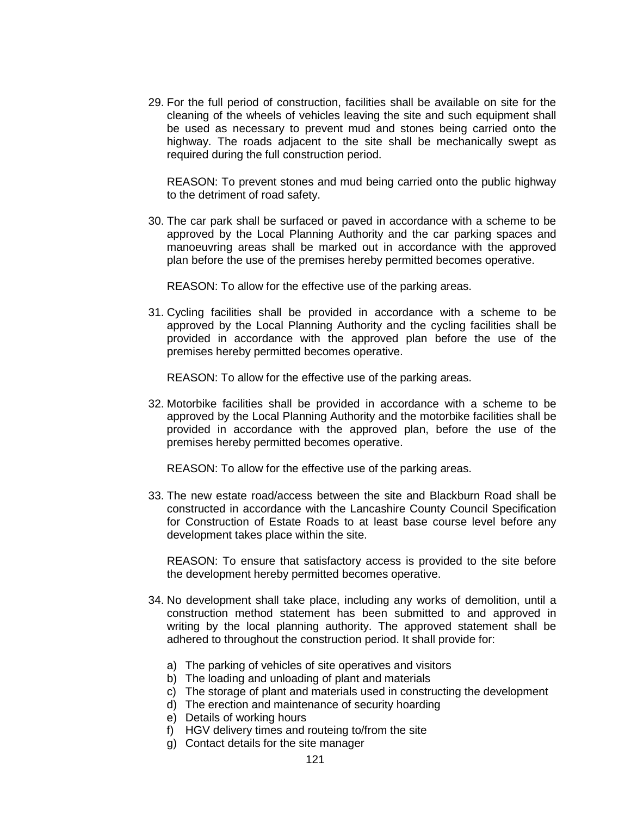29. For the full period of construction, facilities shall be available on site for the cleaning of the wheels of vehicles leaving the site and such equipment shall be used as necessary to prevent mud and stones being carried onto the highway. The roads adjacent to the site shall be mechanically swept as required during the full construction period.

REASON: To prevent stones and mud being carried onto the public highway to the detriment of road safety.

30. The car park shall be surfaced or paved in accordance with a scheme to be approved by the Local Planning Authority and the car parking spaces and manoeuvring areas shall be marked out in accordance with the approved plan before the use of the premises hereby permitted becomes operative.

REASON: To allow for the effective use of the parking areas.

31. Cycling facilities shall be provided in accordance with a scheme to be approved by the Local Planning Authority and the cycling facilities shall be provided in accordance with the approved plan before the use of the premises hereby permitted becomes operative.

REASON: To allow for the effective use of the parking areas.

32. Motorbike facilities shall be provided in accordance with a scheme to be approved by the Local Planning Authority and the motorbike facilities shall be provided in accordance with the approved plan, before the use of the premises hereby permitted becomes operative.

REASON: To allow for the effective use of the parking areas.

33. The new estate road/access between the site and Blackburn Road shall be constructed in accordance with the Lancashire County Council Specification for Construction of Estate Roads to at least base course level before any development takes place within the site.

REASON: To ensure that satisfactory access is provided to the site before the development hereby permitted becomes operative.

- 34. No development shall take place, including any works of demolition, until a construction method statement has been submitted to and approved in writing by the local planning authority. The approved statement shall be adhered to throughout the construction period. It shall provide for:
	- a) The parking of vehicles of site operatives and visitors
	- b) The loading and unloading of plant and materials
	- c) The storage of plant and materials used in constructing the development
	- d) The erection and maintenance of security hoarding
	- e) Details of working hours
	- f) HGV delivery times and routeing to/from the site
	- g) Contact details for the site manager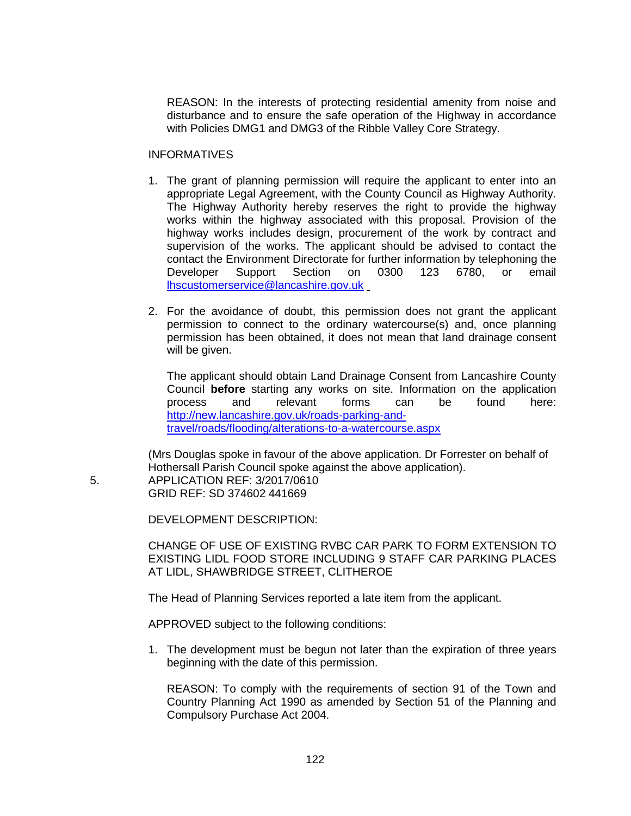REASON: In the interests of protecting residential amenity from noise and disturbance and to ensure the safe operation of the Highway in accordance with Policies DMG1 and DMG3 of the Ribble Valley Core Strategy.

### **INFORMATIVES**

- 1. The grant of planning permission will require the applicant to enter into an appropriate Legal Agreement, with the County Council as Highway Authority. The Highway Authority hereby reserves the right to provide the highway works within the highway associated with this proposal. Provision of the highway works includes design, procurement of the work by contract and supervision of the works. The applicant should be advised to contact the contact the Environment Directorate for further information by telephoning the<br>Developer Support Section on 0300 123 6780. or email Developer Support Section on 0300 123 6780, or [lhscustomerservice@lancashire.gov.uk](mailto:lhscustomerservice@lancashire.gov.uk)
- 2. For the avoidance of doubt, this permission does not grant the applicant permission to connect to the ordinary watercourse(s) and, once planning permission has been obtained, it does not mean that land drainage consent will be given.

The applicant should obtain Land Drainage Consent from Lancashire County Council **before** starting any works on site. Information on the application process and relevant forms can be found here: [http://new.lancashire.gov.uk/roads-parking-and](http://new.lancashire.gov.uk/roads-parking-and-travel/roads/flooding/alterations-to-a-watercourse.aspx)[travel/roads/flooding/alterations-to-a-watercourse.aspx](http://new.lancashire.gov.uk/roads-parking-and-travel/roads/flooding/alterations-to-a-watercourse.aspx)

(Mrs Douglas spoke in favour of the above application. Dr Forrester on behalf of Hothersall Parish Council spoke against the above application). 5. APPLICATION REF: 3/2017/0610 GRID REF: SD 374602 441669

DEVELOPMENT DESCRIPTION:

CHANGE OF USE OF EXISTING RVBC CAR PARK TO FORM EXTENSION TO EXISTING LIDL FOOD STORE INCLUDING 9 STAFF CAR PARKING PLACES AT LIDL, SHAWBRIDGE STREET, CLITHEROE

The Head of Planning Services reported a late item from the applicant.

APPROVED subject to the following conditions:

1. The development must be begun not later than the expiration of three years beginning with the date of this permission.

REASON: To comply with the requirements of section 91 of the Town and Country Planning Act 1990 as amended by Section 51 of the Planning and Compulsory Purchase Act 2004.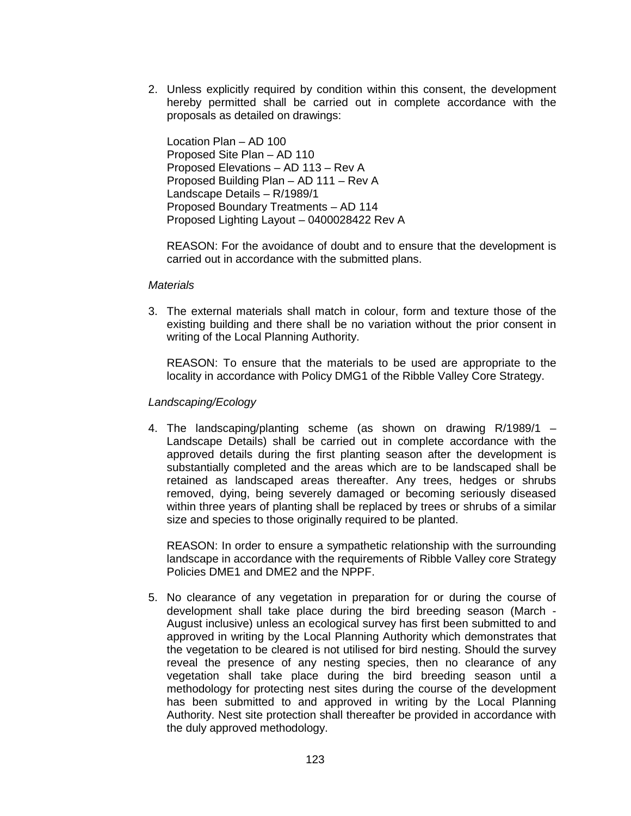2. Unless explicitly required by condition within this consent, the development hereby permitted shall be carried out in complete accordance with the proposals as detailed on drawings:

Location Plan – AD 100 Proposed Site Plan – AD 110 Proposed Elevations – AD 113 – Rev A Proposed Building Plan – AD 111 – Rev A Landscape Details – R/1989/1 Proposed Boundary Treatments – AD 114 Proposed Lighting Layout – 0400028422 Rev A

REASON: For the avoidance of doubt and to ensure that the development is carried out in accordance with the submitted plans.

### *Materials*

3. The external materials shall match in colour, form and texture those of the existing building and there shall be no variation without the prior consent in writing of the Local Planning Authority.

REASON: To ensure that the materials to be used are appropriate to the locality in accordance with Policy DMG1 of the Ribble Valley Core Strategy.

## *Landscaping/Ecology*

4. The landscaping/planting scheme (as shown on drawing R/1989/1 – Landscape Details) shall be carried out in complete accordance with the approved details during the first planting season after the development is substantially completed and the areas which are to be landscaped shall be retained as landscaped areas thereafter. Any trees, hedges or shrubs removed, dying, being severely damaged or becoming seriously diseased within three years of planting shall be replaced by trees or shrubs of a similar size and species to those originally required to be planted.

REASON: In order to ensure a sympathetic relationship with the surrounding landscape in accordance with the requirements of Ribble Valley core Strategy Policies DME1 and DME2 and the NPPF.

5. No clearance of any vegetation in preparation for or during the course of development shall take place during the bird breeding season (March - August inclusive) unless an ecological survey has first been submitted to and approved in writing by the Local Planning Authority which demonstrates that the vegetation to be cleared is not utilised for bird nesting. Should the survey reveal the presence of any nesting species, then no clearance of any vegetation shall take place during the bird breeding season until a methodology for protecting nest sites during the course of the development has been submitted to and approved in writing by the Local Planning Authority. Nest site protection shall thereafter be provided in accordance with the duly approved methodology.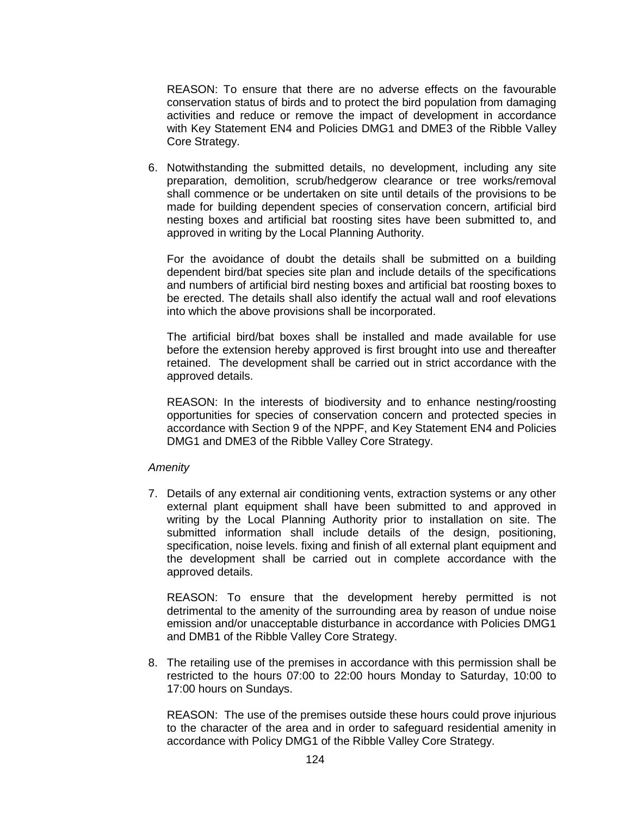REASON: To ensure that there are no adverse effects on the favourable conservation status of birds and to protect the bird population from damaging activities and reduce or remove the impact of development in accordance with Key Statement EN4 and Policies DMG1 and DME3 of the Ribble Valley Core Strategy.

6. Notwithstanding the submitted details, no development, including any site preparation, demolition, scrub/hedgerow clearance or tree works/removal shall commence or be undertaken on site until details of the provisions to be made for building dependent species of conservation concern, artificial bird nesting boxes and artificial bat roosting sites have been submitted to, and approved in writing by the Local Planning Authority.

For the avoidance of doubt the details shall be submitted on a building dependent bird/bat species site plan and include details of the specifications and numbers of artificial bird nesting boxes and artificial bat roosting boxes to be erected. The details shall also identify the actual wall and roof elevations into which the above provisions shall be incorporated.

The artificial bird/bat boxes shall be installed and made available for use before the extension hereby approved is first brought into use and thereafter retained. The development shall be carried out in strict accordance with the approved details.

REASON: In the interests of biodiversity and to enhance nesting/roosting opportunities for species of conservation concern and protected species in accordance with Section 9 of the NPPF, and Key Statement EN4 and Policies DMG1 and DME3 of the Ribble Valley Core Strategy.

## *Amenity*

7. Details of any external air conditioning vents, extraction systems or any other external plant equipment shall have been submitted to and approved in writing by the Local Planning Authority prior to installation on site. The submitted information shall include details of the design, positioning, specification, noise levels. fixing and finish of all external plant equipment and the development shall be carried out in complete accordance with the approved details.

REASON: To ensure that the development hereby permitted is not detrimental to the amenity of the surrounding area by reason of undue noise emission and/or unacceptable disturbance in accordance with Policies DMG1 and DMB1 of the Ribble Valley Core Strategy.

8. The retailing use of the premises in accordance with this permission shall be restricted to the hours 07:00 to 22:00 hours Monday to Saturday, 10:00 to 17:00 hours on Sundays.

REASON: The use of the premises outside these hours could prove injurious to the character of the area and in order to safeguard residential amenity in accordance with Policy DMG1 of the Ribble Valley Core Strategy.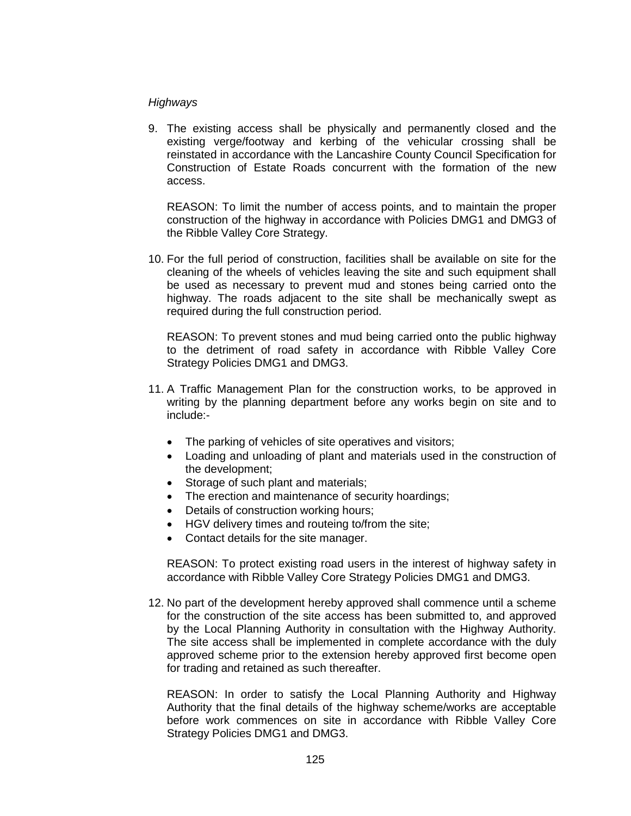# *Highways*

9. The existing access shall be physically and permanently closed and the existing verge/footway and kerbing of the vehicular crossing shall be reinstated in accordance with the Lancashire County Council Specification for Construction of Estate Roads concurrent with the formation of the new access.

REASON: To limit the number of access points, and to maintain the proper construction of the highway in accordance with Policies DMG1 and DMG3 of the Ribble Valley Core Strategy.

10. For the full period of construction, facilities shall be available on site for the cleaning of the wheels of vehicles leaving the site and such equipment shall be used as necessary to prevent mud and stones being carried onto the highway. The roads adjacent to the site shall be mechanically swept as required during the full construction period.

REASON: To prevent stones and mud being carried onto the public highway to the detriment of road safety in accordance with Ribble Valley Core Strategy Policies DMG1 and DMG3.

- 11. A Traffic Management Plan for the construction works, to be approved in writing by the planning department before any works begin on site and to include:-
	- The parking of vehicles of site operatives and visitors;
	- Loading and unloading of plant and materials used in the construction of the development;
	- Storage of such plant and materials;
	- The erection and maintenance of security hoardings;
	- Details of construction working hours;
	- HGV delivery times and routeing to/from the site;
	- Contact details for the site manager.

REASON: To protect existing road users in the interest of highway safety in accordance with Ribble Valley Core Strategy Policies DMG1 and DMG3.

12. No part of the development hereby approved shall commence until a scheme for the construction of the site access has been submitted to, and approved by the Local Planning Authority in consultation with the Highway Authority. The site access shall be implemented in complete accordance with the duly approved scheme prior to the extension hereby approved first become open for trading and retained as such thereafter.

REASON: In order to satisfy the Local Planning Authority and Highway Authority that the final details of the highway scheme/works are acceptable before work commences on site in accordance with Ribble Valley Core Strategy Policies DMG1 and DMG3.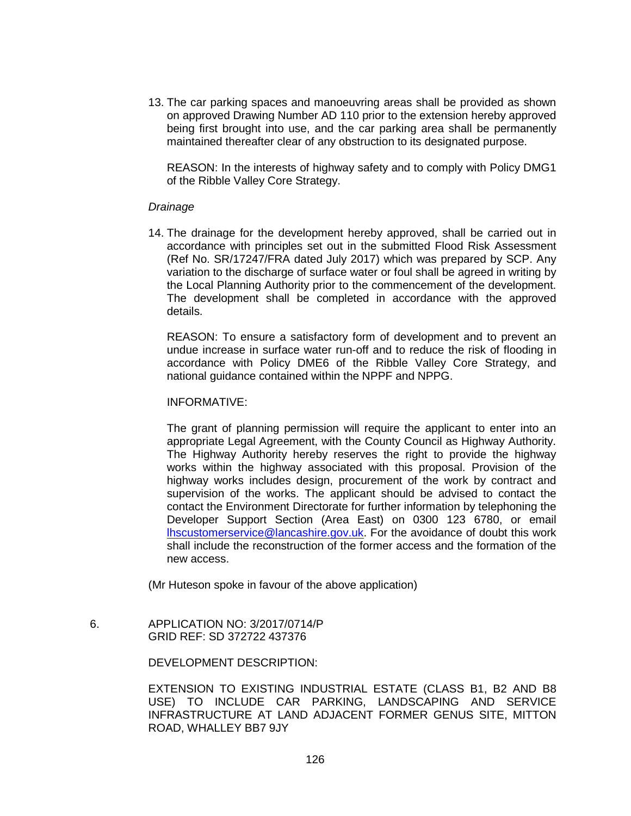13. The car parking spaces and manoeuvring areas shall be provided as shown on approved Drawing Number AD 110 prior to the extension hereby approved being first brought into use, and the car parking area shall be permanently maintained thereafter clear of any obstruction to its designated purpose.

REASON: In the interests of highway safety and to comply with Policy DMG1 of the Ribble Valley Core Strategy.

## *Drainage*

14. The drainage for the development hereby approved, shall be carried out in accordance with principles set out in the submitted Flood Risk Assessment (Ref No. SR/17247/FRA dated July 2017) which was prepared by SCP. Any variation to the discharge of surface water or foul shall be agreed in writing by the Local Planning Authority prior to the commencement of the development. The development shall be completed in accordance with the approved details.

REASON: To ensure a satisfactory form of development and to prevent an undue increase in surface water run-off and to reduce the risk of flooding in accordance with Policy DME6 of the Ribble Valley Core Strategy, and national guidance contained within the NPPF and NPPG.

## INFORMATIVE:

The grant of planning permission will require the applicant to enter into an appropriate Legal Agreement, with the County Council as Highway Authority. The Highway Authority hereby reserves the right to provide the highway works within the highway associated with this proposal. Provision of the highway works includes design, procurement of the work by contract and supervision of the works. The applicant should be advised to contact the contact the Environment Directorate for further information by telephoning the Developer Support Section (Area East) on 0300 123 6780, or email [lhscustomerservice@lancashire.gov.uk.](mailto:lhscustomerservice@lancashire.gov.uk) For the avoidance of doubt this work shall include the reconstruction of the former access and the formation of the new access.

(Mr Huteson spoke in favour of the above application)

 6. APPLICATION NO: 3/2017/0714/P GRID REF: SD 372722 437376

## DEVELOPMENT DESCRIPTION:

EXTENSION TO EXISTING INDUSTRIAL ESTATE (CLASS B1, B2 AND B8 USE) TO INCLUDE CAR PARKING, LANDSCAPING AND SERVICE INFRASTRUCTURE AT LAND ADJACENT FORMER GENUS SITE, MITTON ROAD, WHALLEY BB7 9JY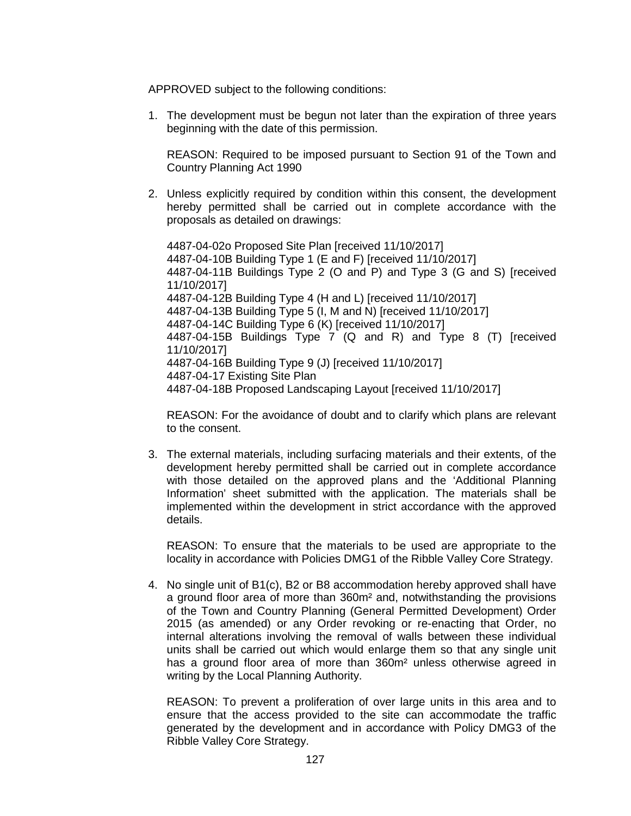APPROVED subject to the following conditions:

1. The development must be begun not later than the expiration of three years beginning with the date of this permission.

REASON: Required to be imposed pursuant to Section 91 of the Town and Country Planning Act 1990

2. Unless explicitly required by condition within this consent, the development hereby permitted shall be carried out in complete accordance with the proposals as detailed on drawings:

4487-04-02o Proposed Site Plan [received 11/10/2017] 4487-04-10B Building Type 1 (E and F) [received 11/10/2017] 4487-04-11B Buildings Type 2 (O and P) and Type 3 (G and S) [received 11/10/2017] 4487-04-12B Building Type 4 (H and L) [received 11/10/2017] 4487-04-13B Building Type 5 (I, M and N) [received 11/10/2017] 4487-04-14C Building Type 6 (K) [received 11/10/2017] 4487-04-15B Buildings Type 7 (Q and R) and Type 8 (T) [received 11/10/2017] 4487-04-16B Building Type 9 (J) [received 11/10/2017] 4487-04-17 Existing Site Plan 4487-04-18B Proposed Landscaping Layout [received 11/10/2017]

REASON: For the avoidance of doubt and to clarify which plans are relevant to the consent.

3. The external materials, including surfacing materials and their extents, of the development hereby permitted shall be carried out in complete accordance with those detailed on the approved plans and the 'Additional Planning Information' sheet submitted with the application. The materials shall be implemented within the development in strict accordance with the approved details.

REASON: To ensure that the materials to be used are appropriate to the locality in accordance with Policies DMG1 of the Ribble Valley Core Strategy.

4. No single unit of B1(c), B2 or B8 accommodation hereby approved shall have a ground floor area of more than 360m² and, notwithstanding the provisions of the Town and Country Planning (General Permitted Development) Order 2015 (as amended) or any Order revoking or re-enacting that Order, no internal alterations involving the removal of walls between these individual units shall be carried out which would enlarge them so that any single unit has a ground floor area of more than 360m<sup>2</sup> unless otherwise agreed in writing by the Local Planning Authority.

REASON: To prevent a proliferation of over large units in this area and to ensure that the access provided to the site can accommodate the traffic generated by the development and in accordance with Policy DMG3 of the Ribble Valley Core Strategy.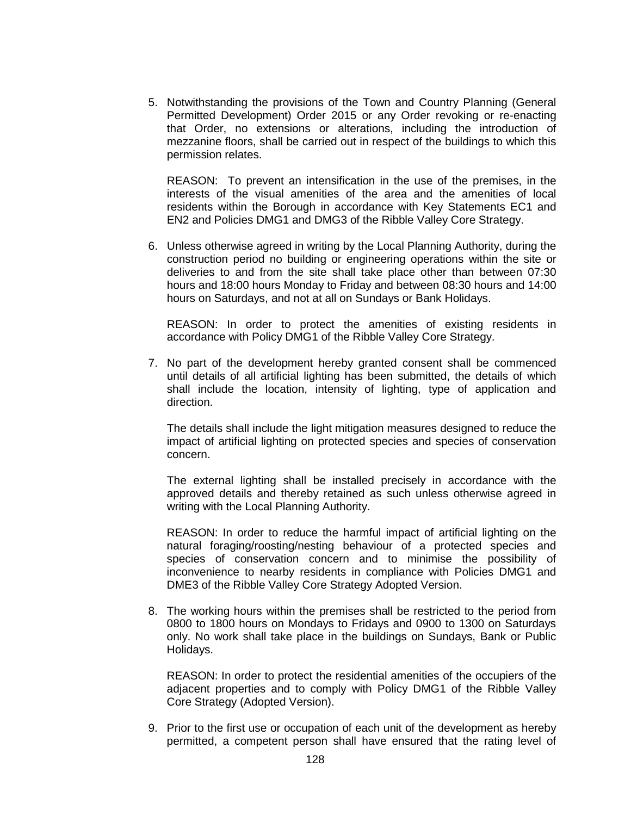5. Notwithstanding the provisions of the Town and Country Planning (General Permitted Development) Order 2015 or any Order revoking or re-enacting that Order, no extensions or alterations, including the introduction of mezzanine floors, shall be carried out in respect of the buildings to which this permission relates.

REASON: To prevent an intensification in the use of the premises, in the interests of the visual amenities of the area and the amenities of local residents within the Borough in accordance with Key Statements EC1 and EN2 and Policies DMG1 and DMG3 of the Ribble Valley Core Strategy.

6. Unless otherwise agreed in writing by the Local Planning Authority, during the construction period no building or engineering operations within the site or deliveries to and from the site shall take place other than between 07:30 hours and 18:00 hours Monday to Friday and between 08:30 hours and 14:00 hours on Saturdays, and not at all on Sundays or Bank Holidays.

REASON: In order to protect the amenities of existing residents in accordance with Policy DMG1 of the Ribble Valley Core Strategy.

7. No part of the development hereby granted consent shall be commenced until details of all artificial lighting has been submitted, the details of which shall include the location, intensity of lighting, type of application and direction.

The details shall include the light mitigation measures designed to reduce the impact of artificial lighting on protected species and species of conservation concern.

The external lighting shall be installed precisely in accordance with the approved details and thereby retained as such unless otherwise agreed in writing with the Local Planning Authority.

REASON: In order to reduce the harmful impact of artificial lighting on the natural foraging/roosting/nesting behaviour of a protected species and species of conservation concern and to minimise the possibility of inconvenience to nearby residents in compliance with Policies DMG1 and DME3 of the Ribble Valley Core Strategy Adopted Version.

8. The working hours within the premises shall be restricted to the period from 0800 to 1800 hours on Mondays to Fridays and 0900 to 1300 on Saturdays only. No work shall take place in the buildings on Sundays, Bank or Public Holidays.

REASON: In order to protect the residential amenities of the occupiers of the adjacent properties and to comply with Policy DMG1 of the Ribble Valley Core Strategy (Adopted Version).

9. Prior to the first use or occupation of each unit of the development as hereby permitted, a competent person shall have ensured that the rating level of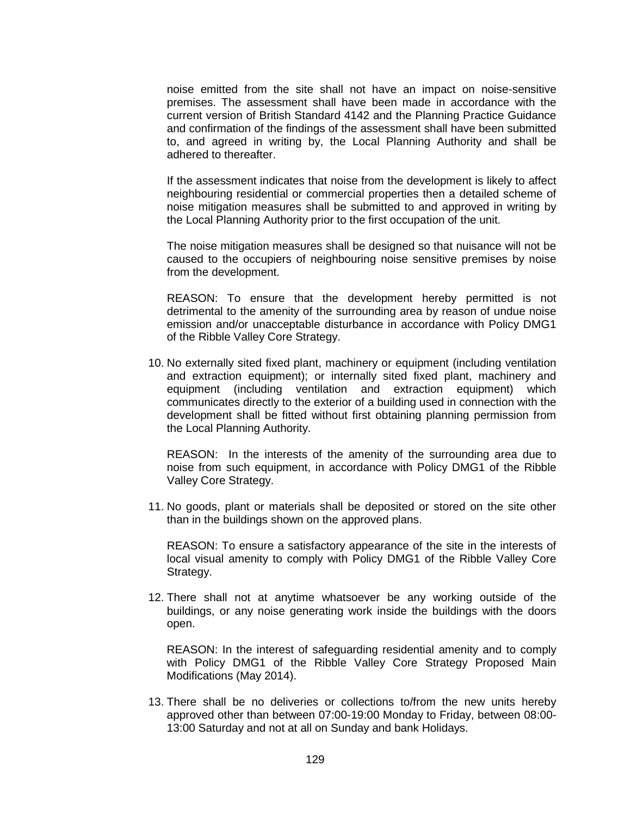noise emitted from the site shall not have an impact on noise-sensitive premises. The assessment shall have been made in accordance with the current version of British Standard 4142 and the Planning Practice Guidance and confirmation of the findings of the assessment shall have been submitted to, and agreed in writing by, the Local Planning Authority and shall be adhered to thereafter.

If the assessment indicates that noise from the development is likely to affect neighbouring residential or commercial properties then a detailed scheme of noise mitigation measures shall be submitted to and approved in writing by the Local Planning Authority prior to the first occupation of the unit.

The noise mitigation measures shall be designed so that nuisance will not be caused to the occupiers of neighbouring noise sensitive premises by noise from the development.

REASON: To ensure that the development hereby permitted is not detrimental to the amenity of the surrounding area by reason of undue noise emission and/or unacceptable disturbance in accordance with Policy DMG1 of the Ribble Valley Core Strategy.

10. No externally sited fixed plant, machinery or equipment (including ventilation and extraction equipment); or internally sited fixed plant, machinery and equipment (including ventilation and extraction equipment) which communicates directly to the exterior of a building used in connection with the development shall be fitted without first obtaining planning permission from the Local Planning Authority.

REASON: In the interests of the amenity of the surrounding area due to noise from such equipment, in accordance with Policy DMG1 of the Ribble Valley Core Strategy.

11. No goods, plant or materials shall be deposited or stored on the site other than in the buildings shown on the approved plans.

REASON: To ensure a satisfactory appearance of the site in the interests of local visual amenity to comply with Policy DMG1 of the Ribble Valley Core Strategy.

12. There shall not at anytime whatsoever be any working outside of the buildings, or any noise generating work inside the buildings with the doors open.

REASON: In the interest of safeguarding residential amenity and to comply with Policy DMG1 of the Ribble Valley Core Strategy Proposed Main Modifications (May 2014).

13. There shall be no deliveries or collections to/from the new units hereby approved other than between 07:00-19:00 Monday to Friday, between 08:00- 13:00 Saturday and not at all on Sunday and bank Holidays.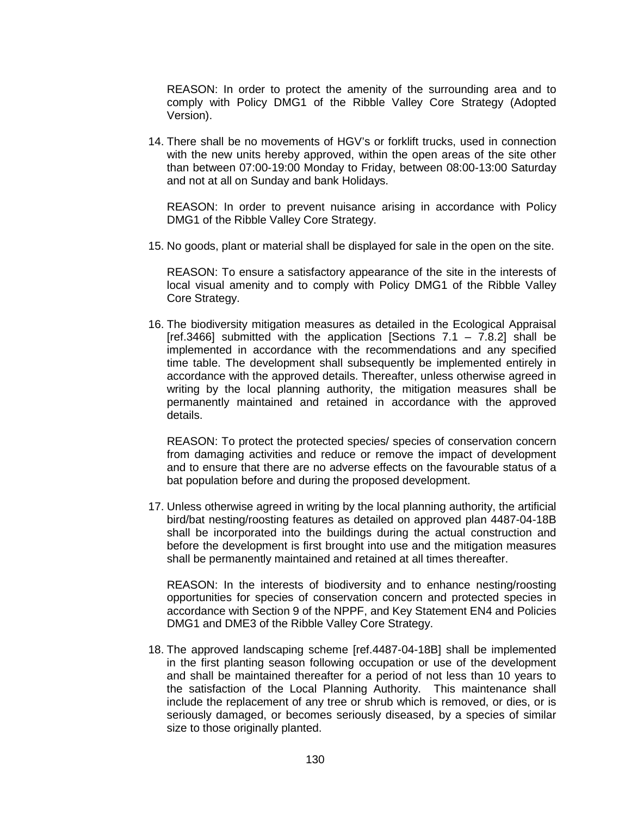REASON: In order to protect the amenity of the surrounding area and to comply with Policy DMG1 of the Ribble Valley Core Strategy (Adopted Version).

14. There shall be no movements of HGV's or forklift trucks, used in connection with the new units hereby approved, within the open areas of the site other than between 07:00-19:00 Monday to Friday, between 08:00-13:00 Saturday and not at all on Sunday and bank Holidays.

REASON: In order to prevent nuisance arising in accordance with Policy DMG1 of the Ribble Valley Core Strategy.

15. No goods, plant or material shall be displayed for sale in the open on the site.

REASON: To ensure a satisfactory appearance of the site in the interests of local visual amenity and to comply with Policy DMG1 of the Ribble Valley Core Strategy.

16. The biodiversity mitigation measures as detailed in the Ecological Appraisal [ref.3466] submitted with the application [Sections  $7.1 - 7.8.2$ ] shall be implemented in accordance with the recommendations and any specified time table. The development shall subsequently be implemented entirely in accordance with the approved details. Thereafter, unless otherwise agreed in writing by the local planning authority, the mitigation measures shall be permanently maintained and retained in accordance with the approved details.

REASON: To protect the protected species/ species of conservation concern from damaging activities and reduce or remove the impact of development and to ensure that there are no adverse effects on the favourable status of a bat population before and during the proposed development.

17. Unless otherwise agreed in writing by the local planning authority, the artificial bird/bat nesting/roosting features as detailed on approved plan 4487-04-18B shall be incorporated into the buildings during the actual construction and before the development is first brought into use and the mitigation measures shall be permanently maintained and retained at all times thereafter.

REASON: In the interests of biodiversity and to enhance nesting/roosting opportunities for species of conservation concern and protected species in accordance with Section 9 of the NPPF, and Key Statement EN4 and Policies DMG1 and DME3 of the Ribble Valley Core Strategy.

18. The approved landscaping scheme [ref.4487-04-18B] shall be implemented in the first planting season following occupation or use of the development and shall be maintained thereafter for a period of not less than 10 years to the satisfaction of the Local Planning Authority. This maintenance shall include the replacement of any tree or shrub which is removed, or dies, or is seriously damaged, or becomes seriously diseased, by a species of similar size to those originally planted.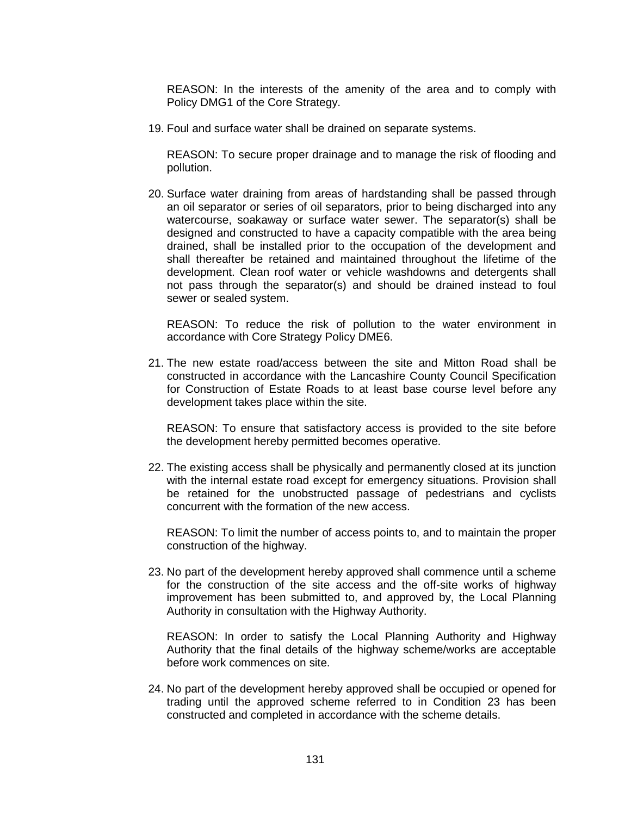REASON: In the interests of the amenity of the area and to comply with Policy DMG1 of the Core Strategy.

19. Foul and surface water shall be drained on separate systems.

REASON: To secure proper drainage and to manage the risk of flooding and pollution.

20. Surface water draining from areas of hardstanding shall be passed through an oil separator or series of oil separators, prior to being discharged into any watercourse, soakaway or surface water sewer. The separator(s) shall be designed and constructed to have a capacity compatible with the area being drained, shall be installed prior to the occupation of the development and shall thereafter be retained and maintained throughout the lifetime of the development. Clean roof water or vehicle washdowns and detergents shall not pass through the separator(s) and should be drained instead to foul sewer or sealed system.

REASON: To reduce the risk of pollution to the water environment in accordance with Core Strategy Policy DME6.

21. The new estate road/access between the site and Mitton Road shall be constructed in accordance with the Lancashire County Council Specification for Construction of Estate Roads to at least base course level before any development takes place within the site.

REASON: To ensure that satisfactory access is provided to the site before the development hereby permitted becomes operative.

22. The existing access shall be physically and permanently closed at its junction with the internal estate road except for emergency situations. Provision shall be retained for the unobstructed passage of pedestrians and cyclists concurrent with the formation of the new access.

REASON: To limit the number of access points to, and to maintain the proper construction of the highway.

23. No part of the development hereby approved shall commence until a scheme for the construction of the site access and the off-site works of highway improvement has been submitted to, and approved by, the Local Planning Authority in consultation with the Highway Authority.

REASON: In order to satisfy the Local Planning Authority and Highway Authority that the final details of the highway scheme/works are acceptable before work commences on site.

24. No part of the development hereby approved shall be occupied or opened for trading until the approved scheme referred to in Condition 23 has been constructed and completed in accordance with the scheme details.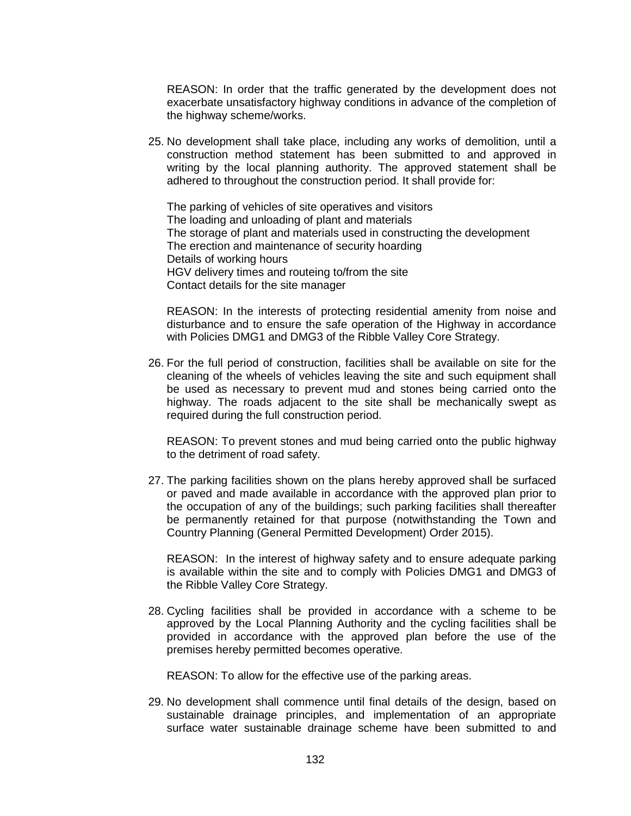REASON: In order that the traffic generated by the development does not exacerbate unsatisfactory highway conditions in advance of the completion of the highway scheme/works.

25. No development shall take place, including any works of demolition, until a construction method statement has been submitted to and approved in writing by the local planning authority. The approved statement shall be adhered to throughout the construction period. It shall provide for:

The parking of vehicles of site operatives and visitors The loading and unloading of plant and materials The storage of plant and materials used in constructing the development The erection and maintenance of security hoarding Details of working hours HGV delivery times and routeing to/from the site Contact details for the site manager

REASON: In the interests of protecting residential amenity from noise and disturbance and to ensure the safe operation of the Highway in accordance with Policies DMG1 and DMG3 of the Ribble Valley Core Strategy.

26. For the full period of construction, facilities shall be available on site for the cleaning of the wheels of vehicles leaving the site and such equipment shall be used as necessary to prevent mud and stones being carried onto the highway. The roads adjacent to the site shall be mechanically swept as required during the full construction period.

REASON: To prevent stones and mud being carried onto the public highway to the detriment of road safety.

27. The parking facilities shown on the plans hereby approved shall be surfaced or paved and made available in accordance with the approved plan prior to the occupation of any of the buildings; such parking facilities shall thereafter be permanently retained for that purpose (notwithstanding the Town and Country Planning (General Permitted Development) Order 2015).

REASON: In the interest of highway safety and to ensure adequate parking is available within the site and to comply with Policies DMG1 and DMG3 of the Ribble Valley Core Strategy.

28. Cycling facilities shall be provided in accordance with a scheme to be approved by the Local Planning Authority and the cycling facilities shall be provided in accordance with the approved plan before the use of the premises hereby permitted becomes operative.

REASON: To allow for the effective use of the parking areas.

29. No development shall commence until final details of the design, based on sustainable drainage principles, and implementation of an appropriate surface water sustainable drainage scheme have been submitted to and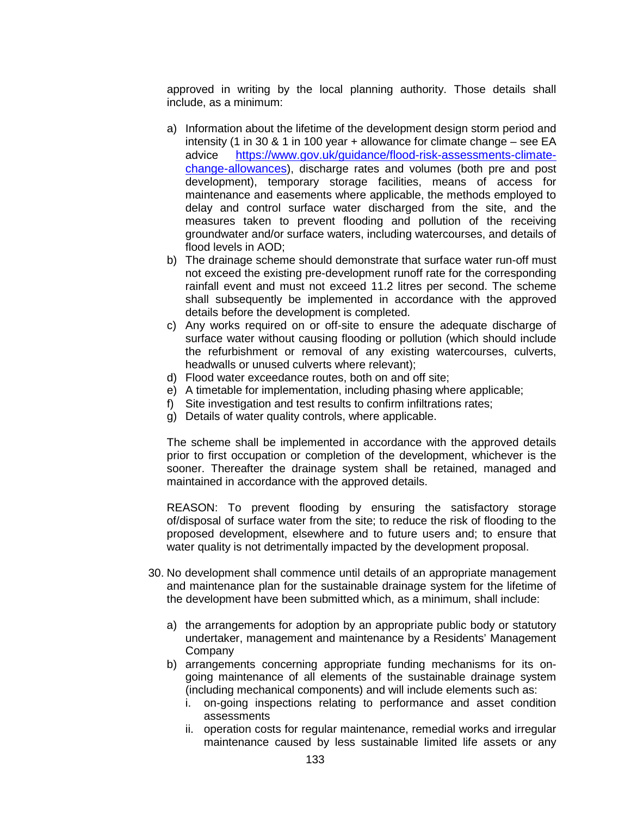approved in writing by the local planning authority. Those details shall include, as a minimum:

- a) Information about the lifetime of the development design storm period and intensity (1 in 30 & 1 in 100 year + allowance for climate change – see EA advice [https://www.gov.uk/guidance/flood-risk-assessments-climate](https://www.gov.uk/guidance/flood-risk-assessments-climate-change-allowances)[change-allowances\)](https://www.gov.uk/guidance/flood-risk-assessments-climate-change-allowances), discharge rates and volumes (both pre and post development), temporary storage facilities, means of access for maintenance and easements where applicable, the methods employed to delay and control surface water discharged from the site, and the measures taken to prevent flooding and pollution of the receiving groundwater and/or surface waters, including watercourses, and details of flood levels in AOD;
- b) The drainage scheme should demonstrate that surface water run-off must not exceed the existing pre-development runoff rate for the corresponding rainfall event and must not exceed 11.2 litres per second. The scheme shall subsequently be implemented in accordance with the approved details before the development is completed.
- c) Any works required on or off-site to ensure the adequate discharge of surface water without causing flooding or pollution (which should include the refurbishment or removal of any existing watercourses, culverts, headwalls or unused culverts where relevant);
- d) Flood water exceedance routes, both on and off site;
- e) A timetable for implementation, including phasing where applicable;
- f) Site investigation and test results to confirm infiltrations rates;
- g) Details of water quality controls, where applicable.

The scheme shall be implemented in accordance with the approved details prior to first occupation or completion of the development, whichever is the sooner. Thereafter the drainage system shall be retained, managed and maintained in accordance with the approved details.

REASON: To prevent flooding by ensuring the satisfactory storage of/disposal of surface water from the site; to reduce the risk of flooding to the proposed development, elsewhere and to future users and; to ensure that water quality is not detrimentally impacted by the development proposal.

- 30. No development shall commence until details of an appropriate management and maintenance plan for the sustainable drainage system for the lifetime of the development have been submitted which, as a minimum, shall include:
	- a) the arrangements for adoption by an appropriate public body or statutory undertaker, management and maintenance by a Residents' Management Company
	- b) arrangements concerning appropriate funding mechanisms for its ongoing maintenance of all elements of the sustainable drainage system (including mechanical components) and will include elements such as:
		- i. on-going inspections relating to performance and asset condition assessments
		- ii. operation costs for regular maintenance, remedial works and irregular maintenance caused by less sustainable limited life assets or any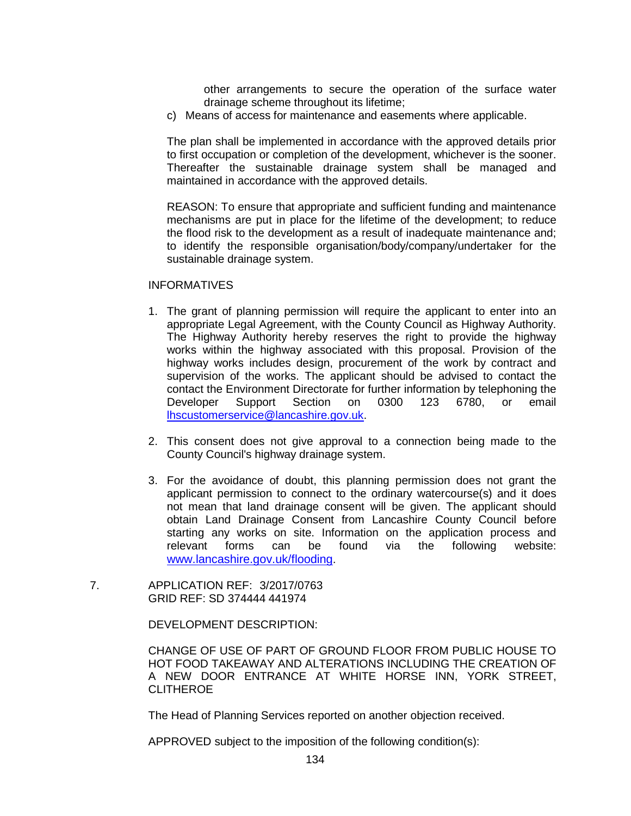other arrangements to secure the operation of the surface water drainage scheme throughout its lifetime;

c) Means of access for maintenance and easements where applicable.

The plan shall be implemented in accordance with the approved details prior to first occupation or completion of the development, whichever is the sooner. Thereafter the sustainable drainage system shall be managed and maintained in accordance with the approved details.

REASON: To ensure that appropriate and sufficient funding and maintenance mechanisms are put in place for the lifetime of the development; to reduce the flood risk to the development as a result of inadequate maintenance and; to identify the responsible organisation/body/company/undertaker for the sustainable drainage system.

## **INFORMATIVES**

- 1. The grant of planning permission will require the applicant to enter into an appropriate Legal Agreement, with the County Council as Highway Authority. The Highway Authority hereby reserves the right to provide the highway works within the highway associated with this proposal. Provision of the highway works includes design, procurement of the work by contract and supervision of the works. The applicant should be advised to contact the contact the Environment Directorate for further information by telephoning the Developer Support Section on 0300 123 6780, or email [lhscustomerservice@lancashire.gov.uk.](mailto:lhscustomerservice@lancashire.gov.uk)
- 2. This consent does not give approval to a connection being made to the County Council's highway drainage system.
- 3. For the avoidance of doubt, this planning permission does not grant the applicant permission to connect to the ordinary watercourse(s) and it does not mean that land drainage consent will be given. The applicant should obtain Land Drainage Consent from Lancashire County Council before starting any works on site. Information on the application process and relevant forms can be found via the following website: [www.lancashire.gov.uk/flooding.](http://www.lancashire.gov.uk/flooding)
- 7. APPLICATION REF: 3/2017/0763 GRID REF: SD 374444 441974

DEVELOPMENT DESCRIPTION:

CHANGE OF USE OF PART OF GROUND FLOOR FROM PUBLIC HOUSE TO HOT FOOD TAKEAWAY AND ALTERATIONS INCLUDING THE CREATION OF A NEW DOOR ENTRANCE AT WHITE HORSE INN, YORK STREET, **CLITHEROE** 

The Head of Planning Services reported on another objection received.

APPROVED subject to the imposition of the following condition(s):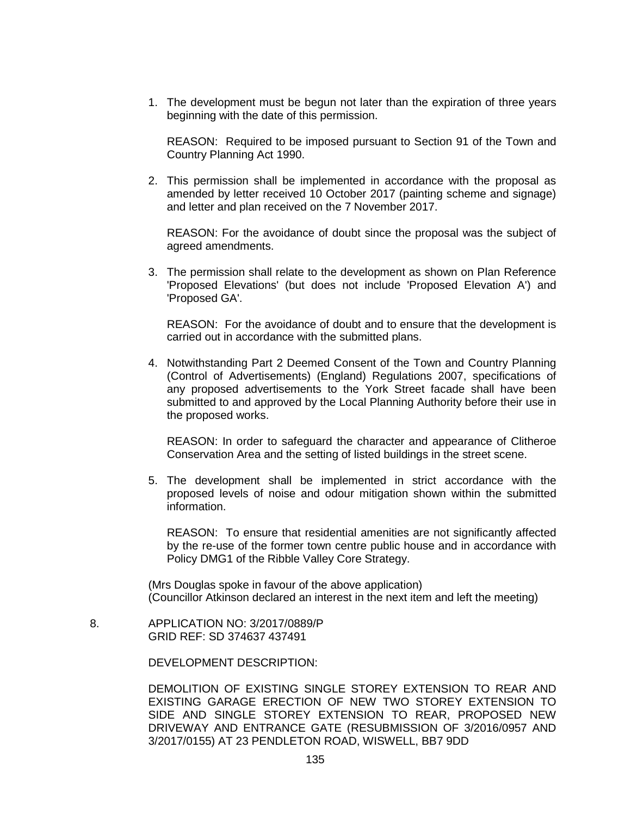1. The development must be begun not later than the expiration of three years beginning with the date of this permission.

REASON: Required to be imposed pursuant to Section 91 of the Town and Country Planning Act 1990.

2. This permission shall be implemented in accordance with the proposal as amended by letter received 10 October 2017 (painting scheme and signage) and letter and plan received on the 7 November 2017.

REASON: For the avoidance of doubt since the proposal was the subject of agreed amendments.

3. The permission shall relate to the development as shown on Plan Reference 'Proposed Elevations' (but does not include 'Proposed Elevation A') and 'Proposed GA'.

REASON: For the avoidance of doubt and to ensure that the development is carried out in accordance with the submitted plans.

4. Notwithstanding Part 2 Deemed Consent of the Town and Country Planning (Control of Advertisements) (England) Regulations 2007, specifications of any proposed advertisements to the York Street facade shall have been submitted to and approved by the Local Planning Authority before their use in the proposed works.

REASON: In order to safeguard the character and appearance of Clitheroe Conservation Area and the setting of listed buildings in the street scene.

5. The development shall be implemented in strict accordance with the proposed levels of noise and odour mitigation shown within the submitted information.

REASON: To ensure that residential amenities are not significantly affected by the re-use of the former town centre public house and in accordance with Policy DMG1 of the Ribble Valley Core Strategy.

(Mrs Douglas spoke in favour of the above application) (Councillor Atkinson declared an interest in the next item and left the meeting)

 8. APPLICATION NO: 3/2017/0889/P GRID REF: SD 374637 437491

DEVELOPMENT DESCRIPTION:

DEMOLITION OF EXISTING SINGLE STOREY EXTENSION TO REAR AND EXISTING GARAGE ERECTION OF NEW TWO STOREY EXTENSION TO SIDE AND SINGLE STOREY EXTENSION TO REAR, PROPOSED NEW DRIVEWAY AND ENTRANCE GATE (RESUBMISSION OF 3/2016/0957 AND 3/2017/0155) AT 23 PENDLETON ROAD, WISWELL, BB7 9DD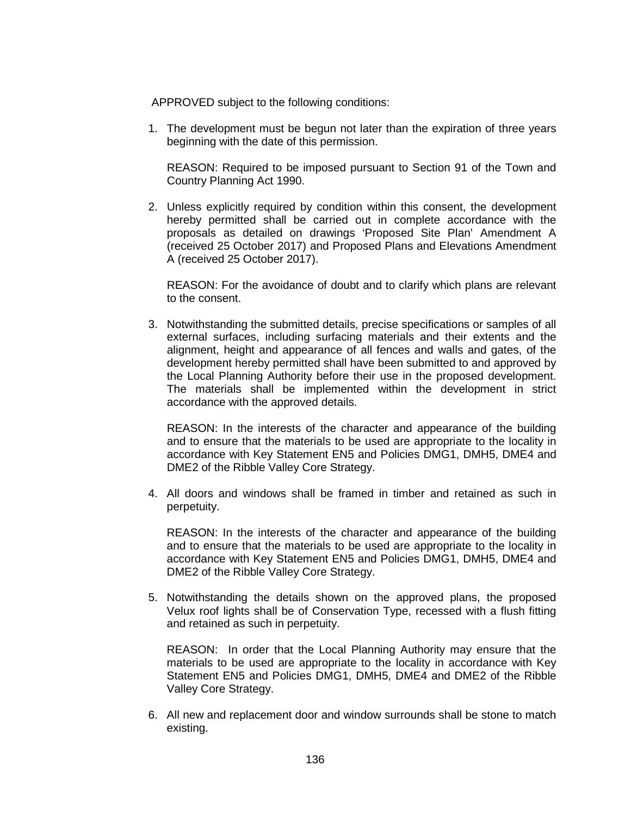APPROVED subject to the following conditions:

1. The development must be begun not later than the expiration of three years beginning with the date of this permission.

REASON: Required to be imposed pursuant to Section 91 of the Town and Country Planning Act 1990.

2. Unless explicitly required by condition within this consent, the development hereby permitted shall be carried out in complete accordance with the proposals as detailed on drawings 'Proposed Site Plan' Amendment A (received 25 October 2017) and Proposed Plans and Elevations Amendment A (received 25 October 2017).

REASON: For the avoidance of doubt and to clarify which plans are relevant to the consent.

3. Notwithstanding the submitted details, precise specifications or samples of all external surfaces, including surfacing materials and their extents and the alignment, height and appearance of all fences and walls and gates, of the development hereby permitted shall have been submitted to and approved by the Local Planning Authority before their use in the proposed development. The materials shall be implemented within the development in strict accordance with the approved details.

REASON: In the interests of the character and appearance of the building and to ensure that the materials to be used are appropriate to the locality in accordance with Key Statement EN5 and Policies DMG1, DMH5, DME4 and DME2 of the Ribble Valley Core Strategy.

4. All doors and windows shall be framed in timber and retained as such in perpetuity.

REASON: In the interests of the character and appearance of the building and to ensure that the materials to be used are appropriate to the locality in accordance with Key Statement EN5 and Policies DMG1, DMH5, DME4 and DME2 of the Ribble Valley Core Strategy.

5. Notwithstanding the details shown on the approved plans, the proposed Velux roof lights shall be of Conservation Type, recessed with a flush fitting and retained as such in perpetuity.

REASON: In order that the Local Planning Authority may ensure that the materials to be used are appropriate to the locality in accordance with Key Statement EN5 and Policies DMG1, DMH5, DME4 and DME2 of the Ribble Valley Core Strategy.

6. All new and replacement door and window surrounds shall be stone to match existing.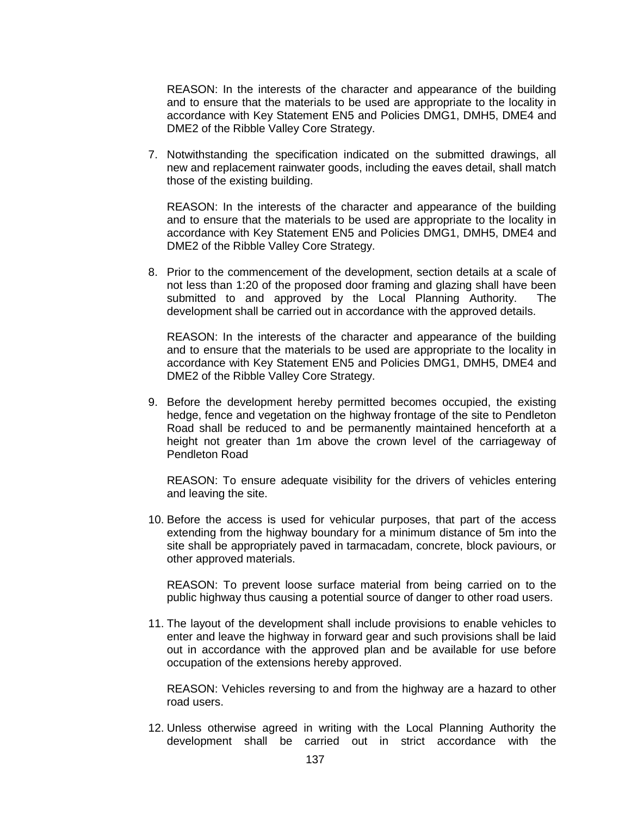REASON: In the interests of the character and appearance of the building and to ensure that the materials to be used are appropriate to the locality in accordance with Key Statement EN5 and Policies DMG1, DMH5, DME4 and DME2 of the Ribble Valley Core Strategy.

7. Notwithstanding the specification indicated on the submitted drawings, all new and replacement rainwater goods, including the eaves detail, shall match those of the existing building.

REASON: In the interests of the character and appearance of the building and to ensure that the materials to be used are appropriate to the locality in accordance with Key Statement EN5 and Policies DMG1, DMH5, DME4 and DME2 of the Ribble Valley Core Strategy.

8. Prior to the commencement of the development, section details at a scale of not less than 1:20 of the proposed door framing and glazing shall have been submitted to and approved by the Local Planning Authority. The development shall be carried out in accordance with the approved details.

REASON: In the interests of the character and appearance of the building and to ensure that the materials to be used are appropriate to the locality in accordance with Key Statement EN5 and Policies DMG1, DMH5, DME4 and DME2 of the Ribble Valley Core Strategy.

9. Before the development hereby permitted becomes occupied, the existing hedge, fence and vegetation on the highway frontage of the site to Pendleton Road shall be reduced to and be permanently maintained henceforth at a height not greater than 1m above the crown level of the carriageway of Pendleton Road

REASON: To ensure adequate visibility for the drivers of vehicles entering and leaving the site.

10. Before the access is used for vehicular purposes, that part of the access extending from the highway boundary for a minimum distance of 5m into the site shall be appropriately paved in tarmacadam, concrete, block paviours, or other approved materials.

REASON: To prevent loose surface material from being carried on to the public highway thus causing a potential source of danger to other road users.

11. The layout of the development shall include provisions to enable vehicles to enter and leave the highway in forward gear and such provisions shall be laid out in accordance with the approved plan and be available for use before occupation of the extensions hereby approved.

REASON: Vehicles reversing to and from the highway are a hazard to other road users.

12. Unless otherwise agreed in writing with the Local Planning Authority the development shall be carried out in strict accordance with the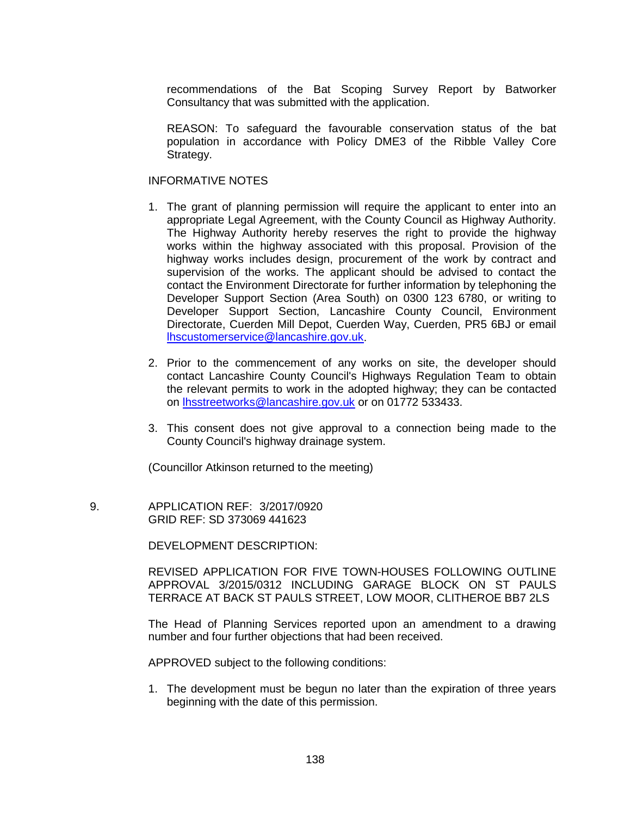recommendations of the Bat Scoping Survey Report by Batworker Consultancy that was submitted with the application.

REASON: To safeguard the favourable conservation status of the bat population in accordance with Policy DME3 of the Ribble Valley Core Strategy.

## INFORMATIVE NOTES

- 1. The grant of planning permission will require the applicant to enter into an appropriate Legal Agreement, with the County Council as Highway Authority. The Highway Authority hereby reserves the right to provide the highway works within the highway associated with this proposal. Provision of the highway works includes design, procurement of the work by contract and supervision of the works. The applicant should be advised to contact the contact the Environment Directorate for further information by telephoning the Developer Support Section (Area South) on 0300 123 6780, or writing to Developer Support Section, Lancashire County Council, Environment Directorate, Cuerden Mill Depot, Cuerden Way, Cuerden, PR5 6BJ or email [lhscustomerservice@lancashire.gov.uk.](mailto:lhscustomerservice@lancashire.gov.uk)
- 2. Prior to the commencement of any works on site, the developer should contact Lancashire County Council's Highways Regulation Team to obtain the relevant permits to work in the adopted highway; they can be contacted on [lhsstreetworks@lancashire.gov.uk](mailto:lhsstreetworks@lancashire.gov.uk) or on 01772 533433.
- 3. This consent does not give approval to a connection being made to the County Council's highway drainage system.

(Councillor Atkinson returned to the meeting)

 9. APPLICATION REF: 3/2017/0920 GRID REF: SD 373069 441623

DEVELOPMENT DESCRIPTION:

REVISED APPLICATION FOR FIVE TOWN-HOUSES FOLLOWING OUTLINE APPROVAL 3/2015/0312 INCLUDING GARAGE BLOCK ON ST PAULS TERRACE AT BACK ST PAULS STREET, LOW MOOR, CLITHEROE BB7 2LS

The Head of Planning Services reported upon an amendment to a drawing number and four further objections that had been received.

APPROVED subject to the following conditions:

1. The development must be begun no later than the expiration of three years beginning with the date of this permission.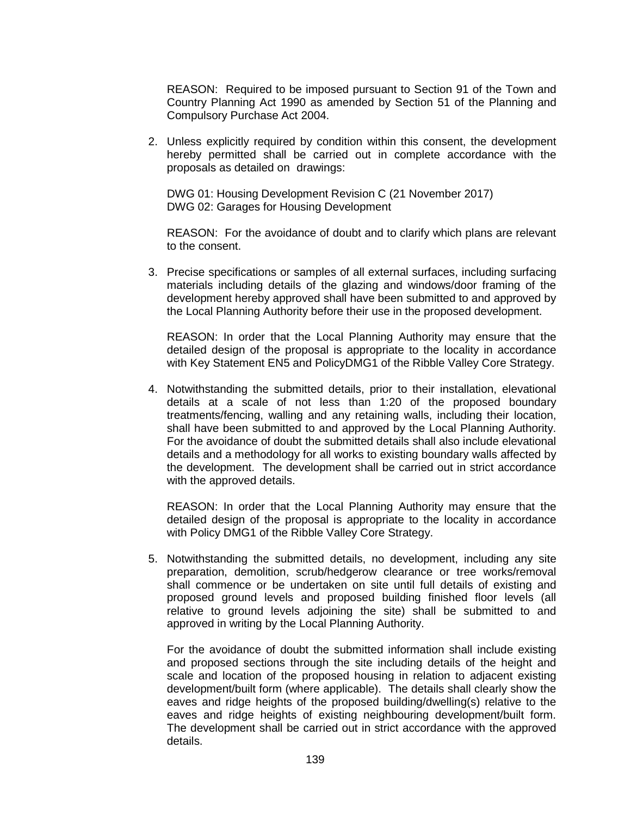REASON: Required to be imposed pursuant to Section 91 of the Town and Country Planning Act 1990 as amended by Section 51 of the Planning and Compulsory Purchase Act 2004.

2. Unless explicitly required by condition within this consent, the development hereby permitted shall be carried out in complete accordance with the proposals as detailed on drawings:

DWG 01: Housing Development Revision C (21 November 2017) DWG 02: Garages for Housing Development

REASON: For the avoidance of doubt and to clarify which plans are relevant to the consent.

3. Precise specifications or samples of all external surfaces, including surfacing materials including details of the glazing and windows/door framing of the development hereby approved shall have been submitted to and approved by the Local Planning Authority before their use in the proposed development.

REASON: In order that the Local Planning Authority may ensure that the detailed design of the proposal is appropriate to the locality in accordance with Key Statement EN5 and PolicyDMG1 of the Ribble Valley Core Strategy.

4. Notwithstanding the submitted details, prior to their installation, elevational details at a scale of not less than 1:20 of the proposed boundary treatments/fencing, walling and any retaining walls, including their location, shall have been submitted to and approved by the Local Planning Authority. For the avoidance of doubt the submitted details shall also include elevational details and a methodology for all works to existing boundary walls affected by the development. The development shall be carried out in strict accordance with the approved details.

REASON: In order that the Local Planning Authority may ensure that the detailed design of the proposal is appropriate to the locality in accordance with Policy DMG1 of the Ribble Valley Core Strategy.

5. Notwithstanding the submitted details, no development, including any site preparation, demolition, scrub/hedgerow clearance or tree works/removal shall commence or be undertaken on site until full details of existing and proposed ground levels and proposed building finished floor levels (all relative to ground levels adjoining the site) shall be submitted to and approved in writing by the Local Planning Authority.

For the avoidance of doubt the submitted information shall include existing and proposed sections through the site including details of the height and scale and location of the proposed housing in relation to adjacent existing development/built form (where applicable). The details shall clearly show the eaves and ridge heights of the proposed building/dwelling(s) relative to the eaves and ridge heights of existing neighbouring development/built form. The development shall be carried out in strict accordance with the approved details.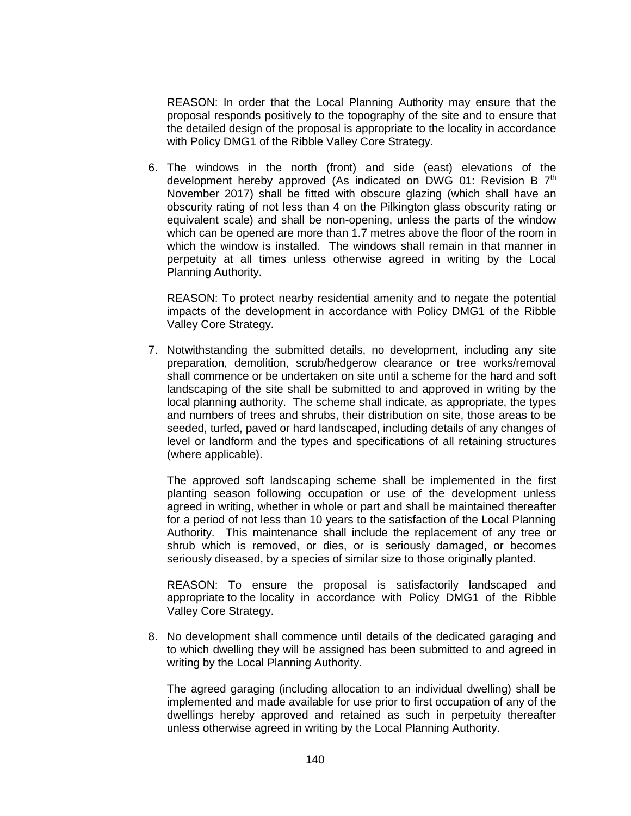REASON: In order that the Local Planning Authority may ensure that the proposal responds positively to the topography of the site and to ensure that the detailed design of the proposal is appropriate to the locality in accordance with Policy DMG1 of the Ribble Valley Core Strategy.

6. The windows in the north (front) and side (east) elevations of the development hereby approved (As indicated on DWG 01: Revision B  $7<sup>th</sup>$ November 2017) shall be fitted with obscure glazing (which shall have an obscurity rating of not less than 4 on the Pilkington glass obscurity rating or equivalent scale) and shall be non-opening, unless the parts of the window which can be opened are more than 1.7 metres above the floor of the room in which the window is installed. The windows shall remain in that manner in perpetuity at all times unless otherwise agreed in writing by the Local Planning Authority.

REASON: To protect nearby residential amenity and to negate the potential impacts of the development in accordance with Policy DMG1 of the Ribble Valley Core Strategy.

7. Notwithstanding the submitted details, no development, including any site preparation, demolition, scrub/hedgerow clearance or tree works/removal shall commence or be undertaken on site until a scheme for the hard and soft landscaping of the site shall be submitted to and approved in writing by the local planning authority. The scheme shall indicate, as appropriate, the types and numbers of trees and shrubs, their distribution on site, those areas to be seeded, turfed, paved or hard landscaped, including details of any changes of level or landform and the types and specifications of all retaining structures (where applicable).

The approved soft landscaping scheme shall be implemented in the first planting season following occupation or use of the development unless agreed in writing, whether in whole or part and shall be maintained thereafter for a period of not less than 10 years to the satisfaction of the Local Planning Authority. This maintenance shall include the replacement of any tree or shrub which is removed, or dies, or is seriously damaged, or becomes seriously diseased, by a species of similar size to those originally planted.

REASON: To ensure the proposal is satisfactorily landscaped and appropriate to the locality in accordance with Policy DMG1 of the Ribble Valley Core Strategy.

8. No development shall commence until details of the dedicated garaging and to which dwelling they will be assigned has been submitted to and agreed in writing by the Local Planning Authority.

The agreed garaging (including allocation to an individual dwelling) shall be implemented and made available for use prior to first occupation of any of the dwellings hereby approved and retained as such in perpetuity thereafter unless otherwise agreed in writing by the Local Planning Authority.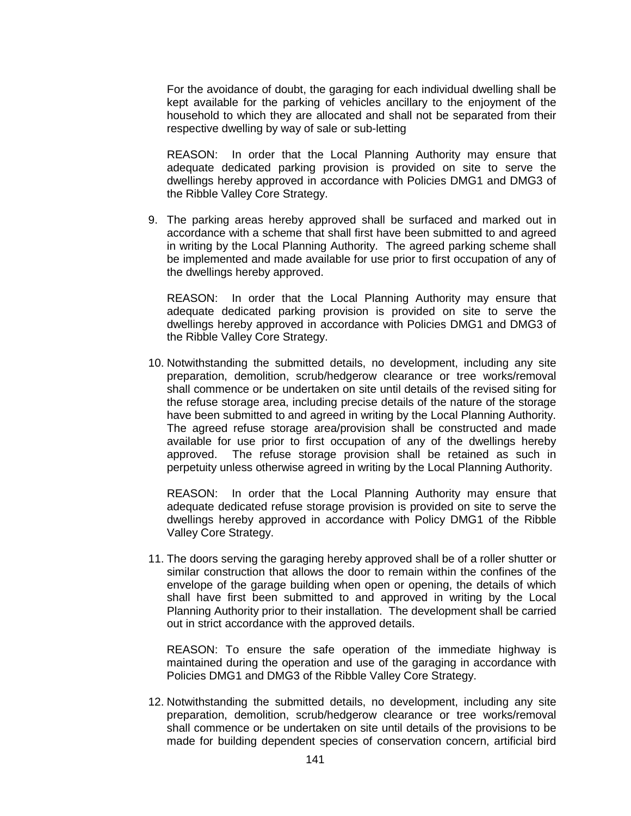For the avoidance of doubt, the garaging for each individual dwelling shall be kept available for the parking of vehicles ancillary to the enjoyment of the household to which they are allocated and shall not be separated from their respective dwelling by way of sale or sub-letting

REASON: In order that the Local Planning Authority may ensure that adequate dedicated parking provision is provided on site to serve the dwellings hereby approved in accordance with Policies DMG1 and DMG3 of the Ribble Valley Core Strategy.

9. The parking areas hereby approved shall be surfaced and marked out in accordance with a scheme that shall first have been submitted to and agreed in writing by the Local Planning Authority. The agreed parking scheme shall be implemented and made available for use prior to first occupation of any of the dwellings hereby approved.

REASON: In order that the Local Planning Authority may ensure that adequate dedicated parking provision is provided on site to serve the dwellings hereby approved in accordance with Policies DMG1 and DMG3 of the Ribble Valley Core Strategy.

10. Notwithstanding the submitted details, no development, including any site preparation, demolition, scrub/hedgerow clearance or tree works/removal shall commence or be undertaken on site until details of the revised siting for the refuse storage area, including precise details of the nature of the storage have been submitted to and agreed in writing by the Local Planning Authority. The agreed refuse storage area/provision shall be constructed and made available for use prior to first occupation of any of the dwellings hereby approved. The refuse storage provision shall be retained as such in perpetuity unless otherwise agreed in writing by the Local Planning Authority.

REASON: In order that the Local Planning Authority may ensure that adequate dedicated refuse storage provision is provided on site to serve the dwellings hereby approved in accordance with Policy DMG1 of the Ribble Valley Core Strategy.

11. The doors serving the garaging hereby approved shall be of a roller shutter or similar construction that allows the door to remain within the confines of the envelope of the garage building when open or opening, the details of which shall have first been submitted to and approved in writing by the Local Planning Authority prior to their installation. The development shall be carried out in strict accordance with the approved details.

REASON: To ensure the safe operation of the immediate highway is maintained during the operation and use of the garaging in accordance with Policies DMG1 and DMG3 of the Ribble Valley Core Strategy.

12. Notwithstanding the submitted details, no development, including any site preparation, demolition, scrub/hedgerow clearance or tree works/removal shall commence or be undertaken on site until details of the provisions to be made for building dependent species of conservation concern, artificial bird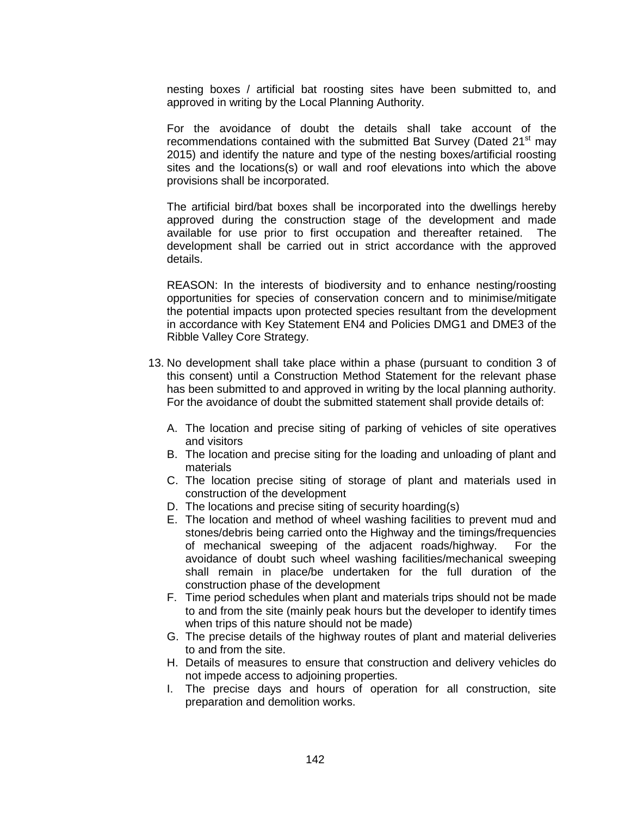nesting boxes / artificial bat roosting sites have been submitted to, and approved in writing by the Local Planning Authority.

For the avoidance of doubt the details shall take account of the recommendations contained with the submitted Bat Survey (Dated 21<sup>st</sup> may 2015) and identify the nature and type of the nesting boxes/artificial roosting sites and the locations(s) or wall and roof elevations into which the above provisions shall be incorporated.

The artificial bird/bat boxes shall be incorporated into the dwellings hereby approved during the construction stage of the development and made available for use prior to first occupation and thereafter retained. The development shall be carried out in strict accordance with the approved details.

REASON: In the interests of biodiversity and to enhance nesting/roosting opportunities for species of conservation concern and to minimise/mitigate the potential impacts upon protected species resultant from the development in accordance with Key Statement EN4 and Policies DMG1 and DME3 of the Ribble Valley Core Strategy.

- 13. No development shall take place within a phase (pursuant to condition 3 of this consent) until a Construction Method Statement for the relevant phase has been submitted to and approved in writing by the local planning authority. For the avoidance of doubt the submitted statement shall provide details of:
	- A. The location and precise siting of parking of vehicles of site operatives and visitors
	- B. The location and precise siting for the loading and unloading of plant and materials
	- C. The location precise siting of storage of plant and materials used in construction of the development
	- D. The locations and precise siting of security hoarding(s)
	- E. The location and method of wheel washing facilities to prevent mud and stones/debris being carried onto the Highway and the timings/frequencies of mechanical sweeping of the adjacent roads/highway. For the avoidance of doubt such wheel washing facilities/mechanical sweeping shall remain in place/be undertaken for the full duration of the construction phase of the development
	- F. Time period schedules when plant and materials trips should not be made to and from the site (mainly peak hours but the developer to identify times when trips of this nature should not be made)
	- G. The precise details of the highway routes of plant and material deliveries to and from the site.
	- H. Details of measures to ensure that construction and delivery vehicles do not impede access to adjoining properties.
	- I. The precise days and hours of operation for all construction, site preparation and demolition works.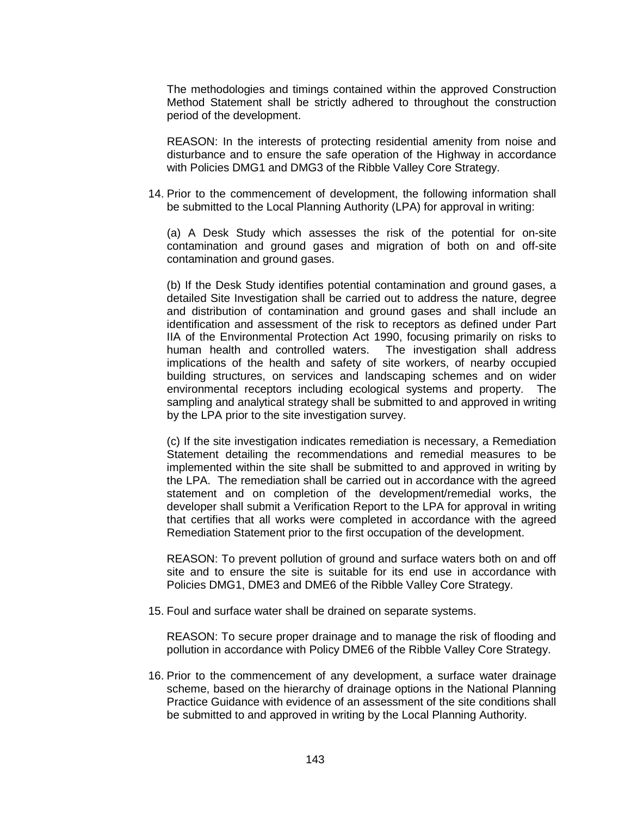The methodologies and timings contained within the approved Construction Method Statement shall be strictly adhered to throughout the construction period of the development.

REASON: In the interests of protecting residential amenity from noise and disturbance and to ensure the safe operation of the Highway in accordance with Policies DMG1 and DMG3 of the Ribble Valley Core Strategy.

14. Prior to the commencement of development, the following information shall be submitted to the Local Planning Authority (LPA) for approval in writing:

(a) A Desk Study which assesses the risk of the potential for on-site contamination and ground gases and migration of both on and off-site contamination and ground gases.

(b) If the Desk Study identifies potential contamination and ground gases, a detailed Site Investigation shall be carried out to address the nature, degree and distribution of contamination and ground gases and shall include an identification and assessment of the risk to receptors as defined under Part IIA of the Environmental Protection Act 1990, focusing primarily on risks to human health and controlled waters. The investigation shall address implications of the health and safety of site workers, of nearby occupied building structures, on services and landscaping schemes and on wider environmental receptors including ecological systems and property. The sampling and analytical strategy shall be submitted to and approved in writing by the LPA prior to the site investigation survey.

(c) If the site investigation indicates remediation is necessary, a Remediation Statement detailing the recommendations and remedial measures to be implemented within the site shall be submitted to and approved in writing by the LPA. The remediation shall be carried out in accordance with the agreed statement and on completion of the development/remedial works, the developer shall submit a Verification Report to the LPA for approval in writing that certifies that all works were completed in accordance with the agreed Remediation Statement prior to the first occupation of the development.

REASON: To prevent pollution of ground and surface waters both on and off site and to ensure the site is suitable for its end use in accordance with Policies DMG1, DME3 and DME6 of the Ribble Valley Core Strategy.

15. Foul and surface water shall be drained on separate systems.

REASON: To secure proper drainage and to manage the risk of flooding and pollution in accordance with Policy DME6 of the Ribble Valley Core Strategy.

16. Prior to the commencement of any development, a surface water drainage scheme, based on the hierarchy of drainage options in the National Planning Practice Guidance with evidence of an assessment of the site conditions shall be submitted to and approved in writing by the Local Planning Authority.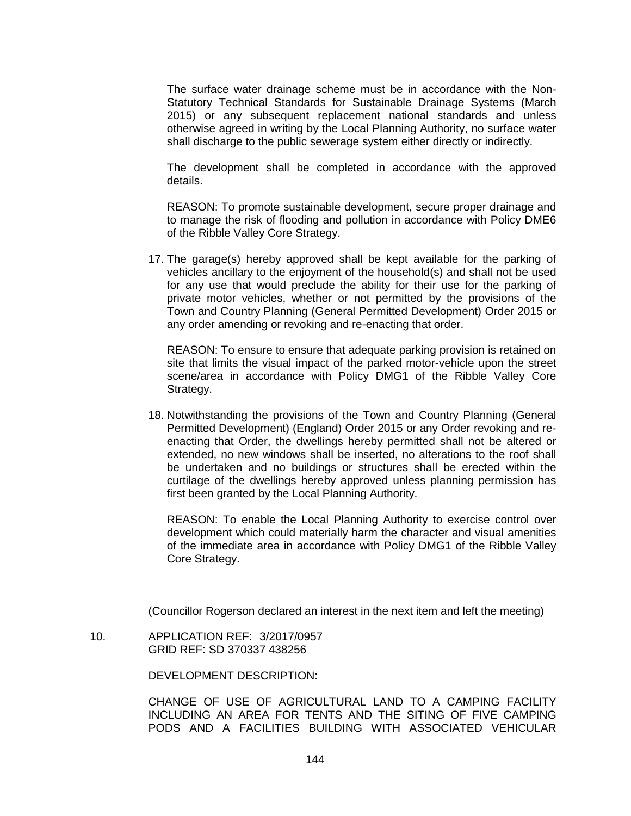The surface water drainage scheme must be in accordance with the Non-Statutory Technical Standards for Sustainable Drainage Systems (March 2015) or any subsequent replacement national standards and unless otherwise agreed in writing by the Local Planning Authority, no surface water shall discharge to the public sewerage system either directly or indirectly.

The development shall be completed in accordance with the approved details.

REASON: To promote sustainable development, secure proper drainage and to manage the risk of flooding and pollution in accordance with Policy DME6 of the Ribble Valley Core Strategy.

17. The garage(s) hereby approved shall be kept available for the parking of vehicles ancillary to the enjoyment of the household(s) and shall not be used for any use that would preclude the ability for their use for the parking of private motor vehicles, whether or not permitted by the provisions of the Town and Country Planning (General Permitted Development) Order 2015 or any order amending or revoking and re-enacting that order.

REASON: To ensure to ensure that adequate parking provision is retained on site that limits the visual impact of the parked motor-vehicle upon the street scene/area in accordance with Policy DMG1 of the Ribble Valley Core Strategy.

18. Notwithstanding the provisions of the Town and Country Planning (General Permitted Development) (England) Order 2015 or any Order revoking and reenacting that Order, the dwellings hereby permitted shall not be altered or extended, no new windows shall be inserted, no alterations to the roof shall be undertaken and no buildings or structures shall be erected within the curtilage of the dwellings hereby approved unless planning permission has first been granted by the Local Planning Authority.

REASON: To enable the Local Planning Authority to exercise control over development which could materially harm the character and visual amenities of the immediate area in accordance with Policy DMG1 of the Ribble Valley Core Strategy.

(Councillor Rogerson declared an interest in the next item and left the meeting)

 10. APPLICATION REF: 3/2017/0957 GRID REF: SD 370337 438256

DEVELOPMENT DESCRIPTION:

CHANGE OF USE OF AGRICULTURAL LAND TO A CAMPING FACILITY INCLUDING AN AREA FOR TENTS AND THE SITING OF FIVE CAMPING PODS AND A FACILITIES BUILDING WITH ASSOCIATED VEHICULAR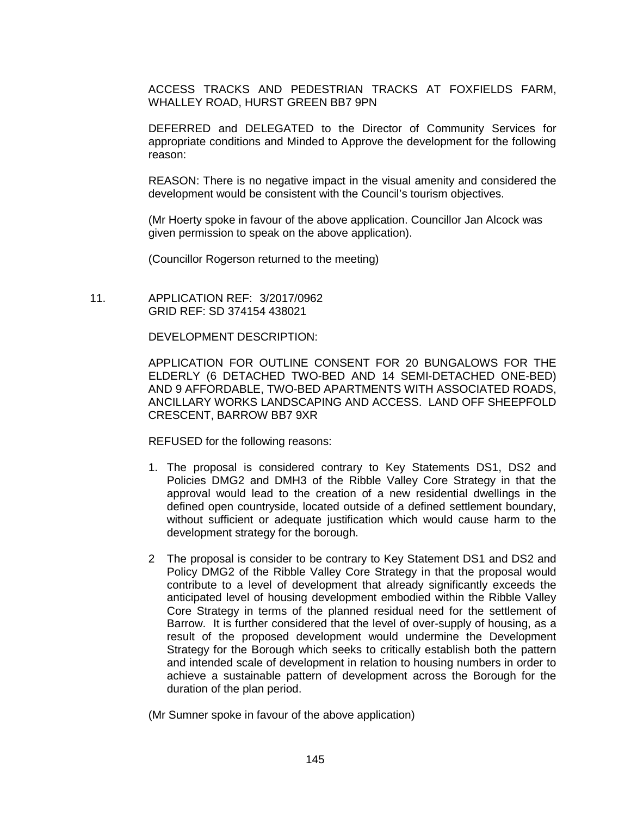ACCESS TRACKS AND PEDESTRIAN TRACKS AT FOXFIELDS FARM, WHALLEY ROAD, HURST GREEN BB7 9PN

DEFERRED and DELEGATED to the Director of Community Services for appropriate conditions and Minded to Approve the development for the following reason:

REASON: There is no negative impact in the visual amenity and considered the development would be consistent with the Council's tourism objectives.

(Mr Hoerty spoke in favour of the above application. Councillor Jan Alcock was given permission to speak on the above application).

(Councillor Rogerson returned to the meeting)

 11. APPLICATION REF: 3/2017/0962 GRID REF: SD 374154 438021

DEVELOPMENT DESCRIPTION:

APPLICATION FOR OUTLINE CONSENT FOR 20 BUNGALOWS FOR THE ELDERLY (6 DETACHED TWO-BED AND 14 SEMI-DETACHED ONE-BED) AND 9 AFFORDABLE, TWO-BED APARTMENTS WITH ASSOCIATED ROADS, ANCILLARY WORKS LANDSCAPING AND ACCESS. LAND OFF SHEEPFOLD CRESCENT, BARROW BB7 9XR

REFUSED for the following reasons:

- 1. The proposal is considered contrary to Key Statements DS1, DS2 and Policies DMG2 and DMH3 of the Ribble Valley Core Strategy in that the approval would lead to the creation of a new residential dwellings in the defined open countryside, located outside of a defined settlement boundary, without sufficient or adequate justification which would cause harm to the development strategy for the borough.
- 2 The proposal is consider to be contrary to Key Statement DS1 and DS2 and Policy DMG2 of the Ribble Valley Core Strategy in that the proposal would contribute to a level of development that already significantly exceeds the anticipated level of housing development embodied within the Ribble Valley Core Strategy in terms of the planned residual need for the settlement of Barrow. It is further considered that the level of over-supply of housing, as a result of the proposed development would undermine the Development Strategy for the Borough which seeks to critically establish both the pattern and intended scale of development in relation to housing numbers in order to achieve a sustainable pattern of development across the Borough for the duration of the plan period.

(Mr Sumner spoke in favour of the above application)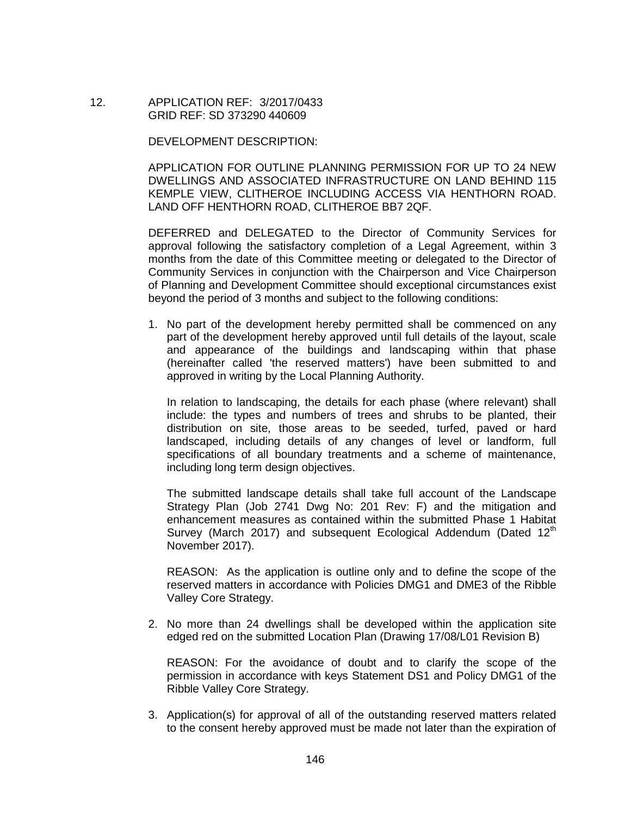12. APPLICATION REF: 3/2017/0433 GRID REF: SD 373290 440609

DEVELOPMENT DESCRIPTION:

APPLICATION FOR OUTLINE PLANNING PERMISSION FOR UP TO 24 NEW DWELLINGS AND ASSOCIATED INFRASTRUCTURE ON LAND BEHIND 115 KEMPLE VIEW, CLITHEROE INCLUDING ACCESS VIA HENTHORN ROAD. LAND OFF HENTHORN ROAD, CLITHEROE BB7 2QF.

DEFERRED and DELEGATED to the Director of Community Services for approval following the satisfactory completion of a Legal Agreement, within 3 months from the date of this Committee meeting or delegated to the Director of Community Services in conjunction with the Chairperson and Vice Chairperson of Planning and Development Committee should exceptional circumstances exist beyond the period of 3 months and subject to the following conditions:

1. No part of the development hereby permitted shall be commenced on any part of the development hereby approved until full details of the layout, scale and appearance of the buildings and landscaping within that phase (hereinafter called 'the reserved matters') have been submitted to and approved in writing by the Local Planning Authority.

In relation to landscaping, the details for each phase (where relevant) shall include: the types and numbers of trees and shrubs to be planted, their distribution on site, those areas to be seeded, turfed, paved or hard landscaped, including details of any changes of level or landform, full specifications of all boundary treatments and a scheme of maintenance, including long term design objectives.

The submitted landscape details shall take full account of the Landscape Strategy Plan (Job 2741 Dwg No: 201 Rev: F) and the mitigation and enhancement measures as contained within the submitted Phase 1 Habitat Survey (March 2017) and subsequent Ecological Addendum (Dated  $12<sup>th</sup>$ November 2017).

REASON: As the application is outline only and to define the scope of the reserved matters in accordance with Policies DMG1 and DME3 of the Ribble Valley Core Strategy.

2. No more than 24 dwellings shall be developed within the application site edged red on the submitted Location Plan (Drawing 17/08/L01 Revision B)

REASON: For the avoidance of doubt and to clarify the scope of the permission in accordance with keys Statement DS1 and Policy DMG1 of the Ribble Valley Core Strategy.

3. Application(s) for approval of all of the outstanding reserved matters related to the consent hereby approved must be made not later than the expiration of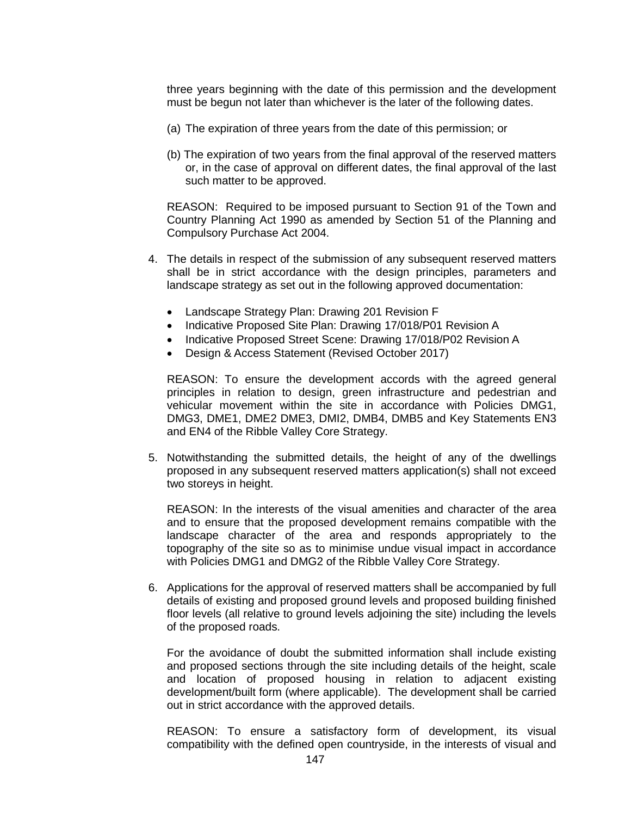three years beginning with the date of this permission and the development must be begun not later than whichever is the later of the following dates.

- (a) The expiration of three years from the date of this permission; or
- (b) The expiration of two years from the final approval of the reserved matters or, in the case of approval on different dates, the final approval of the last such matter to be approved.

REASON: Required to be imposed pursuant to Section 91 of the Town and Country Planning Act 1990 as amended by Section 51 of the Planning and Compulsory Purchase Act 2004.

- 4. The details in respect of the submission of any subsequent reserved matters shall be in strict accordance with the design principles, parameters and landscape strategy as set out in the following approved documentation:
	- Landscape Strategy Plan: Drawing 201 Revision F
	- Indicative Proposed Site Plan: Drawing 17/018/P01 Revision A
	- Indicative Proposed Street Scene: Drawing 17/018/P02 Revision A
	- Design & Access Statement (Revised October 2017)

REASON: To ensure the development accords with the agreed general principles in relation to design, green infrastructure and pedestrian and vehicular movement within the site in accordance with Policies DMG1, DMG3, DME1, DME2 DME3, DMI2, DMB4, DMB5 and Key Statements EN3 and EN4 of the Ribble Valley Core Strategy.

5. Notwithstanding the submitted details, the height of any of the dwellings proposed in any subsequent reserved matters application(s) shall not exceed two storeys in height.

REASON: In the interests of the visual amenities and character of the area and to ensure that the proposed development remains compatible with the landscape character of the area and responds appropriately to the topography of the site so as to minimise undue visual impact in accordance with Policies DMG1 and DMG2 of the Ribble Valley Core Strategy.

6. Applications for the approval of reserved matters shall be accompanied by full details of existing and proposed ground levels and proposed building finished floor levels (all relative to ground levels adjoining the site) including the levels of the proposed roads.

For the avoidance of doubt the submitted information shall include existing and proposed sections through the site including details of the height, scale and location of proposed housing in relation to adjacent existing development/built form (where applicable). The development shall be carried out in strict accordance with the approved details.

REASON: To ensure a satisfactory form of development, its visual compatibility with the defined open countryside, in the interests of visual and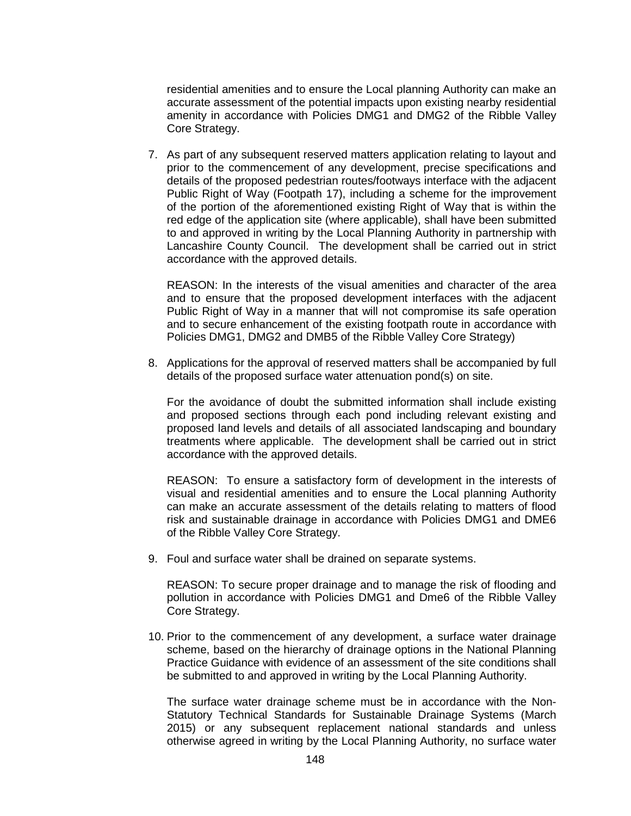residential amenities and to ensure the Local planning Authority can make an accurate assessment of the potential impacts upon existing nearby residential amenity in accordance with Policies DMG1 and DMG2 of the Ribble Valley Core Strategy.

7. As part of any subsequent reserved matters application relating to layout and prior to the commencement of any development, precise specifications and details of the proposed pedestrian routes/footways interface with the adjacent Public Right of Way (Footpath 17), including a scheme for the improvement of the portion of the aforementioned existing Right of Way that is within the red edge of the application site (where applicable), shall have been submitted to and approved in writing by the Local Planning Authority in partnership with Lancashire County Council. The development shall be carried out in strict accordance with the approved details.

REASON: In the interests of the visual amenities and character of the area and to ensure that the proposed development interfaces with the adjacent Public Right of Way in a manner that will not compromise its safe operation and to secure enhancement of the existing footpath route in accordance with Policies DMG1, DMG2 and DMB5 of the Ribble Valley Core Strategy)

8. Applications for the approval of reserved matters shall be accompanied by full details of the proposed surface water attenuation pond(s) on site.

For the avoidance of doubt the submitted information shall include existing and proposed sections through each pond including relevant existing and proposed land levels and details of all associated landscaping and boundary treatments where applicable. The development shall be carried out in strict accordance with the approved details.

REASON: To ensure a satisfactory form of development in the interests of visual and residential amenities and to ensure the Local planning Authority can make an accurate assessment of the details relating to matters of flood risk and sustainable drainage in accordance with Policies DMG1 and DME6 of the Ribble Valley Core Strategy.

9. Foul and surface water shall be drained on separate systems.

REASON: To secure proper drainage and to manage the risk of flooding and pollution in accordance with Policies DMG1 and Dme6 of the Ribble Valley Core Strategy.

10. Prior to the commencement of any development, a surface water drainage scheme, based on the hierarchy of drainage options in the National Planning Practice Guidance with evidence of an assessment of the site conditions shall be submitted to and approved in writing by the Local Planning Authority.

The surface water drainage scheme must be in accordance with the Non-Statutory Technical Standards for Sustainable Drainage Systems (March 2015) or any subsequent replacement national standards and unless otherwise agreed in writing by the Local Planning Authority, no surface water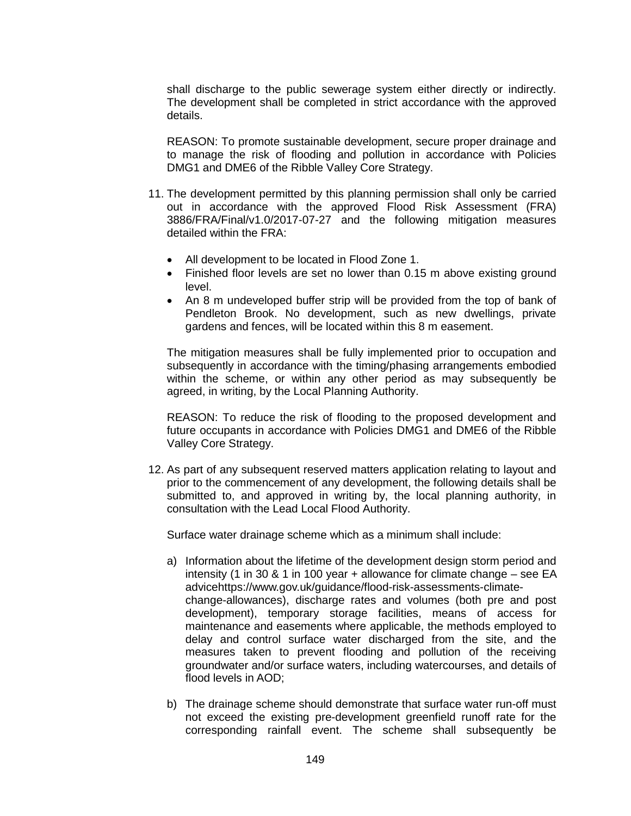shall discharge to the public sewerage system either directly or indirectly. The development shall be completed in strict accordance with the approved details.

REASON: To promote sustainable development, secure proper drainage and to manage the risk of flooding and pollution in accordance with Policies DMG1 and DME6 of the Ribble Valley Core Strategy.

- 11. The development permitted by this planning permission shall only be carried out in accordance with the approved Flood Risk Assessment (FRA) 3886/FRA/Final/v1.0/2017-07-27 and the following mitigation measures detailed within the FRA:
	- All development to be located in Flood Zone 1.
	- Finished floor levels are set no lower than 0.15 m above existing ground level.
	- An 8 m undeveloped buffer strip will be provided from the top of bank of Pendleton Brook. No development, such as new dwellings, private gardens and fences, will be located within this 8 m easement.

The mitigation measures shall be fully implemented prior to occupation and subsequently in accordance with the timing/phasing arrangements embodied within the scheme, or within any other period as may subsequently be agreed, in writing, by the Local Planning Authority.

REASON: To reduce the risk of flooding to the proposed development and future occupants in accordance with Policies DMG1 and DME6 of the Ribble Valley Core Strategy.

12. As part of any subsequent reserved matters application relating to layout and prior to the commencement of any development, the following details shall be submitted to, and approved in writing by, the local planning authority, in consultation with the Lead Local Flood Authority.

Surface water drainage scheme which as a minimum shall include:

- a) Information about the lifetime of the development design storm period and intensity (1 in 30 & 1 in 100 year + allowance for climate change – see EA advicehttps://www.gov.uk/guidance/flood-risk-assessments-climatechange-allowances), discharge rates and volumes (both pre and post development), temporary storage facilities, means of access for maintenance and easements where applicable, the methods employed to delay and control surface water discharged from the site, and the measures taken to prevent flooding and pollution of the receiving groundwater and/or surface waters, including watercourses, and details of flood levels in AOD;
- b) The drainage scheme should demonstrate that surface water run-off must not exceed the existing pre-development greenfield runoff rate for the corresponding rainfall event. The scheme shall subsequently be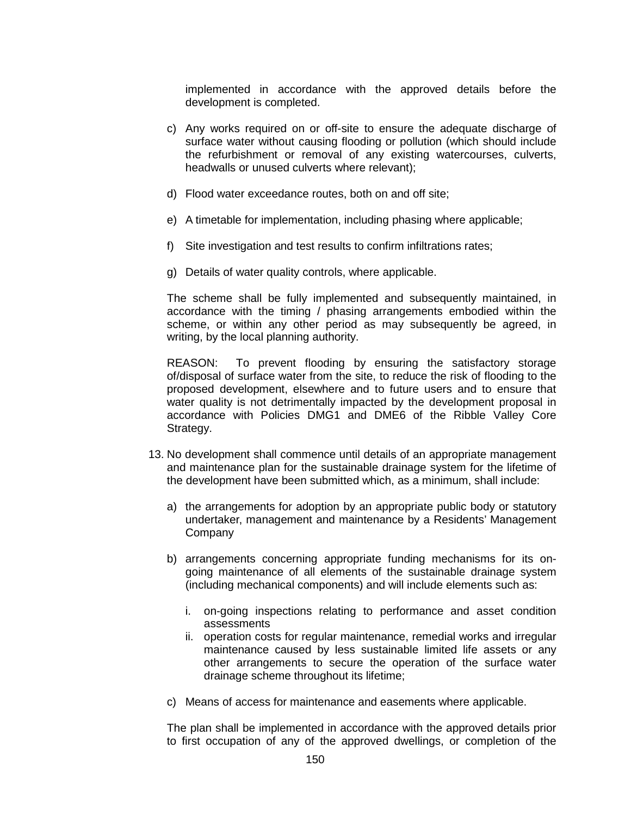implemented in accordance with the approved details before the development is completed.

- c) Any works required on or off-site to ensure the adequate discharge of surface water without causing flooding or pollution (which should include the refurbishment or removal of any existing watercourses, culverts, headwalls or unused culverts where relevant);
- d) Flood water exceedance routes, both on and off site;
- e) A timetable for implementation, including phasing where applicable;
- f) Site investigation and test results to confirm infiltrations rates;
- g) Details of water quality controls, where applicable.

The scheme shall be fully implemented and subsequently maintained, in accordance with the timing / phasing arrangements embodied within the scheme, or within any other period as may subsequently be agreed, in writing, by the local planning authority.

REASON: To prevent flooding by ensuring the satisfactory storage of/disposal of surface water from the site, to reduce the risk of flooding to the proposed development, elsewhere and to future users and to ensure that water quality is not detrimentally impacted by the development proposal in accordance with Policies DMG1 and DME6 of the Ribble Valley Core Strategy.

- 13. No development shall commence until details of an appropriate management and maintenance plan for the sustainable drainage system for the lifetime of the development have been submitted which, as a minimum, shall include:
	- a) the arrangements for adoption by an appropriate public body or statutory undertaker, management and maintenance by a Residents' Management **Company**
	- b) arrangements concerning appropriate funding mechanisms for its ongoing maintenance of all elements of the sustainable drainage system (including mechanical components) and will include elements such as:
		- i. on-going inspections relating to performance and asset condition assessments
		- ii. operation costs for regular maintenance, remedial works and irregular maintenance caused by less sustainable limited life assets or any other arrangements to secure the operation of the surface water drainage scheme throughout its lifetime;
	- c) Means of access for maintenance and easements where applicable.

The plan shall be implemented in accordance with the approved details prior to first occupation of any of the approved dwellings, or completion of the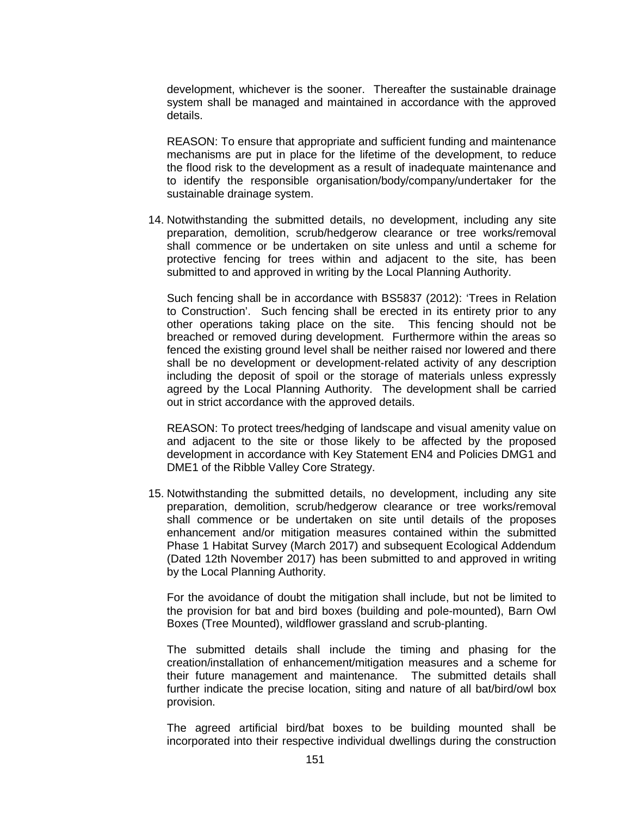development, whichever is the sooner. Thereafter the sustainable drainage system shall be managed and maintained in accordance with the approved details.

REASON: To ensure that appropriate and sufficient funding and maintenance mechanisms are put in place for the lifetime of the development, to reduce the flood risk to the development as a result of inadequate maintenance and to identify the responsible organisation/body/company/undertaker for the sustainable drainage system.

14. Notwithstanding the submitted details, no development, including any site preparation, demolition, scrub/hedgerow clearance or tree works/removal shall commence or be undertaken on site unless and until a scheme for protective fencing for trees within and adjacent to the site, has been submitted to and approved in writing by the Local Planning Authority.

Such fencing shall be in accordance with BS5837 (2012): 'Trees in Relation to Construction'. Such fencing shall be erected in its entirety prior to any other operations taking place on the site. This fencing should not be breached or removed during development. Furthermore within the areas so fenced the existing ground level shall be neither raised nor lowered and there shall be no development or development-related activity of any description including the deposit of spoil or the storage of materials unless expressly agreed by the Local Planning Authority. The development shall be carried out in strict accordance with the approved details.

REASON: To protect trees/hedging of landscape and visual amenity value on and adjacent to the site or those likely to be affected by the proposed development in accordance with Key Statement EN4 and Policies DMG1 and DME1 of the Ribble Valley Core Strategy.

15. Notwithstanding the submitted details, no development, including any site preparation, demolition, scrub/hedgerow clearance or tree works/removal shall commence or be undertaken on site until details of the proposes enhancement and/or mitigation measures contained within the submitted Phase 1 Habitat Survey (March 2017) and subsequent Ecological Addendum (Dated 12th November 2017) has been submitted to and approved in writing by the Local Planning Authority.

For the avoidance of doubt the mitigation shall include, but not be limited to the provision for bat and bird boxes (building and pole-mounted), Barn Owl Boxes (Tree Mounted), wildflower grassland and scrub-planting.

The submitted details shall include the timing and phasing for the creation/installation of enhancement/mitigation measures and a scheme for their future management and maintenance. The submitted details shall further indicate the precise location, siting and nature of all bat/bird/owl box provision.

The agreed artificial bird/bat boxes to be building mounted shall be incorporated into their respective individual dwellings during the construction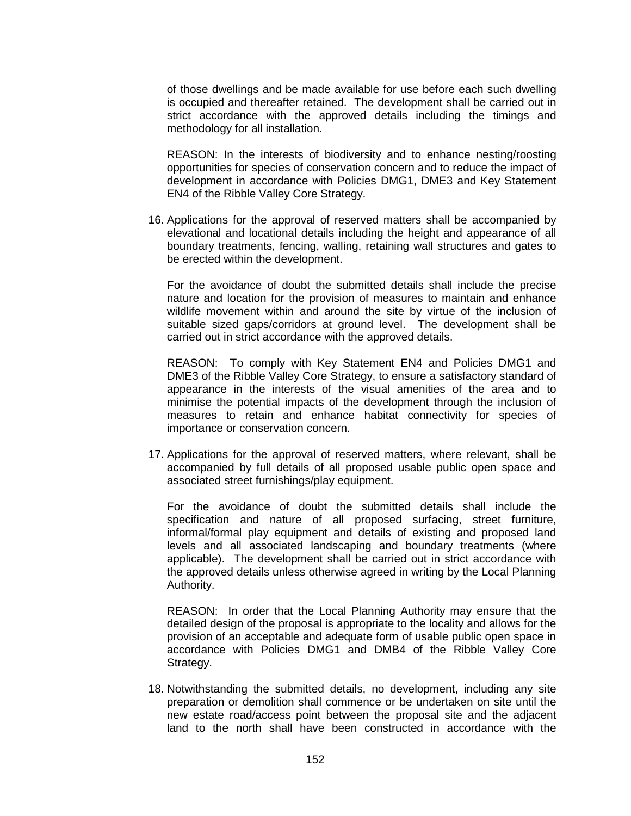of those dwellings and be made available for use before each such dwelling is occupied and thereafter retained. The development shall be carried out in strict accordance with the approved details including the timings and methodology for all installation.

REASON: In the interests of biodiversity and to enhance nesting/roosting opportunities for species of conservation concern and to reduce the impact of development in accordance with Policies DMG1, DME3 and Key Statement EN4 of the Ribble Valley Core Strategy.

16. Applications for the approval of reserved matters shall be accompanied by elevational and locational details including the height and appearance of all boundary treatments, fencing, walling, retaining wall structures and gates to be erected within the development.

For the avoidance of doubt the submitted details shall include the precise nature and location for the provision of measures to maintain and enhance wildlife movement within and around the site by virtue of the inclusion of suitable sized gaps/corridors at ground level. The development shall be carried out in strict accordance with the approved details.

REASON: To comply with Key Statement EN4 and Policies DMG1 and DME3 of the Ribble Valley Core Strategy, to ensure a satisfactory standard of appearance in the interests of the visual amenities of the area and to minimise the potential impacts of the development through the inclusion of measures to retain and enhance habitat connectivity for species of importance or conservation concern.

17. Applications for the approval of reserved matters, where relevant, shall be accompanied by full details of all proposed usable public open space and associated street furnishings/play equipment.

For the avoidance of doubt the submitted details shall include the specification and nature of all proposed surfacing, street furniture, informal/formal play equipment and details of existing and proposed land levels and all associated landscaping and boundary treatments (where applicable). The development shall be carried out in strict accordance with the approved details unless otherwise agreed in writing by the Local Planning Authority.

REASON: In order that the Local Planning Authority may ensure that the detailed design of the proposal is appropriate to the locality and allows for the provision of an acceptable and adequate form of usable public open space in accordance with Policies DMG1 and DMB4 of the Ribble Valley Core Strategy.

18. Notwithstanding the submitted details, no development, including any site preparation or demolition shall commence or be undertaken on site until the new estate road/access point between the proposal site and the adjacent land to the north shall have been constructed in accordance with the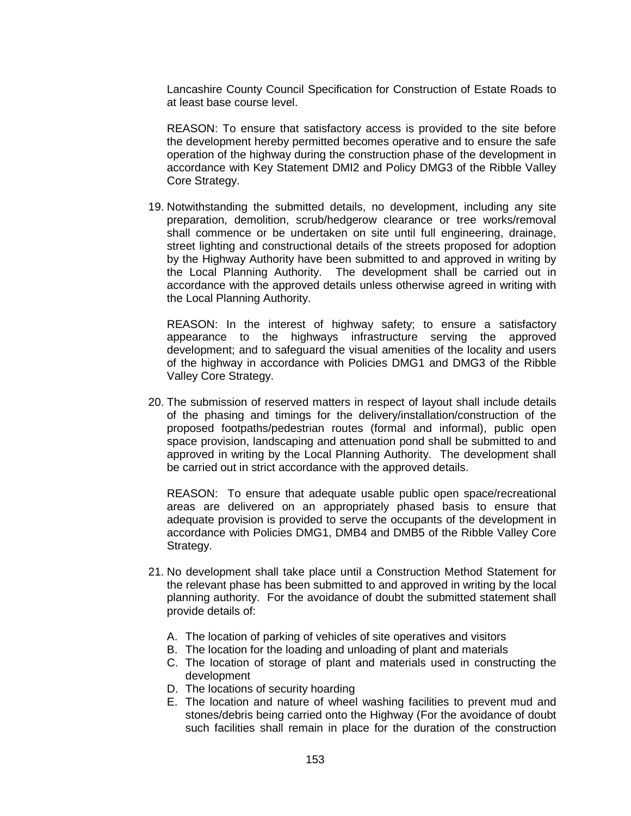Lancashire County Council Specification for Construction of Estate Roads to at least base course level.

REASON: To ensure that satisfactory access is provided to the site before the development hereby permitted becomes operative and to ensure the safe operation of the highway during the construction phase of the development in accordance with Key Statement DMI2 and Policy DMG3 of the Ribble Valley Core Strategy.

19. Notwithstanding the submitted details, no development, including any site preparation, demolition, scrub/hedgerow clearance or tree works/removal shall commence or be undertaken on site until full engineering, drainage, street lighting and constructional details of the streets proposed for adoption by the Highway Authority have been submitted to and approved in writing by the Local Planning Authority. The development shall be carried out in accordance with the approved details unless otherwise agreed in writing with the Local Planning Authority.

REASON: In the interest of highway safety; to ensure a satisfactory appearance to the highways infrastructure serving the approved development; and to safeguard the visual amenities of the locality and users of the highway in accordance with Policies DMG1 and DMG3 of the Ribble Valley Core Strategy.

20. The submission of reserved matters in respect of layout shall include details of the phasing and timings for the delivery/installation/construction of the proposed footpaths/pedestrian routes (formal and informal), public open space provision, landscaping and attenuation pond shall be submitted to and approved in writing by the Local Planning Authority. The development shall be carried out in strict accordance with the approved details.

REASON: To ensure that adequate usable public open space/recreational areas are delivered on an appropriately phased basis to ensure that adequate provision is provided to serve the occupants of the development in accordance with Policies DMG1, DMB4 and DMB5 of the Ribble Valley Core Strategy.

- 21. No development shall take place until a Construction Method Statement for the relevant phase has been submitted to and approved in writing by the local planning authority. For the avoidance of doubt the submitted statement shall provide details of:
	- A. The location of parking of vehicles of site operatives and visitors
	- B. The location for the loading and unloading of plant and materials
	- C. The location of storage of plant and materials used in constructing the development
	- D. The locations of security hoarding
	- E. The location and nature of wheel washing facilities to prevent mud and stones/debris being carried onto the Highway (For the avoidance of doubt such facilities shall remain in place for the duration of the construction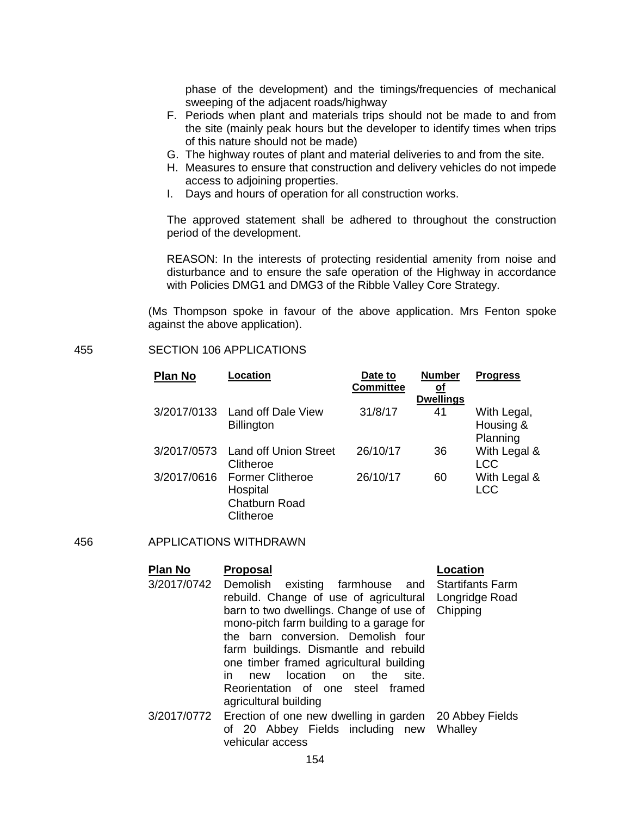phase of the development) and the timings/frequencies of mechanical sweeping of the adjacent roads/highway

- F. Periods when plant and materials trips should not be made to and from the site (mainly peak hours but the developer to identify times when trips of this nature should not be made)
- G. The highway routes of plant and material deliveries to and from the site.
- H. Measures to ensure that construction and delivery vehicles do not impede access to adjoining properties.
- I. Days and hours of operation for all construction works.

The approved statement shall be adhered to throughout the construction period of the development.

REASON: In the interests of protecting residential amenity from noise and disturbance and to ensure the safe operation of the Highway in accordance with Policies DMG1 and DMG3 of the Ribble Valley Core Strategy.

(Ms Thompson spoke in favour of the above application. Mrs Fenton spoke against the above application).

### 455 SECTION 106 APPLICATIONS

| <b>Plan No</b> | Location                       | Date to<br><b>Committee</b> | <b>Number</b><br><u>of</u> | <b>Progress</b> |
|----------------|--------------------------------|-----------------------------|----------------------------|-----------------|
|                |                                |                             | <b>Dwellings</b>           |                 |
|                | 3/2017/0133 Land off Dale View | 31/8/17                     | 41                         | With Legal,     |
|                | <b>Billington</b>              |                             |                            | Housing &       |
|                |                                |                             |                            | Planning        |
| 3/2017/0573    | Land off Union Street          | 26/10/17                    | 36                         | With Legal &    |
|                | Clitheroe                      |                             |                            | <b>LCC</b>      |
| 3/2017/0616    | <b>Former Clitheroe</b>        | 26/10/17                    | 60                         | With Legal &    |
|                | Hospital                       |                             |                            | <b>LCC</b>      |
|                | <b>Chatburn Road</b>           |                             |                            |                 |
|                | Clitheroe                      |                             |                            |                 |

#### 456 APPLICATIONS WITHDRAWN

#### **Plan No Proposal Location** 3/2017/0742 Demolish existing farmhouse and Startifants Farm rebuild. Change of use of agricultural barn to two dwellings. Change of use of mono-pitch farm building to a garage for the barn conversion. Demolish four farm buildings. Dismantle and rebuild one timber framed agricultural building in new location on the site. Reorientation of one steel framed agricultural building Longridge Road **Chipping** 3/2017/0772 Erection of one new dwelling in garden 20 Abbey Fields

of 20 Abbey Fields including new Whalley vehicular access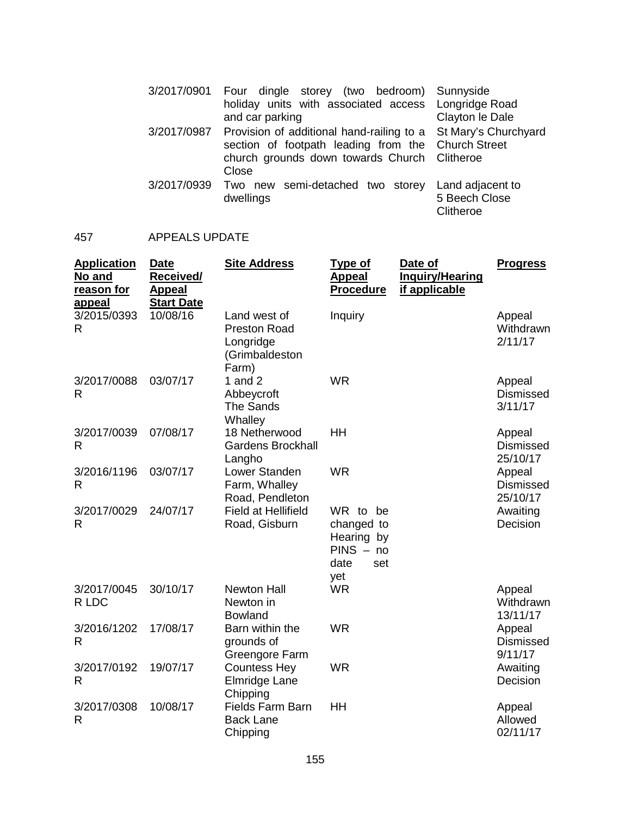|             | 3/2017/0901 Four dingle storey (two bedroom) Sunnyside<br>holiday units with associated access Longridge Road<br>and car parking                                                          | Clayton le Dale                                |
|-------------|-------------------------------------------------------------------------------------------------------------------------------------------------------------------------------------------|------------------------------------------------|
|             | 3/2017/0987 Provision of additional hand-railing to a St Mary's Churchyard<br>section of footpath leading from the Church Street<br>church grounds down towards Church Clitheroe<br>Close |                                                |
| 3/2017/0939 | Two new semi-detached two storey<br>dwellings                                                                                                                                             | Land adjacent to<br>5 Beech Close<br>Clitheroe |

# 457 APPEALS UPDATE

| <b>Application</b><br>No and<br>reason for<br>appeal | <b>Date</b><br>Received/<br><b>Appeal</b><br><b>Start Date</b> | <b>Site Address</b>                                                         | <u>Type of</u><br><b>Appeal</b><br><b>Procedure</b>                       | Date of<br><b>Inquiry/Hearing</b><br>if applicable | <b>Progress</b>                        |
|------------------------------------------------------|----------------------------------------------------------------|-----------------------------------------------------------------------------|---------------------------------------------------------------------------|----------------------------------------------------|----------------------------------------|
| 3/2015/0393<br>R                                     | 10/08/16                                                       | Land west of<br><b>Preston Road</b><br>Longridge<br>(Grimbaldeston<br>Farm) | Inquiry                                                                   |                                                    | Appeal<br>Withdrawn<br>2/11/17         |
| 3/2017/0088<br>R                                     | 03/07/17                                                       | 1 and $2$<br>Abbeycroft<br><b>The Sands</b><br>Whalley                      | <b>WR</b>                                                                 |                                                    | Appeal<br>Dismissed<br>3/11/17         |
| 3/2017/0039<br>R                                     | 07/08/17                                                       | 18 Netherwood<br><b>Gardens Brockhall</b><br>Langho                         | HH                                                                        |                                                    | Appeal<br><b>Dismissed</b><br>25/10/17 |
| 3/2016/1196<br>$\mathsf{R}$                          | 03/07/17                                                       | Lower Standen<br>Farm, Whalley<br>Road, Pendleton                           | <b>WR</b>                                                                 |                                                    | Appeal<br><b>Dismissed</b><br>25/10/17 |
| 3/2017/0029<br>$\mathsf{R}$                          | 24/07/17                                                       | <b>Field at Hellifield</b><br>Road, Gisburn                                 | WR to be<br>changed to<br>Hearing by<br>$PINS - no$<br>date<br>set<br>yet |                                                    | Awaiting<br>Decision                   |
| 3/2017/0045<br>R LDC                                 | 30/10/17                                                       | <b>Newton Hall</b><br>Newton in<br><b>Bowland</b>                           | <b>WR</b>                                                                 |                                                    | Appeal<br>Withdrawn<br>13/11/17        |
| 3/2016/1202<br>R                                     | 17/08/17                                                       | Barn within the<br>grounds of<br>Greengore Farm                             | <b>WR</b>                                                                 |                                                    | Appeal<br><b>Dismissed</b><br>9/11/17  |
| 3/2017/0192<br>$\mathsf{R}$                          | 19/07/17                                                       | <b>Countess Hey</b><br>Elmridge Lane<br>Chipping                            | <b>WR</b>                                                                 |                                                    | Awaiting<br>Decision                   |
| 3/2017/0308<br>$\mathsf{R}$                          | 10/08/17                                                       | Fields Farm Barn<br><b>Back Lane</b><br>Chipping                            | <b>HH</b>                                                                 |                                                    | Appeal<br>Allowed<br>02/11/17          |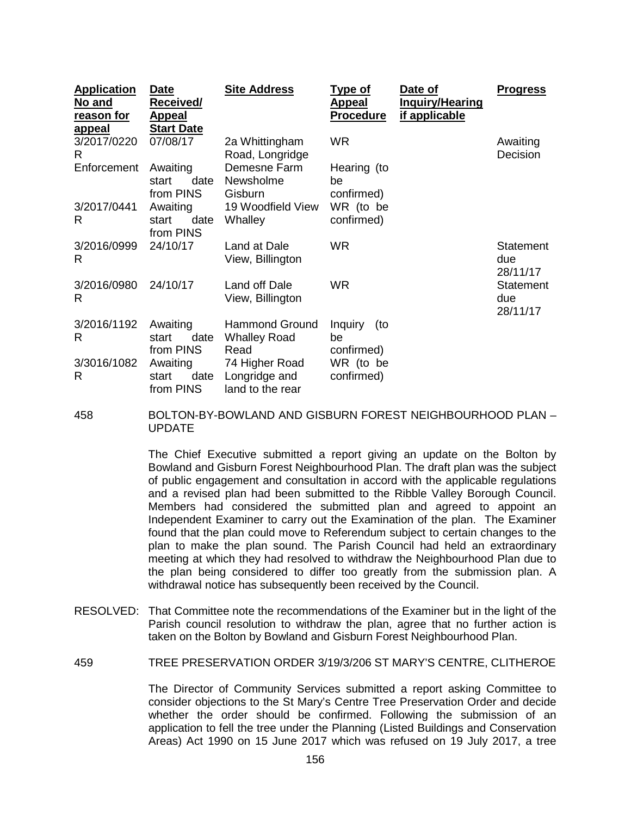| <b>Application</b><br>No and<br>reason for<br><u>appeal</u> | <u>Date</u><br>Received/<br><b>Appeal</b><br><b>Start Date</b> | <b>Site Address</b>                                  | <u>Type of</u><br><u>Appeal</u><br><b>Procedure</b> | Date of<br><u>Inquiry/Hearing</u><br>if applicable | <u>Progress</u>              |
|-------------------------------------------------------------|----------------------------------------------------------------|------------------------------------------------------|-----------------------------------------------------|----------------------------------------------------|------------------------------|
| 3/2017/0220<br>R                                            | 07/08/17                                                       | 2a Whittingham<br>Road, Longridge                    | WR.                                                 |                                                    | Awaiting<br>Decision         |
| Enforcement                                                 | Awaiting<br>date<br>start<br>from PINS                         | Demesne Farm<br>Newsholme<br>Gisburn                 | Hearing (to<br>be<br>confirmed)                     |                                                    |                              |
| 3/2017/0441<br>R                                            | Awaiting<br>date<br>start<br>from PINS                         | 19 Woodfield View<br>Whalley                         | WR (to be<br>confirmed)                             |                                                    |                              |
| 3/2016/0999<br>R                                            | 24/10/17                                                       | Land at Dale<br>View, Billington                     | WR.                                                 |                                                    | Statement<br>due<br>28/11/17 |
| 3/2016/0980<br>R                                            | 24/10/17                                                       | Land off Dale<br>View, Billington                    | <b>WR</b>                                           |                                                    | Statement<br>due<br>28/11/17 |
| 3/2016/1192<br>R                                            | Awaiting<br>date<br>start<br>from PINS                         | <b>Hammond Ground</b><br><b>Whalley Road</b><br>Read | Inquiry<br>(to<br>be<br>confirmed)                  |                                                    |                              |
| 3/3016/1082<br>R                                            | Awaiting<br>date<br>start<br>from PINS                         | 74 Higher Road<br>Longridge and<br>land to the rear  | WR (to be<br>confirmed)                             |                                                    |                              |

## 458 BOLTON-BY-BOWLAND AND GISBURN FOREST NEIGHBOURHOOD PLAN – UPDATE

The Chief Executive submitted a report giving an update on the Bolton by Bowland and Gisburn Forest Neighbourhood Plan. The draft plan was the subject of public engagement and consultation in accord with the applicable regulations and a revised plan had been submitted to the Ribble Valley Borough Council. Members had considered the submitted plan and agreed to appoint an Independent Examiner to carry out the Examination of the plan. The Examiner found that the plan could move to Referendum subject to certain changes to the plan to make the plan sound. The Parish Council had held an extraordinary meeting at which they had resolved to withdraw the Neighbourhood Plan due to the plan being considered to differ too greatly from the submission plan. A withdrawal notice has subsequently been received by the Council.

RESOLVED: That Committee note the recommendations of the Examiner but in the light of the Parish council resolution to withdraw the plan, agree that no further action is taken on the Bolton by Bowland and Gisburn Forest Neighbourhood Plan.

459 TREE PRESERVATION ORDER 3/19/3/206 ST MARY'S CENTRE, CLITHEROE

The Director of Community Services submitted a report asking Committee to consider objections to the St Mary's Centre Tree Preservation Order and decide whether the order should be confirmed. Following the submission of an application to fell the tree under the Planning (Listed Buildings and Conservation Areas) Act 1990 on 15 June 2017 which was refused on 19 July 2017, a tree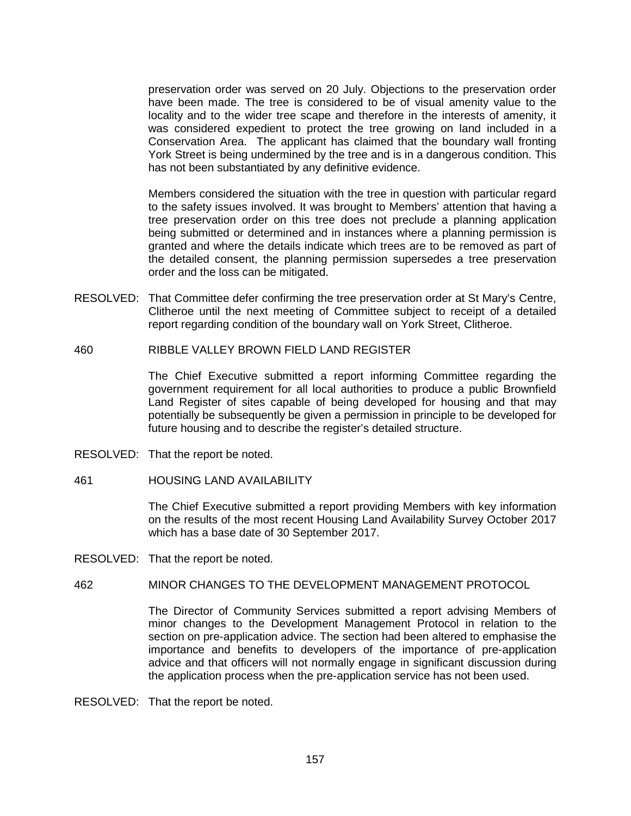preservation order was served on 20 July. Objections to the preservation order have been made. The tree is considered to be of visual amenity value to the locality and to the wider tree scape and therefore in the interests of amenity, it was considered expedient to protect the tree growing on land included in a Conservation Area. The applicant has claimed that the boundary wall fronting York Street is being undermined by the tree and is in a dangerous condition. This has not been substantiated by any definitive evidence.

Members considered the situation with the tree in question with particular regard to the safety issues involved. It was brought to Members' attention that having a tree preservation order on this tree does not preclude a planning application being submitted or determined and in instances where a planning permission is granted and where the details indicate which trees are to be removed as part of the detailed consent, the planning permission supersedes a tree preservation order and the loss can be mitigated.

- RESOLVED: That Committee defer confirming the tree preservation order at St Mary's Centre, Clitheroe until the next meeting of Committee subject to receipt of a detailed report regarding condition of the boundary wall on York Street, Clitheroe.
- 460 RIBBLE VALLEY BROWN FIELD LAND REGISTER

The Chief Executive submitted a report informing Committee regarding the government requirement for all local authorities to produce a public Brownfield Land Register of sites capable of being developed for housing and that may potentially be subsequently be given a permission in principle to be developed for future housing and to describe the register's detailed structure.

- RESOLVED: That the report be noted.
- 461 HOUSING LAND AVAILABILITY

The Chief Executive submitted a report providing Members with key information on the results of the most recent Housing Land Availability Survey October 2017 which has a base date of 30 September 2017.

RESOLVED: That the report be noted.

# 462 MINOR CHANGES TO THE DEVELOPMENT MANAGEMENT PROTOCOL

The Director of Community Services submitted a report advising Members of minor changes to the Development Management Protocol in relation to the section on pre-application advice. The section had been altered to emphasise the importance and benefits to developers of the importance of pre-application advice and that officers will not normally engage in significant discussion during the application process when the pre-application service has not been used.

RESOLVED: That the report be noted.